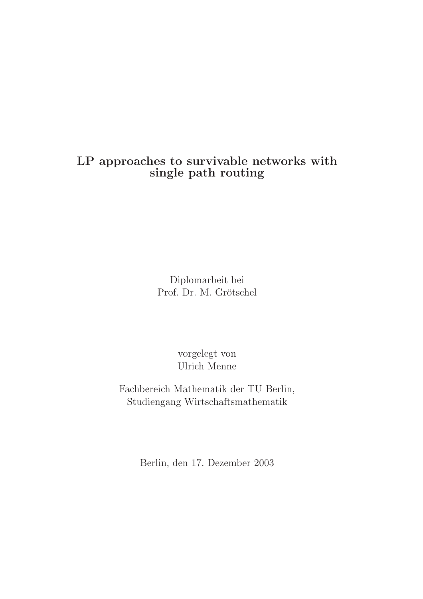## LP approaches to survivable networks with single path routing

Diplomarbeit bei Prof. Dr. M. Grötschel

> vorgelegt von Ulrich Menne

Fachbereich Mathematik der TU Berlin, Studiengang Wirtschaftsmathematik

Berlin, den 17. Dezember 2003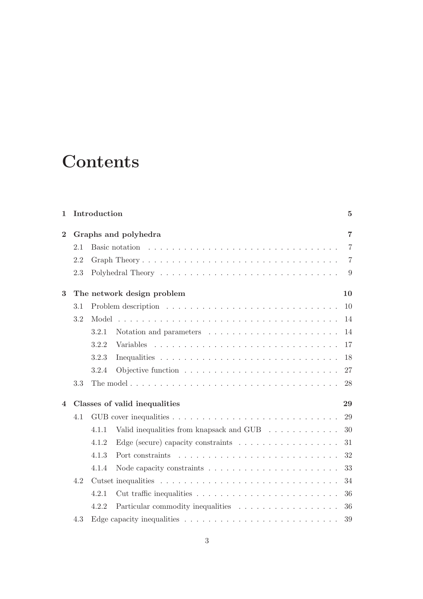# **Contents**

| $\mathbf{1}$   |         | Introduction |                                                                                             | 5              |
|----------------|---------|--------------|---------------------------------------------------------------------------------------------|----------------|
| $\overline{2}$ |         |              | Graphs and polyhedra                                                                        | $\overline{7}$ |
|                | 2.1     |              | Basic notation $\ldots \ldots \ldots \ldots \ldots \ldots \ldots \ldots \ldots \ldots$      | $\overline{7}$ |
|                | 2.2     |              |                                                                                             | $\overline{7}$ |
|                | 2.3     |              |                                                                                             | 9              |
| $\bf{3}$       |         |              | The network design problem                                                                  | 10             |
|                | 3.1     |              |                                                                                             | 10             |
|                | $3.2\,$ | Model        |                                                                                             | 14             |
|                |         | 3.2.1        |                                                                                             | 14             |
|                |         | 3.2.2        |                                                                                             | 17             |
|                |         | 3.2.3        |                                                                                             | 18             |
|                |         | 3.2.4        |                                                                                             | 27             |
|                | 3.3     |              | The model $\ldots \ldots \ldots \ldots \ldots \ldots \ldots \ldots \ldots \ldots \ldots$    | 28             |
| 4              |         |              | Classes of valid inequalities                                                               | 29             |
|                | 4.1     |              |                                                                                             | 29             |
|                |         | 4.1.1        | Valid inequalities from knapsack and GUB                                                    | 30             |
|                |         | 4.1.2        | Edge (secure) capacity constraints $\dots \dots \dots \dots \dots \dots$                    | 31             |
|                |         | 4.1.3        |                                                                                             | 32             |
|                |         | 4.1.4        |                                                                                             | 33             |
|                | 4.2     |              |                                                                                             | 34             |
|                |         | 4.2.1        |                                                                                             | 36             |
|                |         | 4.2.2        |                                                                                             | 36             |
|                | 4.3     |              | Edge capacity inequalities $\ldots \ldots \ldots \ldots \ldots \ldots \ldots \ldots \ldots$ | 39             |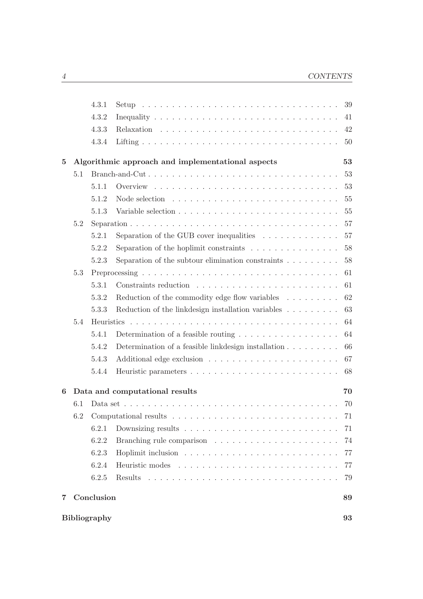|          |     | 4.3.1               |                                                                               | 39     |
|----------|-----|---------------------|-------------------------------------------------------------------------------|--------|
|          |     | 4.3.2               |                                                                               | 41     |
|          |     | 4.3.3               |                                                                               | 42     |
|          |     | 4.3.4               |                                                                               | 50     |
| $\bf{5}$ |     |                     | Algorithmic approach and implementational aspects                             | 53     |
|          | 5.1 |                     |                                                                               | 53     |
|          |     | 5.1.1               |                                                                               | 53     |
|          |     | 5.1.2               |                                                                               | 55     |
|          |     | 5.1.3               |                                                                               | 55     |
|          | 5.2 |                     |                                                                               | 57     |
|          |     | 5.2.1               | Separation of the GUB cover inequalities $\ldots \ldots \ldots \ldots$        | 57     |
|          |     | 5.2.2               | Separation of the hoplimit constraints $\ldots \ldots \ldots \ldots \ldots$   | 58     |
|          |     | 5.2.3               |                                                                               | 58     |
|          | 5.3 |                     |                                                                               | 61     |
|          |     | 5.3.1               |                                                                               | 61     |
|          |     | 5.3.2               | Reduction of the commodity edge flow variables $\dots \dots$                  | 62     |
|          |     | 5.3.3               | Reduction of the link<br>design installation variables $\ldots \ldots \ldots$ | 63     |
|          | 5.4 |                     |                                                                               | 64     |
|          |     | 5.4.1               | Determination of a feasible routing $\ldots \ldots \ldots \ldots \ldots$      | 64     |
|          |     | 5.4.2               | Determination of a feasible link design installation $\ldots \ldots \ldots$   | 66     |
|          |     | 5.4.3               |                                                                               | 67     |
|          |     | 5.4.4               |                                                                               | 68     |
| 6        |     |                     | Data and computational results                                                | 70     |
|          | 6.1 |                     |                                                                               | 70     |
|          |     |                     | 6.2 Computational results $\ldots \ldots \ldots$                              | $71\,$ |
|          |     | 6.2.1               |                                                                               | 71     |
|          |     | 6.2.2               |                                                                               | 74     |
|          |     | 6.2.3               |                                                                               | 77     |
|          |     | 6.2.4               |                                                                               | 77     |
|          |     | 6.2.5               |                                                                               | 79     |
| 7.       |     | Conclusion          |                                                                               | 89     |
|          |     | <b>Bibliography</b> |                                                                               | 93     |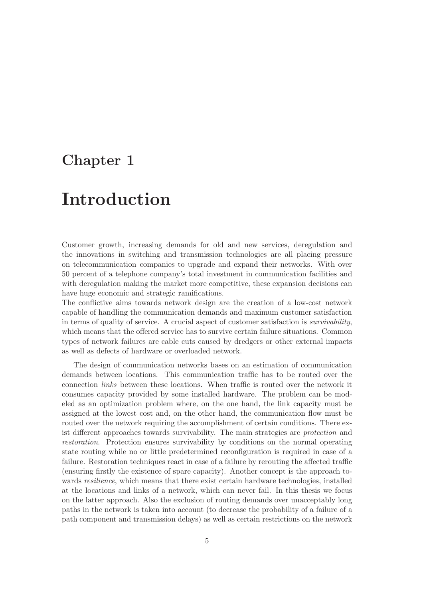# Chapter 1

# Introduction

Customer growth, increasing demands for old and new services, deregulation and the innovations in switching and transmission technologies are all placing pressure on telecommunication companies to upgrade and expand their networks. With over 50 percent of a telephone company's total investment in communication facilities and with deregulation making the market more competitive, these expansion decisions can have huge economic and strategic ramifications.

The conflictive aims towards network design are the creation of a low-cost network capable of handling the communication demands and maximum customer satisfaction in terms of quality of service. A crucial aspect of customer satisfaction is survivability, which means that the offered service has to survive certain failure situations. Common types of network failures are cable cuts caused by dredgers or other external impacts as well as defects of hardware or overloaded network.

The design of communication networks bases on an estimation of communication demands between locations. This communication traffic has to be routed over the connection links between these locations. When traffic is routed over the network it consumes capacity provided by some installed hardware. The problem can be modeled as an optimization problem where, on the one hand, the link capacity must be assigned at the lowest cost and, on the other hand, the communication flow must be routed over the network requiring the accomplishment of certain conditions. There exist different approaches towards survivability. The main strategies are protection and restoration. Protection ensures survivability by conditions on the normal operating state routing while no or little predetermined reconfiguration is required in case of a failure. Restoration techniques react in case of a failure by rerouting the affected traffic (ensuring firstly the existence of spare capacity). Another concept is the approach towards *resilience*, which means that there exist certain hardware technologies, installed at the locations and links of a network, which can never fail. In this thesis we focus on the latter approach. Also the exclusion of routing demands over unacceptably long paths in the network is taken into account (to decrease the probability of a failure of a path component and transmission delays) as well as certain restrictions on the network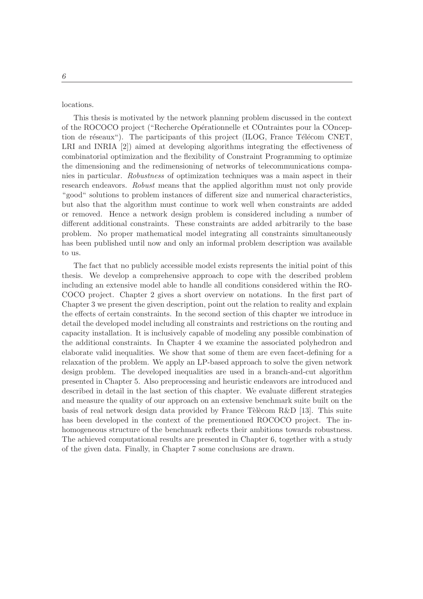locations.

This thesis is motivated by the network planning problem discussed in the context of the ROCOCO project ("Recherche Op´erationnelle et COntraintes pour la COnception de réseaux"). The participants of this project (ILOG, France Télécom CNET, LRI and INRIA [2]) aimed at developing algorithms integrating the effectiveness of combinatorial optimization and the flexibility of Constraint Programming to optimize the dimensioning and the redimensioning of networks of telecommunications companies in particular. Robustness of optimization techniques was a main aspect in their research endeavors. Robust means that the applied algorithm must not only provide "good" solutions to problem instances of different size and numerical characteristics, but also that the algorithm must continue to work well when constraints are added or removed. Hence a network design problem is considered including a number of different additional constraints. These constraints are added arbitrarily to the base problem. No proper mathematical model integrating all constraints simultaneously has been published until now and only an informal problem description was available to us.

The fact that no publicly accessible model exists represents the initial point of this thesis. We develop a comprehensive approach to cope with the described problem including an extensive model able to handle all conditions considered within the RO-COCO project. Chapter 2 gives a short overview on notations. In the first part of Chapter 3 we present the given description, point out the relation to reality and explain the effects of certain constraints. In the second section of this chapter we introduce in detail the developed model including all constraints and restrictions on the routing and capacity installation. It is inclusively capable of modeling any possible combination of the additional constraints. In Chapter 4 we examine the associated polyhedron and elaborate valid inequalities. We show that some of them are even facet-defining for a relaxation of the problem. We apply an LP-based approach to solve the given network design problem. The developed inequalities are used in a branch-and-cut algorithm presented in Chapter 5. Also preprocessing and heuristic endeavors are introduced and described in detail in the last section of this chapter. We evaluate different strategies and measure the quality of our approach on an extensive benchmark suite built on the basis of real network design data provided by France Tèlècom R&D [13]. This suite has been developed in the context of the prementioned ROCOCO project. The inhomogeneous structure of the benchmark reflects their ambitions towards robustness. The achieved computational results are presented in Chapter 6, together with a study of the given data. Finally, in Chapter 7 some conclusions are drawn.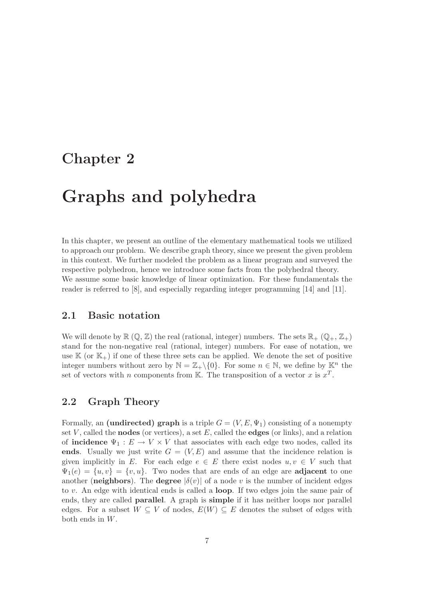# Chapter 2

# Graphs and polyhedra

In this chapter, we present an outline of the elementary mathematical tools we utilized to approach our problem. We describe graph theory, since we present the given problem in this context. We further modeled the problem as a linear program and surveyed the respective polyhedron, hence we introduce some facts from the polyhedral theory. We assume some basic knowledge of linear optimization. For these fundamentals the reader is referred to [8], and especially regarding integer programming [14] and [11].

### 2.1 Basic notation

We will denote by  $\mathbb{R}(\mathbb{Q}, \mathbb{Z})$  the real (rational, integer) numbers. The sets  $\mathbb{R}_+$  ( $\mathbb{Q}_+$ ,  $\mathbb{Z}_+$ ) stand for the non-negative real (rational, integer) numbers. For ease of notation, we use  $\mathbb{K}$  (or  $\mathbb{K}_+$ ) if one of these three sets can be applied. We denote the set of positive integer numbers without zero by  $\mathbb{N} = \mathbb{Z}_+ \setminus \{0\}$ . For some  $n \in \mathbb{N}$ , we define by  $\mathbb{K}^n$  the set of vectors with n components from K. The transposition of a vector x is  $x^T$ .

## 2.2 Graph Theory

Formally, an (undirected) graph is a triple  $G = (V, E, \Psi_1)$  consisting of a nonempty set V, called the **nodes** (or vertices), a set E, called the **edges** (or links), and a relation of **incidence**  $\Psi_1 : E \to V \times V$  that associates with each edge two nodes, called its ends. Usually we just write  $G = (V, E)$  and assume that the incidence relation is given implicitly in E. For each edge  $e \in E$  there exist nodes  $u, v \in V$  such that  $\Psi_1(e) = \{u, v\} = \{v, u\}.$  Two nodes that are ends of an edge are **adjacent** to one another (neighbors). The degree  $|\delta(v)|$  of a node v is the number of incident edges to  $v$ . An edge with identical ends is called a **loop**. If two edges join the same pair of ends, they are called parallel. A graph is simple if it has neither loops nor parallel edges. For a subset  $W \subseteq V$  of nodes,  $E(W) \subseteq E$  denotes the subset of edges with both ends in W.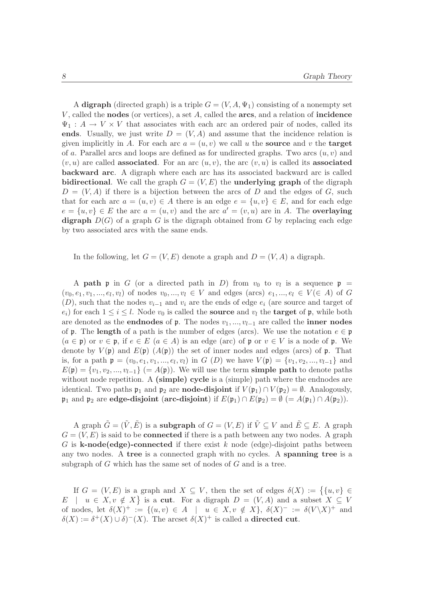A digraph (directed graph) is a triple  $G = (V, A, \Psi_1)$  consisting of a nonempty set  $V$ , called the **nodes** (or vertices), a set  $A$ , called the **arcs**, and a relation of **incidence**  $\Psi_1: A \to V \times V$  that associates with each arc an ordered pair of nodes, called its ends. Usually, we just write  $D = (V, A)$  and assume that the incidence relation is given implicitly in A. For each arc  $a = (u, v)$  we call u the **source** and v the **target** of a. Parallel arcs and loops are defined as for undirected graphs. Two arcs  $(u, v)$  and  $(v, u)$  are called **associated**. For an arc  $(u, v)$ , the arc  $(v, u)$  is called its **associated** backward arc. A digraph where each arc has its associated backward arc is called bidirectional. We call the graph  $G = (V, E)$  the underlying graph of the digraph  $D = (V, A)$  if there is a bijection between the arcs of D and the edges of G, such that for each arc  $a = (u, v) \in A$  there is an edge  $e = \{u, v\} \in E$ , and for each edge  $e = \{u, v\} \in E$  the arc  $a = (u, v)$  and the arc  $a' = (v, u)$  are in A. The **overlaying** digraph  $D(G)$  of a graph G is the digraph obtained from G by replacing each edge by two associated arcs with the same ends.

In the following, let  $G = (V, E)$  denote a graph and  $D = (V, A)$  a digraph.

A **path**  $\mathfrak p$  in G (or a directed path in D) from  $v_0$  to  $v_l$  is a sequence  $\mathfrak p$  =  $(v_0, e_1, v_1, ..., e_l, v_l)$  of nodes  $v_0, ..., v_l \in V$  and edges (arcs)  $e_1, ..., e_l \in V(\in A)$  of G  $(D)$ , such that the nodes  $v_{i-1}$  and  $v_i$  are the ends of edge  $e_i$  (are source and target of  $e_i$ ) for each  $1 \leq i \leq l$ . Node  $v_0$  is called the **source** and  $v_l$  the **target** of **p**, while both are denoted as the **endnodes** of p. The nodes  $v_1, ..., v_{l-1}$  are called the **inner nodes** of **p**. The **length** of a path is the number of edges (arcs). We use the notation  $e \in \mathfrak{p}$  $(a \in \mathfrak{p})$  or  $v \in \mathfrak{p}$ , if  $e \in E$   $(a \in A)$  is an edge (arc) of  $\mathfrak{p}$  or  $v \in V$  is a node of  $\mathfrak{p}$ . We denote by  $V(\mathfrak{p})$  and  $E(\mathfrak{p})$   $(A(\mathfrak{p}))$  the set of inner nodes and edges (arcs) of  $\mathfrak{p}$ . That is, for a path  $\mathfrak{p} = (v_0, e_1, v_1, ..., e_l, v_l)$  in  $G(D)$  we have  $V(\mathfrak{p}) = \{v_1, v_2, ..., v_{l-1}\}\$ and  $E(\mathfrak{p}) = \{v_1, v_2, ..., v_{l-1}\}$  (=  $A(\mathfrak{p})$ ). We will use the term **simple path** to denote paths without node repetition. A (simple) cycle is a (simple) path where the endnodes are identical. Two paths  $\mathfrak{p}_1$  and  $\mathfrak{p}_2$  are **node-disjoint** if  $V(\mathfrak{p}_1) \cap V(\mathfrak{p}_2) = \emptyset$ . Analogously,  $\mathfrak{p}_1$  and  $\mathfrak{p}_2$  are edge-disjoint (arc-disjoint) if  $E(\mathfrak{p}_1) \cap E(\mathfrak{p}_2) = \emptyset$  (=  $A(\mathfrak{p}_1) \cap A(\mathfrak{p}_2)$ ).

A graph  $\tilde{G} = (\tilde{V}, \tilde{E})$  is a subgraph of  $G = (V, E)$  if  $\tilde{V} \subset V$  and  $\tilde{E} \subset E$ . A graph  $G = (V, E)$  is said to be **connected** if there is a path between any two nodes. A graph G is **k-node(edge)-connected** if there exist k node (edge)-disjoint paths between any two nodes. A tree is a connected graph with no cycles. A spanning tree is a subgraph of G which has the same set of nodes of G and is a tree.

If  $G = (V, E)$  is a graph and  $X \subseteq V$ , then the set of edges  $\delta(X) := \{ \{u, v\} \in$  $E \mid u \in X, v \notin X$  is a cut. For a digraph  $D = (V, A)$  and a subset  $X \subseteq V$ of nodes, let  $\delta(X)^+ := \{(u, v) \in A \mid u \in X, v \notin X\}, \ \delta(X)^- := \delta(V\backslash X)^+$  and  $\delta(X) := \delta^+(X) \cup \delta^-(X)$ . The arcset  $\delta(X)^+$  is called a **directed cut**.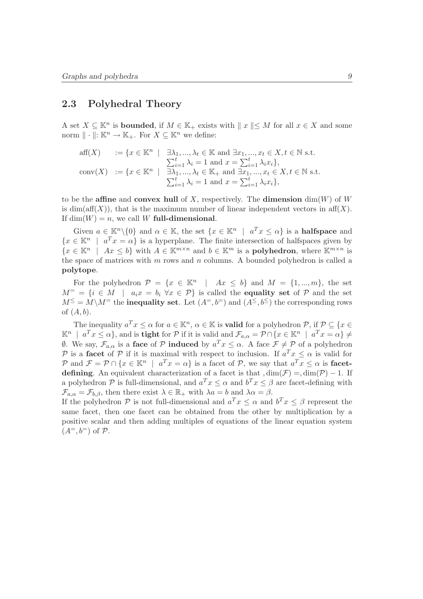### 2.3 Polyhedral Theory

A set  $X \subseteq \mathbb{K}^n$  is **bounded**, if  $M \in \mathbb{K}_+$  exists with  $\|x\| \leq M$  for all  $x \in X$  and some norm  $\| \cdot \|: \mathbb{K}^n \to \mathbb{K}_+$ . For  $X \subseteq \mathbb{K}^n$  we define:

$$
\begin{array}{ll}\n\text{aff}(X) & := \{x \in \mathbb{K}^n \mid \exists \lambda_1, ..., \lambda_t \in \mathbb{K} \text{ and } \exists x_1, ..., x_t \in X, t \in \mathbb{N} \text{ s.t.} \\
&\sum_{i=1}^t \lambda_i = 1 \text{ and } x = \sum_{i=1}^t \lambda_i x_i\}, \\
\text{conv}(X) & := \{x \in \mathbb{K}^n \mid \exists \lambda_1, ..., \lambda_t \in \mathbb{K}_+ \text{ and } \exists x_1, ..., x_t \in X, t \in \mathbb{N} \text{ s.t.} \\
&\sum_{i=1}^t \lambda_i = 1 \text{ and } x = \sum_{i=1}^t \lambda_i x_i\},\n\end{array}
$$

to be the affine and convex hull of X, respectively. The dimension  $\dim(W)$  of W is dim(aff(X)), that is the maximum number of linear independent vectors in  $\text{aff}(X)$ . If  $dim(W) = n$ , we call W full-dimensional.

Given  $a \in \mathbb{K}^n \setminus \{0\}$  and  $\alpha \in \mathbb{K}$ , the set  $\{x \in \mathbb{K}^n \mid a^T x \leq \alpha\}$  is a **halfspace** and  $\{x \in \mathbb{K}^n \mid a^T x = \alpha\}$  is a hyperplane. The finite intersection of halfspaces given by  $\{x \in \mathbb{K}^n \mid Ax \leq b\}$  with  $A \in \mathbb{K}^{m \times n}$  and  $b \in \mathbb{K}^m$  is a **polyhedron**, where  $\mathbb{K}^{m \times n}$  is the space of matrices with  $m$  rows and  $n$  columns. A bounded polyhedron is called a polytope.

For the polyhedron  $\mathcal{P} = \{x \in \mathbb{K}^n \mid Ax \leq b\}$  and  $M = \{1, ..., m\}$ , the set  $M^=$  = { $i \in M$  |  $a_i x = b_i \ \forall x \in \mathcal{P}$ } is called the **equality set** of  $\mathcal{P}$  and the set  $M^{\leq} = M \backslash M^=$  the **inequality set**. Let  $(A^=, b^=)$  and  $(A^{\leq}, b^{\leq})$  the corresponding rows of  $(A, b)$ .

The inequality  $a^T x \leq \alpha$  for  $a \in \mathbb{K}^n$ ,  $\alpha \in \mathbb{K}$  is **valid** for a polyhedron  $\mathcal{P}$ , if  $\mathcal{P} \subseteq \{x \in \mathcal{P}\}$  $\mathbb{K}^n$  |  $a^T x \le \alpha$ }, and is tight for  $\mathcal P$  if it is valid and  $\mathcal F_{a,\alpha} = \mathcal P \cap \{x \in \mathbb{K}^n \, \mid \, a^T x = \alpha\} \ne$  $\emptyset$ . We say,  $\mathcal{F}_{a,\alpha}$  is a face of  $\mathcal P$  induced by  $a^T x \leq \alpha$ . A face  $\mathcal F \neq \mathcal P$  of a polyhedron P is a facet of P if it is maximal with respect to inclusion. If  $a^T x \leq \alpha$  is valid for P and  $\mathcal{F} = \mathcal{P} \cap \{x \in \mathbb{K}^n \mid a^T x = \alpha\}$  is a facet of P, we say that  $a^T x \leq \alpha$  is **facet**defining. An equivalent characterization of a facet is that  $\dim(\mathcal{F}) = \dim(\mathcal{P}) - 1$ . If a polyhedron  $P$  is full-dimensional, and  $a^T x \leq \alpha$  and  $b^T x \leq \beta$  are facet-defining with  $\mathcal{F}_{a,\alpha} = \mathcal{F}_{b,\beta}$ , then there exist  $\lambda \in \mathbb{R}_+$  with  $\lambda a = b$  and  $\lambda \alpha = \beta$ .

If the polyhedron  $P$  is not full-dimensional and  $a^T x \leq \alpha$  and  $b^T x \leq \beta$  represent the same facet, then one facet can be obtained from the other by multiplication by a positive scalar and then adding multiples of equations of the linear equation system  $(A^=, b^=)$  of  $\mathcal{P}$ .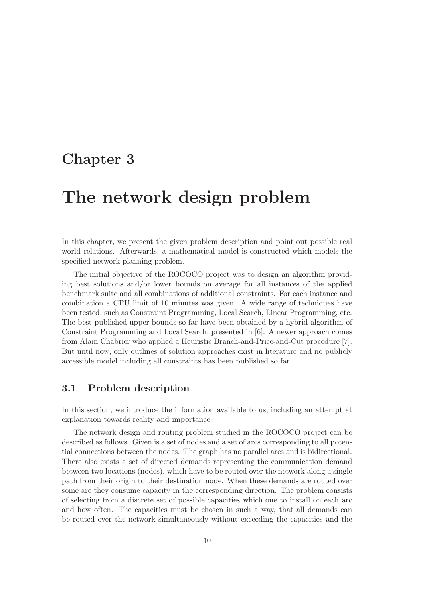# Chapter 3

# The network design problem

In this chapter, we present the given problem description and point out possible real world relations. Afterwards, a mathematical model is constructed which models the specified network planning problem.

The initial objective of the ROCOCO project was to design an algorithm providing best solutions and/or lower bounds on average for all instances of the applied benchmark suite and all combinations of additional constraints. For each instance and combination a CPU limit of 10 minutes was given. A wide range of techniques have been tested, such as Constraint Programming, Local Search, Linear Programming, etc. The best published upper bounds so far have been obtained by a hybrid algorithm of Constraint Programming and Local Search, presented in [6]. A newer approach comes from Alain Chabrier who applied a Heuristic Branch-and-Price-and-Cut procedure [7]. But until now, only outlines of solution approaches exist in literature and no publicly accessible model including all constraints has been published so far.

### 3.1 Problem description

In this section, we introduce the information available to us, including an attempt at explanation towards reality and importance.

The network design and routing problem studied in the ROCOCO project can be described as follows: Given is a set of nodes and a set of arcs corresponding to all potential connections between the nodes. The graph has no parallel arcs and is bidirectional. There also exists a set of directed demands representing the communication demand between two locations (nodes), which have to be routed over the network along a single path from their origin to their destination node. When these demands are routed over some arc they consume capacity in the corresponding direction. The problem consists of selecting from a discrete set of possible capacities which one to install on each arc and how often. The capacities must be chosen in such a way, that all demands can be routed over the network simultaneously without exceeding the capacities and the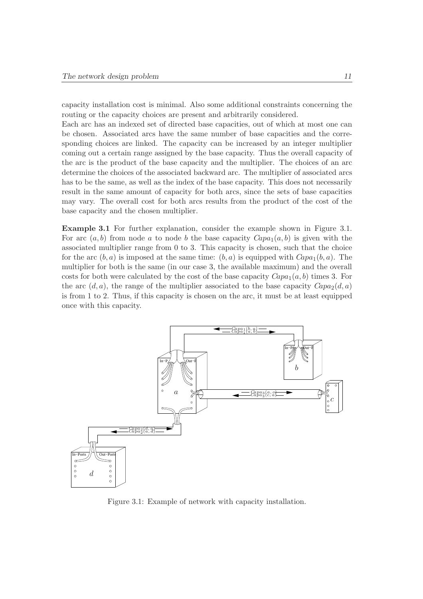capacity installation cost is minimal. Also some additional constraints concerning the routing or the capacity choices are present and arbitrarily considered.

Each arc has an indexed set of directed base capacities, out of which at most one can be chosen. Associated arcs have the same number of base capacities and the corresponding choices are linked. The capacity can be increased by an integer multiplier coming out a certain range assigned by the base capacity. Thus the overall capacity of the arc is the product of the base capacity and the multiplier. The choices of an arc determine the choices of the associated backward arc. The multiplier of associated arcs has to be the same, as well as the index of the base capacity. This does not necessarily result in the same amount of capacity for both arcs, since the sets of base capacities may vary. The overall cost for both arcs results from the product of the cost of the base capacity and the chosen multiplier.

Example 3.1 For further explanation, consider the example shown in Figure 3.1. For arc  $(a, b)$  from node a to node b the base capacity  $Capa_1(a, b)$  is given with the associated multiplier range from 0 to 3. This capacity is chosen, such that the choice for the arc  $(b, a)$  is imposed at the same time:  $(b, a)$  is equipped with  $Capa_1(b, a)$ . The multiplier for both is the same (in our case 3, the available maximum) and the overall costs for both were calculated by the cost of the base capacity  $Capa_1(a, b)$  times 3. For the arc  $(d, a)$ , the range of the multiplier associated to the base capacity  $Capa_2(d, a)$ is from 1 to 2. Thus, if this capacity is chosen on the arc, it must be at least equipped once with this capacity.



Figure 3.1: Example of network with capacity installation.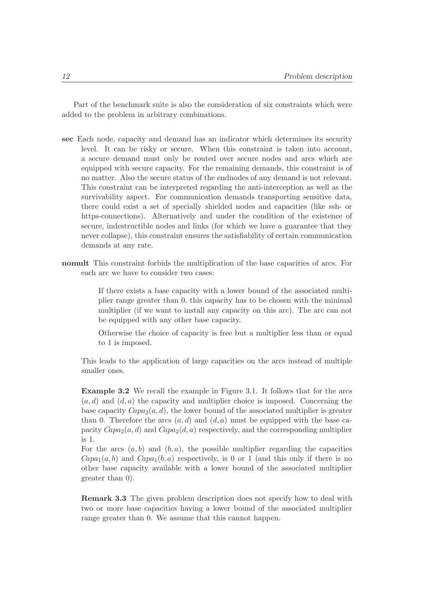Part of the benchmark suite is also the consideration of six constraints which were added to the problem in arbitrary combinations.

- sec Each node, capacity and demand has an indicator which determines its security level. It can be risky or secure. When this constraint is taken into account, a secure demand must only be routed over secure nodes and arcs which are equipped with secure capacity. For the remaining demands, this constraint is of no matter. Also the secure status of the endnodes of any demand is not relevant. This constraint can be interpreted regarding the anti-interception as well as the survivability aspect. For communication demands transporting sensitive data, there could exist a set of specially shielded nodes and capacities (like ssh- or https-connections). Alternatively and under the condition of the existence of secure, indestructible nodes and links (for which we have a guarantee that they never collapse), this constraint ensures the satisfiability of certain communication demands at any rate.
- nomult This constraint forbids the multiplication of the base capacities of arcs. For each arc we have to consider two cases:

If there exists a base capacity with a lower bound of the associated multiplier range greater than 0, this capacity has to be chosen with the minimal multiplier (if we want to install any capacity on this arc). The arc can not be equipped with any other base capacity.

Otherwise the choice of capacity is free but a multiplier less than or equal to 1 is imposed.

This leads to the application of large capacities on the arcs instead of multiple smaller ones.

Example 3.2 We recall the example in Figure 3.1. It follows that for the arcs  $(a, d)$  and  $(d, a)$  the capacity and multiplier choice is imposed. Concerning the base capacity  $Capao_2(a, d)$ , the lower bound of the associated multiplier is greater than 0. Therefore the arcs  $(a, d)$  and  $(d, a)$  must be equipped with the base capacity  $Capa_2(a, d)$  and  $Capa_2(d, a)$  respectively, and the corresponding multiplier is 1.

For the arcs  $(a, b)$  and  $(b, a)$ , the possible multiplier regarding the capacities  $Capa_1(a, b)$  and  $Capa_1(b, a)$  respectively, is 0 or 1 (and this only if there is no other base capacity available with a lower bound of the associated multiplier greater than 0).

Remark 3.3 The given problem description does not specify how to deal with two or more base capacities having a lower bound of the associated multiplier range greater than 0. We assume that this cannot happen.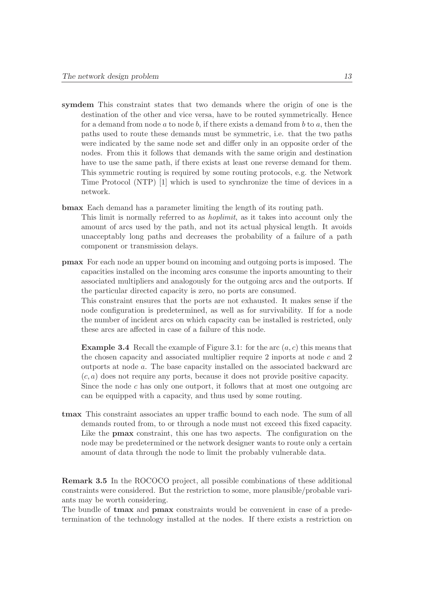component or transmission delays.

- symdem This constraint states that two demands where the origin of one is the destination of the other and vice versa, have to be routed symmetrically. Hence for a demand from node a to node b, if there exists a demand from b to a, then the paths used to route these demands must be symmetric, i.e. that the two paths were indicated by the same node set and differ only in an opposite order of the nodes. From this it follows that demands with the same origin and destination have to use the same path, if there exists at least one reverse demand for them. This symmetric routing is required by some routing protocols, e.g. the Network Time Protocol (NTP) [1] which is used to synchronize the time of devices in a network.
- bmax Each demand has a parameter limiting the length of its routing path. This limit is normally referred to as hoplimit, as it takes into account only the amount of arcs used by the path, and not its actual physical length. It avoids unacceptably long paths and decreases the probability of a failure of a path
- pmax For each node an upper bound on incoming and outgoing ports is imposed. The capacities installed on the incoming arcs consume the inports amounting to their associated multipliers and analogously for the outgoing arcs and the outports. If the particular directed capacity is zero, no ports are consumed.

This constraint ensures that the ports are not exhausted. It makes sense if the node configuration is predetermined, as well as for survivability. If for a node the number of incident arcs on which capacity can be installed is restricted, only these arcs are affected in case of a failure of this node.

**Example 3.4** Recall the example of Figure 3.1: for the arc  $(a, c)$  this means that the chosen capacity and associated multiplier require 2 inports at node c and 2 outports at node a. The base capacity installed on the associated backward arc  $(c, a)$  does not require any ports, because it does not provide positive capacity. Since the node  $c$  has only one outport, it follows that at most one outgoing arc can be equipped with a capacity, and thus used by some routing.

tmax This constraint associates an upper traffic bound to each node. The sum of all demands routed from, to or through a node must not exceed this fixed capacity. Like the **pmax** constraint, this one has two aspects. The configuration on the node may be predetermined or the network designer wants to route only a certain amount of data through the node to limit the probably vulnerable data.

Remark 3.5 In the ROCOCO project, all possible combinations of these additional constraints were considered. But the restriction to some, more plausible/probable variants may be worth considering.

The bundle of tmax and pmax constraints would be convenient in case of a predetermination of the technology installed at the nodes. If there exists a restriction on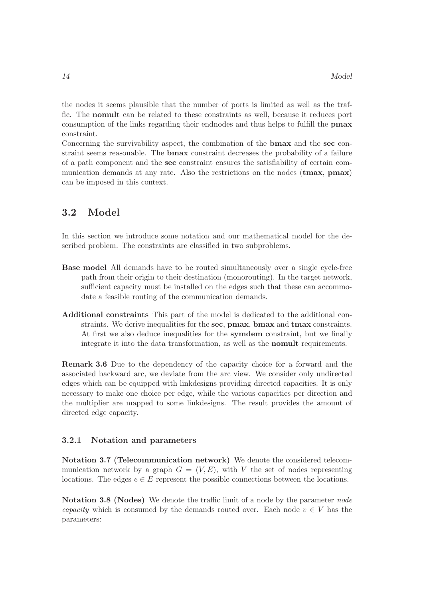the nodes it seems plausible that the number of ports is limited as well as the traffic. The nomult can be related to these constraints as well, because it reduces port consumption of the links regarding their endnodes and thus helps to fulfill the pmax constraint.

Concerning the survivability aspect, the combination of the bmax and the sec constraint seems reasonable. The bmax constraint decreases the probability of a failure of a path component and the sec constraint ensures the satisfiability of certain communication demands at any rate. Also the restrictions on the nodes (tmax, pmax) can be imposed in this context.

## 3.2 Model

In this section we introduce some notation and our mathematical model for the described problem. The constraints are classified in two subproblems.

- Base model All demands have to be routed simultaneously over a single cycle-free path from their origin to their destination (monorouting). In the target network, sufficient capacity must be installed on the edges such that these can accommodate a feasible routing of the communication demands.
- Additional constraints This part of the model is dedicated to the additional constraints. We derive inequalities for the sec, pmax, bmax and tmax constraints. At first we also deduce inequalities for the symdem constraint, but we finally integrate it into the data transformation, as well as the nomult requirements.

Remark 3.6 Due to the dependency of the capacity choice for a forward and the associated backward arc, we deviate from the arc view. We consider only undirected edges which can be equipped with linkdesigns providing directed capacities. It is only necessary to make one choice per edge, while the various capacities per direction and the multiplier are mapped to some linkdesigns. The result provides the amount of directed edge capacity.

#### 3.2.1 Notation and parameters

Notation 3.7 (Telecommunication network) We denote the considered telecommunication network by a graph  $G = (V, E)$ , with V the set of nodes representing locations. The edges  $e \in E$  represent the possible connections between the locations.

Notation 3.8 (Nodes) We denote the traffic limit of a node by the parameter *node* capacity which is consumed by the demands routed over. Each node  $v \in V$  has the parameters: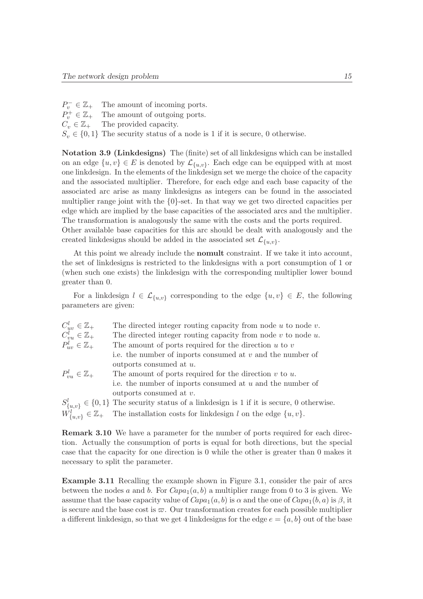$P_v^-$ The amount of incoming ports.  $P_v^+$ The amount of outgoing ports.  $C_v \in \mathbb{Z}_+$  The provided capacity.  $S_v \in \{0,1\}$  The security status of a node is 1 if it is secure, 0 otherwise.

Notation 3.9 (Linkdesigns) The (finite) set of all linkdesigns which can be installed on an edge  $\{u, v\} \in E$  is denoted by  $\mathcal{L}_{\{u, v\}}$ . Each edge can be equipped with at most one linkdesign. In the elements of the linkdesign set we merge the choice of the capacity and the associated multiplier. Therefore, for each edge and each base capacity of the associated arc arise as many linkdesigns as integers can be found in the associated multiplier range joint with the  ${0}$ -set. In that way we get two directed capacities per edge which are implied by the base capacities of the associated arcs and the multiplier. The transformation is analogously the same with the costs and the ports required.

Other available base capacities for this arc should be dealt with analogously and the created linkdesigns should be added in the associated set  $\mathcal{L}_{\{u,v\}}$ .

At this point we already include the nomult constraint. If we take it into account, the set of linkdesigns is restricted to the linkdesigns with a port consumption of 1 or (when such one exists) the linkdesign with the corresponding multiplier lower bound greater than 0.

For a linkdesign  $l \in \mathcal{L}_{\{u,v\}}$  corresponding to the edge  $\{u,v\} \in E$ , the following parameters are given:

| $C_{uv}^l \in \mathbb{Z}_+$                                | The directed integer routing capacity from node $u$ to node $v$ .                                   |
|------------------------------------------------------------|-----------------------------------------------------------------------------------------------------|
| $C_{vu}^l \in \mathbb{Z}_+$<br>$P_{uv}^l \in \mathbb{Z}_+$ | The directed integer routing capacity from node $v$ to node $u$ .                                   |
|                                                            | The amount of ports required for the direction $u$ to $v$                                           |
|                                                            | i.e. the number of inports consumed at $v$ and the number of                                        |
|                                                            | outports consumed at u.                                                                             |
| $P_{vu}^l \in \mathbb{Z}_+$                                | The amount of ports required for the direction $v$ to $u$ .                                         |
|                                                            | i.e. the number of inports consumed at $u$ and the number of                                        |
|                                                            | outports consumed at $v$ .                                                                          |
|                                                            | $S_{\{u,v\}}^l \in \{0,1\}$ The security status of a link design is 1 if it is secure, 0 otherwise. |
|                                                            | $W_{\{u,v\}}^l \in \mathbb{Z}_+$ The installation costs for link design l on the edge $\{u,v\}$ .   |

Remark 3.10 We have a parameter for the number of ports required for each direction. Actually the consumption of ports is equal for both directions, but the special case that the capacity for one direction is 0 while the other is greater than 0 makes it necessary to split the parameter.

Example 3.11 Recalling the example shown in Figure 3.1, consider the pair of arcs between the nodes a and b. For  $Capa<sub>1</sub>(a, b)$  a multiplier range from 0 to 3 is given. We assume that the base capacity value of  $Capa_1(a, b)$  is  $\alpha$  and the one of  $Capa_1(b, a)$  is  $\beta$ , it is secure and the base cost is  $\varpi$ . Our transformation creates for each possible multiplier a different linkdesign, so that we get 4 linkdesigns for the edge  $e = \{a, b\}$  out of the base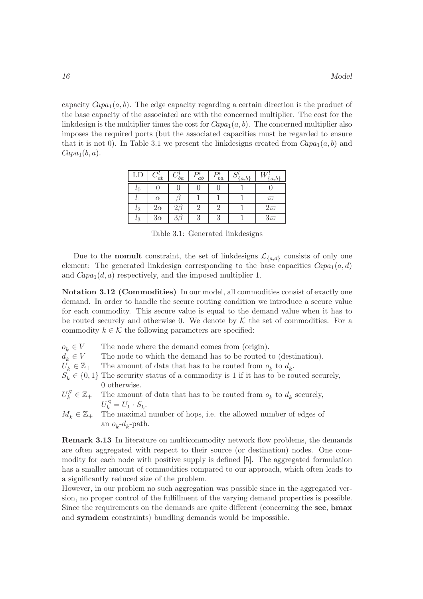capacity  $Capa<sub>1</sub>(a, b)$ . The edge capacity regarding a certain direction is the product of the base capacity of the associated arc with the concerned multiplier. The cost for the linkdesign is the multiplier times the cost for  $Capa_1(a, b)$ . The concerned multiplier also imposes the required ports (but the associated capacities must be regarded to ensure that it is not 0). In Table 3.1 we present the linkdesigns created from  $Capa_1(a, b)$  and  $Capa_1(b, a)$ .

| LD             | 'ab       | 'ba      | ab | ba | $\{a,b\}$ | a.b       |
|----------------|-----------|----------|----|----|-----------|-----------|
| $\iota_0$      |           |          |    |    |           |           |
| l <sub>1</sub> | $\alpha$  |          |    |    |           | $\varpi$  |
| $l_2$          | $2\alpha$ |          |    |    |           | $2\varpi$ |
| $l_3$          | $3\alpha$ | $3\beta$ |    | റ  |           | $3\varpi$ |

Table 3.1: Generated linkdesigns

Due to the **nomult** constraint, the set of linkdesigns  $\mathcal{L}_{\{a,d\}}$  consists of only one element: The generated linkdesign corresponding to the base capacities  $Capa_1(a, d)$ and  $Capa_1(d, a)$  respectively, and the imposed multiplier 1.

Notation 3.12 (Commodities) In our model, all commodities consist of exactly one demand. In order to handle the secure routing condition we introduce a secure value for each commodity. This secure value is equal to the demand value when it has to be routed securely and otherwise 0. We denote by  $\mathcal K$  the set of commodities. For a commodity  $k \in \mathcal{K}$  the following parameters are specified:

| $o_k \in V$            |                        | The node where the demand comes from (origin).                                                  |
|------------------------|------------------------|-------------------------------------------------------------------------------------------------|
| $d_k \in V$            |                        | The node to which the demand has to be routed to (destination).                                 |
| $U_k \in \mathbb{Z}_+$ |                        | The amount of data that has to be routed from $o_k$ to $d_k$ .                                  |
|                        |                        | $S_k \in \{0,1\}$ The security status of a commodity is 1 if it has to be routed securely,      |
|                        |                        | 0 otherwise.                                                                                    |
|                        |                        | $U_k^S \in \mathbb{Z}_+$ The amount of data that has to be routed from $o_k$ to $d_k$ securely, |
|                        |                        | $U_k^S = U_k \cdot S_k.$                                                                        |
|                        | $M_k \in \mathbb{Z}_+$ | The maximal number of hops, i.e. the allowed number of edges of                                 |
|                        |                        | an $o_k - d_k$ -path.                                                                           |

Remark 3.13 In literature on multicommodity network flow problems, the demands are often aggregated with respect to their source (or destination) nodes. One commodity for each node with positive supply is defined [5]. The aggregated formulation has a smaller amount of commodities compared to our approach, which often leads to a significantly reduced size of the problem.

However, in our problem no such aggregation was possible since in the aggregated version, no proper control of the fulfillment of the varying demand properties is possible. Since the requirements on the demands are quite different (concerning the sec, bmax and symdem constraints) bundling demands would be impossible.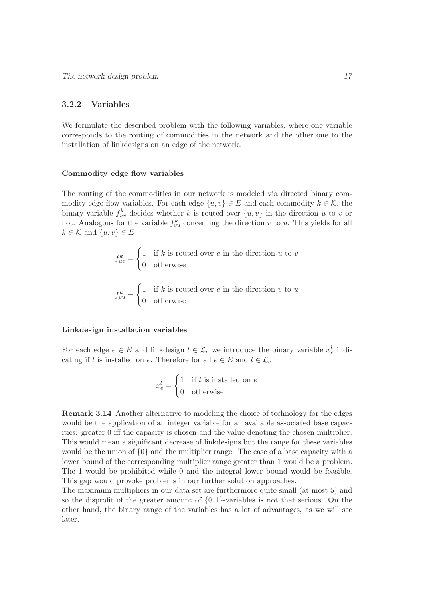#### 3.2.2 Variables

We formulate the described problem with the following variables, where one variable corresponds to the routing of commodities in the network and the other one to the installation of linkdesigns on an edge of the network.

#### Commodity edge flow variables

The routing of the commodities in our network is modeled via directed binary commodity edge flow variables. For each edge  $\{u, v\} \in E$  and each commodity  $k \in \mathcal{K}$ , the binary variable  $f_{uv}^k$  decides whether k is routed over  $\{u, v\}$  in the direction u to v or not. Analogous for the variable  $f_{vu}^k$  concerning the direction v to u. This yields for all  $k \in \mathcal{K}$  and  $\{u, v\} \in E$ 

$$
f_{uv}^k = \begin{cases} 1 & \text{if } k \text{ is routed over } e \text{ in the direction } u \text{ to } v \\ 0 & \text{otherwise} \end{cases}
$$

$$
f_{vu}^k = \begin{cases} 1 & \text{if } k \text{ is routed over } e \text{ in the direction } v \text{ to } u \\ 0 & \text{otherwise} \end{cases}
$$

#### Linkdesign installation variables

For each edge  $e \in E$  and linkdesign  $l \in \mathcal{L}_e$  we introduce the binary variable  $x_e^l$  indicating if l is installed on e. Therefore for all  $e \in E$  and  $l \in \mathcal{L}_e$ 

$$
x_e^l = \begin{cases} 1 & \text{if } l \text{ is installed on } e \\ 0 & \text{otherwise} \end{cases}
$$

Remark 3.14 Another alternative to modeling the choice of technology for the edges would be the application of an integer variable for all available associated base capacities: greater 0 iff the capacity is chosen and the value denoting the chosen multiplier. This would mean a significant decrease of linkdesigns but the range for these variables would be the union of {0} and the multiplier range. The case of a base capacity with a lower bound of the corresponding multiplier range greater than 1 would be a problem. The 1 would be prohibited while 0 and the integral lower bound would be feasible. This gap would provoke problems in our further solution approaches.

The maximum multipliers in our data set are furthermore quite small (at most 5) and so the disprofit of the greater amount of  $\{0, 1\}$ -variables is not that serious. On the other hand, the binary range of the variables has a lot of advantages, as we will see later.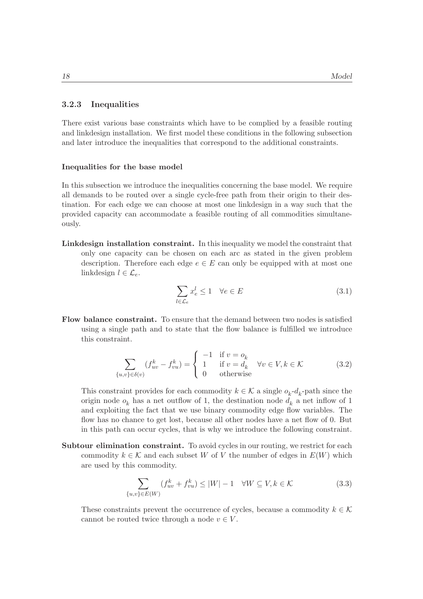#### 3.2.3 Inequalities

There exist various base constraints which have to be complied by a feasible routing and linkdesign installation. We first model these conditions in the following subsection and later introduce the inequalities that correspond to the additional constraints.

#### Inequalities for the base model

In this subsection we introduce the inequalities concerning the base model. We require all demands to be routed over a single cycle-free path from their origin to their destination. For each edge we can choose at most one linkdesign in a way such that the provided capacity can accommodate a feasible routing of all commodities simultaneously.

Linkdesign installation constraint. In this inequality we model the constraint that only one capacity can be chosen on each arc as stated in the given problem description. Therefore each edge  $e \in E$  can only be equipped with at most one linkdesign  $l \in \mathcal{L}_e$ .

$$
\sum_{l \in \mathcal{L}_e} x_e^l \le 1 \quad \forall e \in E \tag{3.1}
$$

Flow balance constraint. To ensure that the demand between two nodes is satisfied using a single path and to state that the flow balance is fulfilled we introduce this constraint.

$$
\sum_{\{u,v\}\in\delta(v)} (f_{uv}^k - f_{vu}^k) = \begin{cases} -1 & \text{if } v = o_k \\ 1 & \text{if } v = d_k \\ 0 & \text{otherwise} \end{cases} \quad \forall v \in V, k \in \mathcal{K} \tag{3.2}
$$

This constraint provides for each commodity  $k \in \mathcal{K}$  a single  $o_k$ - $d_k$ -path since the origin node  $o_k$  has a net outflow of 1, the destination node  $d_k$  a net inflow of 1 and exploiting the fact that we use binary commodity edge flow variables. The flow has no chance to get lost, because all other nodes have a net flow of 0. But in this path can occur cycles, that is why we introduce the following constraint.

Subtour elimination constraint. To avoid cycles in our routing, we restrict for each commodity  $k \in \mathcal{K}$  and each subset W of V the number of edges in  $E(W)$  which are used by this commodity.

$$
\sum_{\{u,v\}\in E(W)} (f_{uv}^k + f_{vu}^k) \le |W| - 1 \quad \forall W \subseteq V, k \in \mathcal{K}
$$
\n(3.3)

These constraints prevent the occurrence of cycles, because a commodity  $k \in \mathcal{K}$ cannot be routed twice through a node  $v \in V$ .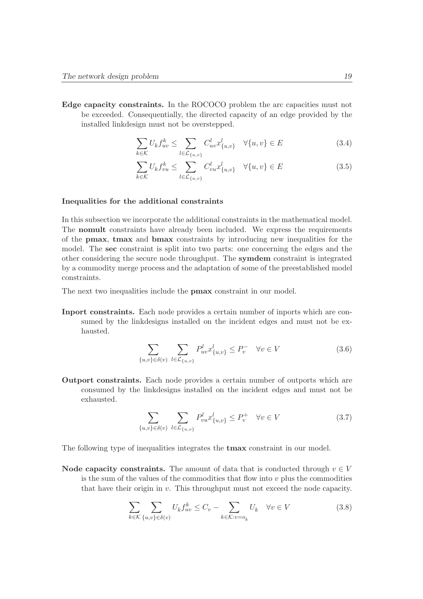Edge capacity constraints. In the ROCOCO problem the arc capacities must not be exceeded. Consequentially, the directed capacity of an edge provided by the installed linkdesign must not be overstepped.

$$
\sum_{k \in \mathcal{K}} U_k f_{uv}^k \le \sum_{l \in \mathcal{L}_{\{u,v\}}} C_{uv}^l x_{\{u,v\}}^l \quad \forall \{u,v\} \in E
$$
\n(3.4)

$$
\sum_{k \in \mathcal{K}} U_k f_{vu}^k \le \sum_{l \in \mathcal{L}_{\{u,v\}}} C_{vu}^l x_{\{u,v\}}^l \quad \forall \{u,v\} \in E \tag{3.5}
$$

#### Inequalities for the additional constraints

In this subsection we incorporate the additional constraints in the mathematical model. The nomult constraints have already been included. We express the requirements of the pmax, tmax and bmax constraints by introducing new inequalities for the model. The sec constraint is split into two parts: one concerning the edges and the other considering the secure node throughput. The symdem constraint is integrated by a commodity merge process and the adaptation of some of the preestablished model constraints.

The next two inequalities include the pmax constraint in our model.

Inport constraints. Each node provides a certain number of inports which are consumed by the linkdesigns installed on the incident edges and must not be exhausted.

$$
\sum_{\{u,v\}\in\delta(v)}\sum_{l\in\mathcal{L}_{\{u,v\}}}P_{uv}^l x_{\{u,v\}}^l \le P_v^- \quad \forall v \in V
$$
\n(3.6)

Outport constraints. Each node provides a certain number of outports which are consumed by the linkdesigns installed on the incident edges and must not be exhausted.

$$
\sum_{\{u,v\}\in\delta(v)}\sum_{l\in\mathcal{L}_{\{u,v\}}}P_{vu}^l x_{\{u,v\}}^l \le P_v^+ \quad \forall v \in V
$$
\n(3.7)

The following type of inequalities integrates the **tmax** constraint in our model.

Node capacity constraints. The amount of data that is conducted through  $v \in V$ is the sum of the values of the commodities that flow into  $v$  plus the commodities that have their origin in v. This throughput must not exceed the node capacity.

$$
\sum_{k \in \mathcal{K}} \sum_{\{u,v\} \in \delta(v)} U_k f_{uv}^k \le C_v - \sum_{k \in \mathcal{K}: v = o_k} U_k \quad \forall v \in V
$$
\n(3.8)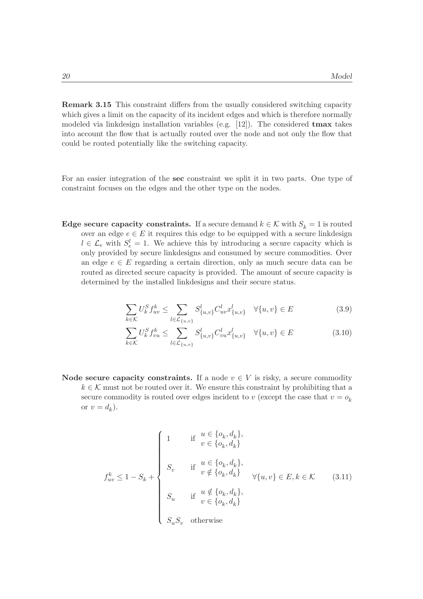Remark 3.15 This constraint differs from the usually considered switching capacity which gives a limit on the capacity of its incident edges and which is therefore normally modeled via linkdesign installation variables (e.g.  $[12]$ ). The considered **tmax** takes into account the flow that is actually routed over the node and not only the flow that could be routed potentially like the switching capacity.

For an easier integration of the sec constraint we split it in two parts. One type of constraint focuses on the edges and the other type on the nodes.

Edge secure capacity constraints. If a secure demand  $k \in \mathcal{K}$  with  $S_k = 1$  is routed over an edge  $e \in E$  it requires this edge to be equipped with a secure link<br>design  $l \in \mathcal{L}_e$  with  $S_e^l = 1$ . We achieve this by introducing a secure capacity which is only provided by secure linkdesigns and consumed by secure commodities. Over an edge  $e \in E$  regarding a certain direction, only as much secure data can be routed as directed secure capacity is provided. The amount of secure capacity is determined by the installed linkdesigns and their secure status.

$$
\sum_{k \in \mathcal{K}} U_k^S f_{uv}^k \le \sum_{l \in \mathcal{L}_{\{u,v\}}} S_{\{u,v\}}^l C_{uv}^l x_{\{u,v\}}^l \quad \forall \{u,v\} \in E
$$
\n(3.9)

$$
\sum_{k \in \mathcal{K}} U_k^S f_{vu}^k \le \sum_{l \in \mathcal{L}_{\{u,v\}}} S_{\{u,v\}}^l C_{vu}^l x_{\{u,v\}}^l \quad \forall \{u,v\} \in E
$$
\n(3.10)

Node secure capacity constraints. If a node  $v \in V$  is risky, a secure commodity  $k \in \mathcal{K}$  must not be routed over it. We ensure this constraint by prohibiting that a secure commodity is routed over edges incident to v (except the case that  $v = o_k$ ) or  $v = d_k$ ).

$$
f_{uv}^k \le 1 - S_k + \begin{cases} 1 & \text{if } u \in \{o_k, d_k\}, \\ & v \in \{o_k, d_k\} \\ S_v & \text{if } u \in \{o_k, d_k\}, \\ & v \notin \{o_k, d_k\} \\ S_u & \text{if } u \notin \{o_k, d_k\}, \\ S_u & \text{if } v \in \{o_k, d_k\} \\ S_u S_v & \text{otherwise} \end{cases} \quad \forall \{u, v\} \in E, k \in \mathcal{K} \tag{3.11}
$$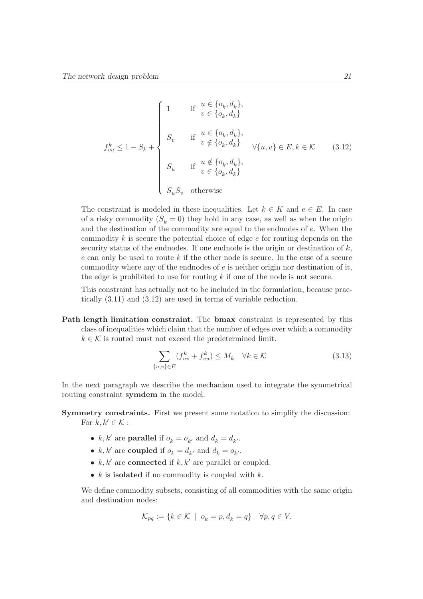$$
f_{vu}^k \le 1 - S_k + \begin{cases} 1 & \text{if } u \in \{o_k, d_k\}, \\ & v \in \{o_k, d_k\} \\ & \text{if } u \in \{o_k, d_k\}, \\ & v \notin \{o_k, d_k\} \\ & S_u & \text{if } u \notin \{o_k, d_k\}, \\ & S_u & \text{if } u \notin \{o_k, d_k\}, \\ & v \in \{o_k, d_k\} \\ & S_u S_v & \text{otherwise} \end{cases} \tag{3.12}
$$

The constraint is modeled in these inequalities. Let  $k \in K$  and  $e \in E$ . In case of a risky commodity  $(S_k = 0)$  they hold in any case, as well as when the origin and the destination of the commodity are equal to the endnodes of e. When the commodity k is secure the potential choice of edge e for routing depends on the security status of the endnodes. If one endnode is the origin or destination of  $k$ , e can only be used to route k if the other node is secure. In the case of a secure commodity where any of the endnodes of  $e$  is neither origin nor destination of it, the edge is prohibited to use for routing  $k$  if one of the node is not secure.

This constraint has actually not to be included in the formulation, because practically (3.11) and (3.12) are used in terms of variable reduction.

Path length limitation constraint. The bmax constraint is represented by this class of inequalities which claim that the number of edges over which a commodity  $k \in \mathcal{K}$  is routed must not exceed the predetermined limit.

$$
\sum_{\{u,v\}\in E} (f_{uv}^k + f_{vu}^k) \le M_k \quad \forall k \in \mathcal{K}
$$
\n(3.13)

In the next paragraph we describe the mechanism used to integrate the symmetrical routing constraint symdem in the model.

Symmetry constraints. First we present some notation to simplify the discussion: For  $k, k' \in \mathcal{K}$ :

- $k, k'$  are **parallel** if  $o_k = o_{k'}$  and  $d_k = d_{k'}$ .
- $k, k'$  are **coupled** if  $o_k = d_{k'}$  and  $d_k = o_{k'}$ .
- $k, k'$  are **connected** if  $k, k'$  are parallel or coupled.
- $k$  is **isolated** if no commodity is coupled with  $k$ .

We define commodity subsets, consisting of all commodities with the same origin and destination nodes:

$$
\mathcal{K}_{pq} := \{ k \in \mathcal{K} \mid o_k = p, d_k = q \} \quad \forall p, q \in V.
$$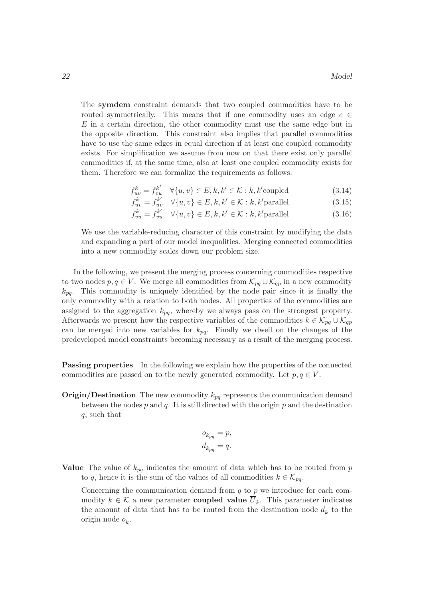The symdem constraint demands that two coupled commodities have to be routed symmetrically. This means that if one commodity uses an edge  $e \in \mathcal{E}$  $E$  in a certain direction, the other commodity must use the same edge but in the opposite direction. This constraint also implies that parallel commodities have to use the same edges in equal direction if at least one coupled commodity exists. For simplification we assume from now on that there exist only parallel commodities if, at the same time, also at least one coupled commodity exists for them. Therefore we can formalize the requirements as follows:

$$
f_{uv}^k = f_{vu}^{k'} \quad \forall \{u, v\} \in E, k, k' \in \mathcal{K} : k, k' \text{coupled}
$$
\n(3.14)

$$
f_{uv}^k = f_{uv}^{k'} \quad \forall \{u, v\} \in E, k, k' \in \mathcal{K} : k, k' \text{parallel}
$$
\n
$$
f_{uv}^k = f_{uv}^{k'} \quad \forall (u, v) \in E, k, k' \in \mathcal{K} : k, k' \text{parallel}
$$
\n
$$
(3.15)
$$

$$
f_{vu}^k = f_{vu}^{k'} \quad \forall \{u, v\} \in E, k, k' \in \mathcal{K} : k, k' \text{parallel}
$$
\n
$$
(3.16)
$$

We use the variable-reducing character of this constraint by modifying the data and expanding a part of our model inequalities. Merging connected commodities into a new commodity scales down our problem size.

In the following, we present the merging process concerning commodities respective to two nodes  $p, q \in V$ . We merge all commodities from  $\mathcal{K}_{pq} \cup \mathcal{K}_{qp}$  in a new commodity  $k_{pq}$ . This commodity is uniquely identified by the node pair since it is finally the only commodity with a relation to both nodes. All properties of the commodities are assigned to the aggregation  $k_{pq}$ , whereby we always pass on the strongest property. Afterwards we present how the respective variables of the commodities  $k \in \mathcal{K}_{pq} \cup \mathcal{K}_{qp}$ can be merged into new variables for  $k_{pq}$ . Finally we dwell on the changes of the predeveloped model constraints becoming necessary as a result of the merging process.

**Passing properties** In the following we explain how the properties of the connected commodities are passed on to the newly generated commodity. Let  $p, q \in V$ .

**Origin/Destination** The new commodity  $k_{pq}$  represents the communication demand between the nodes  $p$  and  $q$ . It is still directed with the origin  $p$  and the destination q, such that

$$
o_{k_{pq}} = p,
$$
  

$$
d_{k_{pq}} = q.
$$

Value The value of  $k_{pq}$  indicates the amount of data which has to be routed from p to q, hence it is the sum of the values of all commodities  $k \in \mathcal{K}_{pq}$ .

Concerning the communication demand from  $q$  to  $p$  we introduce for each commodity  $k \in \mathcal{K}$  a new parameter **coupled value**  $U_k$ . This parameter indicates the amount of data that has to be routed from the destination node  $d_k$  to the origin node  $o_k$ .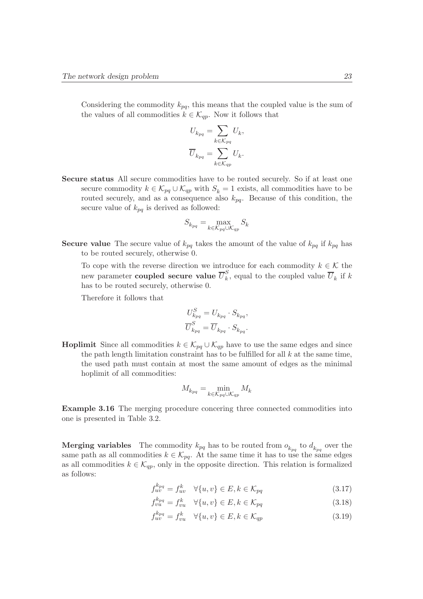Considering the commodity  $k_{pq}$ , this means that the coupled value is the sum of the values of all commodities  $k \in \mathcal{K}_{ap}$ . Now it follows that

$$
U_{k_{pq}} = \sum_{k \in \mathcal{K}_{pq}} U_k,
$$
  

$$
\overline{U}_{k_{pq}} = \sum_{k \in \mathcal{K}_{qp}} U_k.
$$

Secure status All secure commodities have to be routed securely. So if at least one secure commodity  $k \in \mathcal{K}_{pq} \cup \mathcal{K}_{qp}$  with  $S_k = 1$  exists, all commodities have to be routed securely, and as a consequence also  $k_{pq}$ . Because of this condition, the secure value of  $k_{pq}$  is derived as followed:

$$
S_{k_{pq}}=\max_{k\in\mathcal{K}_{pq}\cup\mathcal{K}_{qp}}S_k
$$

**Secure value** The secure value of  $k_{pq}$  takes the amount of the value of  $k_{pq}$  if  $k_{pq}$  has to be routed securely, otherwise 0.

To cope with the reverse direction we introduce for each commodity  $k \in \mathcal{K}$  the new parameter **coupled secure value**  $\overline{U}_k^S$  $\kappa$ , equal to the coupled value  $U_k$  if k has to be routed securely, otherwise 0.

Therefore it follows that

$$
U_{k_{pq}}^{S} = U_{k_{pq}} \cdot S_{k_{pq}},
$$
  

$$
\overline{U}_{k_{pq}}^{S} = \overline{U}_{k_{pq}} \cdot S_{k_{pq}}.
$$

**Hoplimit** Since all commodities  $k \in \mathcal{K}_{pq} \cup \mathcal{K}_{qp}$  have to use the same edges and since the path length limitation constraint has to be fulfilled for all  $k$  at the same time, the used path must contain at most the same amount of edges as the minimal hoplimit of all commodities:

$$
M_{k_{pq}} = \min_{k \in \mathcal{K}_{pq} \cup \mathcal{K}_{qp}} M_k
$$

Example 3.16 The merging procedure concering three connected commodities into one is presented in Table 3.2.

**Merging variables** The commodity  $k_{pq}$  has to be routed from  $o_{k_{pq}}$  to  $d_{k_{pq}}$  over the same path as all commodities  $k \in \mathcal{K}_{pq}$ . At the same time it has to use the same edges as all commodities  $k \in \mathcal{K}_{qp}$ , only in the opposite direction. This relation is formalized as follows:

$$
f_{uv}^{k_{pq}} = f_{uv}^k \quad \forall \{u, v\} \in E, k \in \mathcal{K}_{pq}
$$
\n
$$
(3.17)
$$

$$
f_{vu}^{k_{pq}} = f_{vu}^k \quad \forall \{u, v\} \in E, k \in \mathcal{K}_{pq}
$$
\n
$$
(3.18)
$$

$$
f_{uv}^{k_{pq}} = f_{vu}^k \quad \forall \{u, v\} \in E, k \in \mathcal{K}_{qp}
$$
\n
$$
(3.19)
$$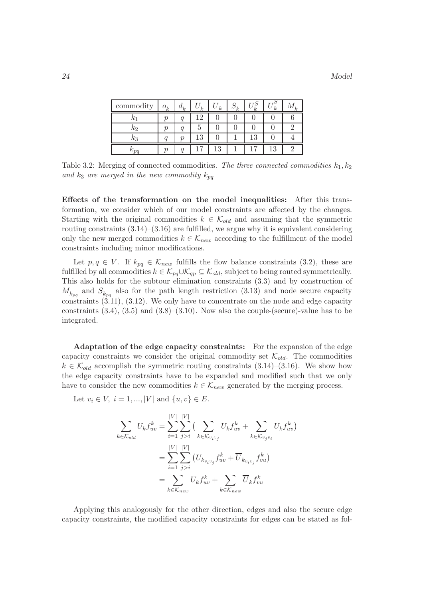| $\,$ commodity | $o_k$ | $a_k$ | k.       | k. | k. |         | k.  |  |
|----------------|-------|-------|----------|----|----|---------|-----|--|
|                |       |       | ി        |    |    |         |     |  |
| κэ             |       |       |          |    |    |         |     |  |
|                |       |       | 19<br>ГQ |    |    | ാ<br>Ŀð |     |  |
|                |       |       |          | 13 |    |         | . . |  |

Table 3.2: Merging of connected commodities. The three connected commodities  $k_1, k_2$ and  $k_3$  are merged in the new commodity  $k_{pq}$ 

Effects of the transformation on the model inequalities: After this transformation, we consider which of our model constraints are affected by the changes. Starting with the original commodities  $k \in \mathcal{K}_{old}$  and assuming that the symmetric routing constraints  $(3.14)$ – $(3.16)$  are fulfilled, we argue why it is equivalent considering only the new merged commodities  $k \in \mathcal{K}_{new}$  according to the fulfillment of the model constraints including minor modifications.

Let  $p, q \in V$ . If  $k_{pq} \in \mathcal{K}_{new}$  fulfills the flow balance constraints (3.2), these are fulfilled by all commodities  $k \in \mathcal{K}_{pq} \cup \mathcal{K}_{qp} \subseteq \mathcal{K}_{old}$ , subject to being routed symmetrically. This also holds for the subtour elimination constraints (3.3) and by construction of  $M_{k_{pq}}$  and  $S_{k_{pq}}$  also for the path length restriction (3.13) and node secure capacity constraints (3.11), (3.12). We only have to concentrate on the node and edge capacity constraints  $(3.4)$ ,  $(3.5)$  and  $(3.8)$ – $(3.10)$ . Now also the couple-(secure)-value has to be integrated.

Adaptation of the edge capacity constraints: For the expansion of the edge capacity constraints we consider the original commodity set  $\mathcal{K}_{old}$ . The commodities  $k \in \mathcal{K}_{old}$  accomplish the symmetric routing constraints  $(3.14)$ – $(3.16)$ . We show how the edge capacity constraints have to be expanded and modified such that we only have to consider the new commodities  $k \in \mathcal{K}_{new}$  generated by the merging process.

Let  $v_i \in V$ ,  $i = 1, ..., |V|$  and  $\{u, v\} \in E$ .

$$
\sum_{k \in \mathcal{K}_{old}} U_k f_{uv}^k = \sum_{i=1}^{|V|} \sum_{j>i}^{|V|} \left( \sum_{k \in \mathcal{K}_{v_i v_j}} U_k f_{uv}^k + \sum_{k \in \mathcal{K}_{v_j v_i}} U_k f_{uv}^k \right)
$$

$$
= \sum_{i=1}^{|V|} \sum_{j>i}^{|V|} \left( U_{k_{v_i v_j}} f_{uv}^k + \overline{U}_{k_{v_i v_j}} f_{vu}^k \right)
$$

$$
= \sum_{k \in \mathcal{K}_{new}} U_k f_{uv}^k + \sum_{k \in \mathcal{K}_{new}} \overline{U}_k f_{vu}^k
$$

Applying this analogously for the other direction, edges and also the secure edge capacity constraints, the modified capacity constraints for edges can be stated as fol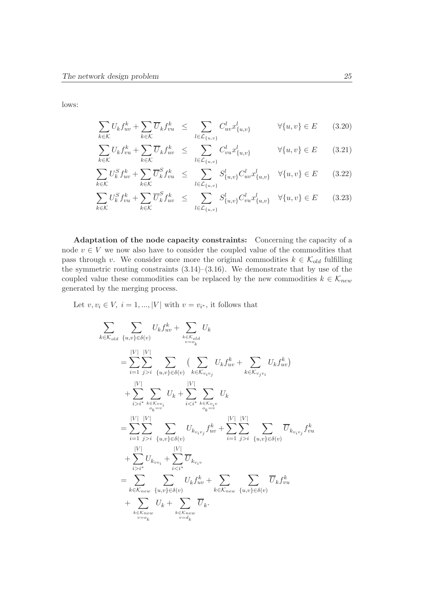lows:

$$
\sum_{k \in \mathcal{K}} U_k f_{uv}^k + \sum_{k \in \mathcal{K}} \overline{U}_k f_{vu}^k \leq \sum_{l \in \mathcal{L}_{\{u,v\}}} C_{uv}^l x_{\{u,v\}}^l \qquad \forall \{u,v\} \in E \qquad (3.20)
$$

$$
\sum_{k \in \mathcal{K}} U_k f_{vu}^k + \sum_{k \in \mathcal{K}} \overline{U}_k f_{uv}^k \leq \sum_{l \in \mathcal{L}_{\{u,v\}}} C_{vu}^l x_{\{u,v\}}^l \qquad \forall \{u,v\} \in E \qquad (3.21)
$$

$$
\sum_{k \in \mathcal{K}} U_k^S f_{uv}^k + \sum_{k \in \mathcal{K}} \overline{U}_k^S f_{vu}^k \le \sum_{l \in \mathcal{L}_{\{u,v\}}} S_{\{u,v\}}^l C_{uv}^l x_{\{u,v\}}^l \quad \forall \{u,v\} \in E \tag{3.22}
$$

$$
\sum_{k \in \mathcal{K}} U_k^S f_{vu}^k + \sum_{k \in \mathcal{K}} \overline{U}_k^S f_{uv}^k \leq \sum_{l \in \mathcal{L}_{\{u,v\}}} S_{\{u,v\}}^l C_{vu}^l x_{\{u,v\}}^l \quad \forall \{u,v\} \in E \qquad (3.23)
$$

Adaptation of the node capacity constraints: Concerning the capacity of a node  $v \in V$  we now also have to consider the coupled value of the commodities that pass through v. We consider once more the original commodities  $k \in \mathcal{K}_{old}$  fulfilling the symmetric routing constraints  $(3.14)$ – $(3.16)$ . We demonstrate that by use of the coupled value these commodities can be replaced by the new commodities  $k \in \mathcal{K}_{new}$ generated by the merging process.

Let  $v, v_i \in V$ ,  $i = 1, ..., |V|$  with  $v = v_{i^*}$ , it follows that

$$
\sum_{k \in \mathcal{K}_{old}} \sum_{\{u,v\} \in \delta(v)} U_k f_{uv}^k + \sum_{\substack{k \in \mathcal{K}_{old} \\ v = o_k}} U_k
$$
\n
$$
= \sum_{i=1}^{|V|} \sum_{j>i}^{|V|} \sum_{\{u,v\} \in \delta(v)} \left( \sum_{k \in \mathcal{K}_{v_iv_j}} U_k f_{uv}^k + \sum_{k \in \mathcal{K}_{v_jv_i}} U_k f_{uv}^k \right)
$$
\n
$$
+ \sum_{i>i*}^{|V|} \sum_{\substack{k \in \mathcal{K}_{vv_i} \\ o_k = v}} U_k + \sum_{i\n
$$
= \sum_{i=1}^{|V|} \sum_{j>i}^{|V|} \sum_{\{u,v\} \in \delta(v)} U_{k_{v_iv_j}} f_{uv}^k + \sum_{i=1}^{|V|} \sum_{j>i}^{|V|} \sum_{\{u,v\} \in \delta(v)} \overline{U}_{k_{v_iv_j}} f_{vu}^k
$$
\n
$$
+ \sum_{i>i*}^{|V|} U_{k_{vv_i}} + \sum_{i\n
$$
= \sum_{k \in \mathcal{K}_{new}}^{\sum} \sum_{\{u,v\} \in \delta(v)} U_k f_{uv}^k + \sum_{k \in \mathcal{K}_{new}}^{\sum} \sum_{\{u,v\} \in \delta(v)} \overline{U}_k f_{vu}^k
$$
\n
$$
+ \sum_{k \in \mathcal{K}_{new}}^{\sum} U_k + \sum_{k \in \mathcal{K}_{new}}^{\sum} \overline{U}_k.
$$
$$
$$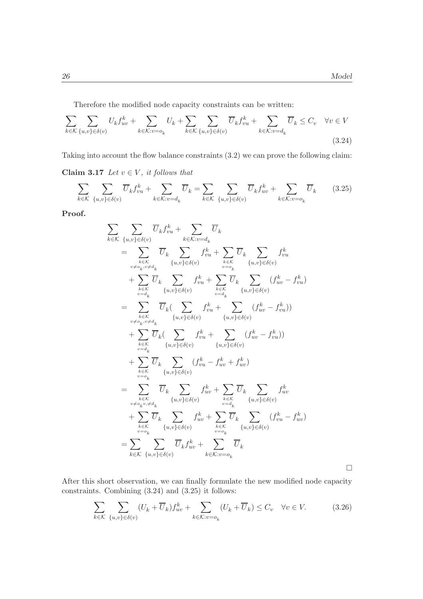$\Box$ 

Therefore the modified node capacity constraints can be written:

$$
\sum_{k \in \mathcal{K}} \sum_{\{u,v\} \in \delta(v)} U_k f_{uv}^k + \sum_{k \in \mathcal{K}: v = o_k} U_k + \sum_{k \in \mathcal{K}} \sum_{\{u,v\} \in \delta(v)} \overline{U}_k f_{vu}^k + \sum_{k \in \mathcal{K}: v = d_k} \overline{U}_k \le C_v \quad \forall v \in V
$$
\n(3.24)

Taking into account the flow balance constraints (3.2) we can prove the following claim:

Claim 3.17 Let  $v \in V$ , it follows that

$$
\sum_{k \in \mathcal{K}} \sum_{\{u,v\} \in \delta(v)} \overline{U}_k f_{vu}^k + \sum_{k \in \mathcal{K}: v = d_k} \overline{U}_k = \sum_{k \in \mathcal{K}} \sum_{\{u,v\} \in \delta(v)} \overline{U}_k f_{uv}^k + \sum_{k \in \mathcal{K}: v = o_k} \overline{U}_k \qquad (3.25)
$$

Proof.

$$
\sum_{k \in \mathcal{K}} \sum_{\{u,v\} \in \delta(v)} \overline{U}_k f_{vu}^k + \sum_{k \in \mathcal{K}:v=d_k} \overline{U}_k
$$
\n
$$
= \sum_{\substack{v \neq c_k, v \neq d_k \\ v \neq o_k, v \neq d_k}} \overline{U}_k \sum_{\{u,v\} \in \delta(v)} f_{vu}^k + \sum_{v=o_k} \overline{U}_k \sum_{\{u,v\} \in \delta(v)} f_{vu}^k
$$
\n
$$
+ \sum_{\substack{k \in \mathcal{K} \\ v=d_k \\ v \neq o_k, v \neq d_k}} \overline{U}_k (\sum_{\{u,v\} \in \delta(v)} f_{vu}^k + \sum_{\substack{k \in \mathcal{K} \\ v=d_k \\ v \neq o_k, v \neq d_k}} \overline{U}_k (\sum_{\{u,v\} \in \delta(v)} f_{vu}^k + \sum_{\{u,v\} \in \delta(v)} (f_{uv}^k - f_{vu}^k))
$$
\n
$$
+ \sum_{\substack{k \in \mathcal{K} \\ v=d_k \\ v \neq o_k}} \overline{U}_k (\sum_{\{u,v\} \in \delta(v)} f_{vu}^k + \sum_{\{u,v\} \in \delta(v)} (f_{uv}^k - f_{vu}^k))
$$
\n
$$
+ \sum_{\substack{k \in \mathcal{K} \\ v=d_k \\ v \neq o_k, v \neq d_k}} \overline{U}_k \sum_{\{u,v\} \in \delta(v)} (f_{vu}^k - f_{uv}^k + f_{uv}^k)
$$
\n
$$
= \sum_{\substack{k \in \mathcal{K} \\ v \neq o_k, v \neq d_k}} \overline{U}_k \sum_{\{u,v\} \in \delta(v)} f_{uv}^k + \sum_{\substack{k \in \mathcal{K} \\ v=d_k \\ v \neq o_k}} \overline{U}_k \sum_{\{u,v\} \in \delta(v)} f_{uv}^k + \sum_{\substack{k \in \mathcal{K} \\ v=d_k \\ v \neq o_k}} \overline{U}_k \sum_{\{u,v\} \in \delta(v)} f_{uv}^k + \sum_{\substack{k \in \mathcal{K} \\ v \neq o_k}} \overline{U}_k \sum_{\{u,v\} \in \delta(v)} (f_{vu}^k
$$

After this short observation, we can finally formulate the new modified node capacity constraints. Combining (3.24) and (3.25) it follows:

$$
\sum_{k \in \mathcal{K}} \sum_{\{u,v\} \in \delta(v)} (U_k + \overline{U}_k) f_{uv}^k + \sum_{k \in \mathcal{K}: v = o_k} (U_k + \overline{U}_k) \le C_v \quad \forall v \in V. \tag{3.26}
$$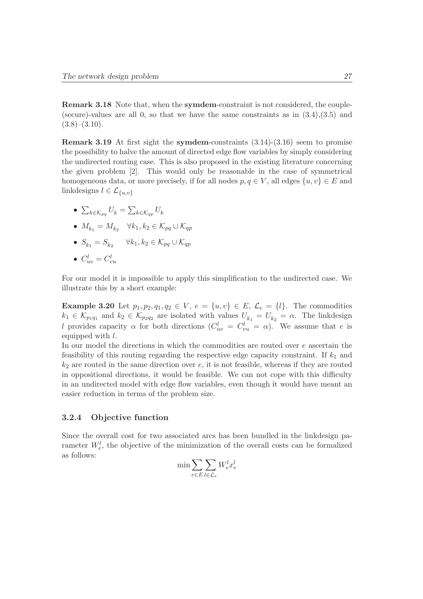Remark 3.18 Note that, when the symdem-constraint is not considered, the couple- (secure)-values are all  $0$ , so that we have the same constraints as in  $(3.4),(3.5)$  and  $(3.8)$ – $(3.10)$ .

**Remark 3.19** At first sight the **symdem**-constraints  $(3.14)-(3.16)$  seem to promise the possibility to halve the amount of directed edge flow variables by simply considering the undirected routing case. This is also proposed in the existing literature concerning the given problem [2]. This would only be reasonable in the case of symmetrical homogeneous data, or more precisely, if for all nodes  $p, q \in V$ , all edges  $\{u, v\} \in E$  and linkdesigns  $l \in \mathcal{L}_{\{u,v\}}$ 

- $\bullet\;\sum_{k\in\mathcal{K}_{pq}}U_k=\sum_{k\in\mathcal{K}_{qp}}U_k$
- $M_{k_1} = M_{k_2}$   $\forall k_1, k_2 \in \mathcal{K}_{pq} \cup \mathcal{K}_{qp}$
- $S_{k_1} = S_{k_2}$   $\forall k_1, k_2 \in \mathcal{K}_{pq} \cup \mathcal{K}_{qp}$
- $\bullet \enspace C_{uv}^l = C_{vu}^l$

For our model it is impossible to apply this simplification to the undirected case. We illustrate this by a short example:

**Example 3.20** Let  $p_1, p_2, q_1, q_2 \in V$ ,  $e = \{u, v\} \in E$ ,  $\mathcal{L}_e = \{l\}$ . The commodities  $k_1 \in \mathcal{K}_{p_1q_1}$  and  $k_2 \in \mathcal{K}_{p_2q_2}$  are isolated with values  $U_{k_1} = U_{k_2} = \alpha$ . The linkdesign l provides capacity  $\alpha$  for both directions  $(C_{uv}^l = C_{vu}^l = \alpha)$ . We assume that e is equipped with l.

In our model the directions in which the commodities are routed over  $e$  ascertain the feasibility of this routing regarding the respective edge capacity constraint. If  $k_1$  and  $k_2$  are routed in the same direction over  $e$ , it is not feasible, whereas if they are routed in oppositional directions, it would be feasible. We can not cope with this difficulty in an undirected model with edge flow variables, even though it would have meant an easier reduction in terms of the problem size.

#### 3.2.4 Objective function

Since the overall cost for two associated arcs has been bundled in the linkdesign parameter  $W_e^l$ , the objective of the minimization of the overall costs can be formalized as follows:

$$
\min \sum_{e \in E} \sum_{l \in \mathcal{L}_e} W_e^l x_e^l
$$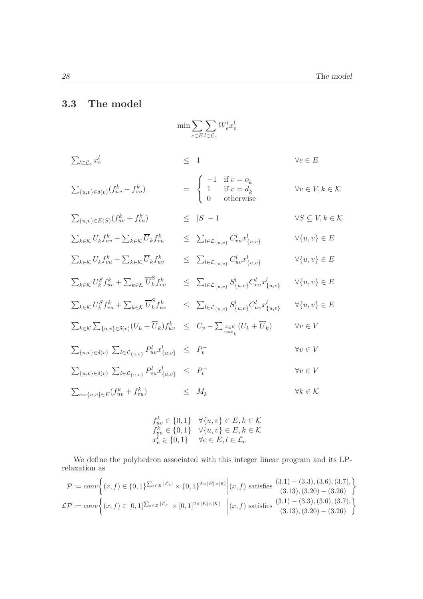## 3.3 The model

$$
\min \sum_{e \in E} \sum_{l \in \mathcal{L}_e} W_e^l x_e^l
$$
\n
$$
\sum_{l \in \mathcal{L}_e} x_e^l \leq 1 \qquad \forall e \in E
$$
\n
$$
\sum_{\{u,v\} \in \delta(v)} (f_{uv}^k - f_{vu}^k) = \begin{cases}\n-1 & \text{if } v = o_k \\
1 & \text{if } v = d_k \\
0 & \text{otherwise}\n\end{cases} \qquad \forall v \in V, k \in \mathcal{K}
$$
\n
$$
\sum_{\{u,v\} \in E(S)} (f_{uv}^k + f_{vu}^k) \leq |S| - 1 \qquad \forall S \subseteq V, k \in \mathcal{K}
$$
\n
$$
\sum_{k \in \mathcal{K}} U_k f_{uv}^k + \sum_{k \in \mathcal{K}} \overline{U}_k f_{vu}^k \leq \sum_{l \in \mathcal{L}_{\{u,v\}}} C_{vu}^l x_{\{u,v\}}^l \qquad \forall \{u,v\} \in E
$$
\n
$$
\sum_{k \in \mathcal{K}} U_k^f f_{vu}^k + \sum_{k \in \mathcal{K}} \overline{U}_k^f f_{uv}^k \leq \sum_{l \in \mathcal{L}_{\{u,v\}}} C_{uv}^l x_{\{u,v\}}^l \qquad \forall \{u,v\} \in E
$$
\n
$$
\sum_{k \in \mathcal{K}} U_k^S f_{uv}^k + \sum_{k \in \mathcal{K}} \overline{U}_k^S f_{vu}^k \leq \sum_{l \in \mathcal{L}_{\{u,v\}}} S_{\{u,v\}}^l C_{uv}^l x_{\{u,v\}}^l \qquad \forall \{u,v\} \in E
$$
\n
$$
\sum_{k \in \mathcal{K}} U_k^S f_{vu}^k + \sum_{k \in \mathcal{K}} \overline{U}_k^S f_{uv}^k \leq \sum_{l \in \mathcal{L}_{\{u,v\}}} S_{\{u,v\}}^l C_{uv}^l x_{\{u,v\}}^l \qquad \forall \{u,v\} \in E
$$
\n
$$
\sum_{k \in \mathcal{K}} U_k^S f_{vu}^k + \sum_{k \in \mathcal{K}} \overline{U}_k^S f_{uv}^k \
$$

$$
\begin{array}{ll} f_{uv}^k \in \{0,1\} & \forall \{u,v\} \in E, k \in \mathcal{K} \\ f_{vu}^k \in \{0,1\} & \forall \{u,v\} \in E, k \in \mathcal{K} \\ x_e^l \in \{0,1\} & \forall e \in E, l \in \mathcal{L}_e \end{array}
$$

We define the polyhedron associated with this integer linear program and its LPrelaxation as

$$
\mathcal{P} := conv \left\{ (x, f) \in \{0, 1\}^{\sum_{e \in E} |\mathcal{L}_e|} \times \{0, 1\}^{2 \times |E| \times |\mathcal{K}|} \middle| (x, f) \text{ satisfies } \begin{aligned} (3.1) - (3.3), (3.6), (3.7), \\ (3.13), (3.20) - (3.26) \end{aligned} \right\}
$$
  

$$
\mathcal{LP} := conv \left\{ (x, f) \in [0, 1]^{\sum_{e \in E} |\mathcal{L}_e|} \times [0, 1]^{2 \times |E| \times |\mathcal{K}|} \middle| (x, f) \text{ satisfies } \begin{aligned} (3.1) - (3.3), (3.6), (3.7), \\ (3.13), (3.20) - (3.26) \end{aligned} \right\}
$$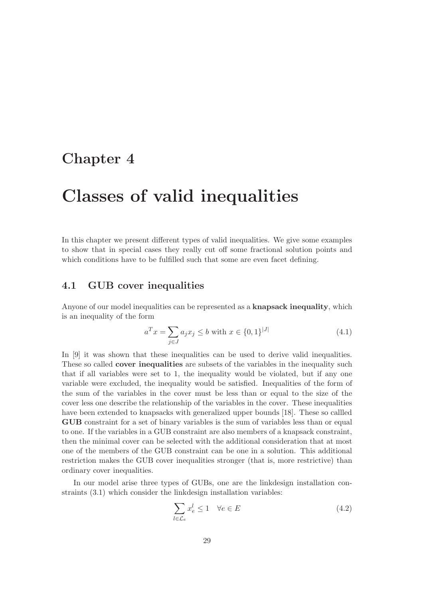# Chapter 4

# Classes of valid inequalities

In this chapter we present different types of valid inequalities. We give some examples to show that in special cases they really cut off some fractional solution points and which conditions have to be fulfilled such that some are even facet defining.

## 4.1 GUB cover inequalities

Anyone of our model inequalities can be represented as a **knapsack inequality**, which is an inequality of the form

$$
a^T x = \sum_{j \in J} a_j x_j \le b \text{ with } x \in \{0, 1\}^{|J|}
$$
 (4.1)

In [9] it was shown that these inequalities can be used to derive valid inequalities. These so called **cover inequalities** are subsets of the variables in the inequality such that if all variables were set to 1, the inequality would be violated, but if any one variable were excluded, the inequality would be satisfied. Inequalities of the form of the sum of the variables in the cover must be less than or equal to the size of the cover less one describe the relationship of the variables in the cover. These inequalities have been extended to knapsacks with generalized upper bounds [18]. These so callled GUB constraint for a set of binary variables is the sum of variables less than or equal to one. If the variables in a GUB constraint are also members of a knapsack constraint, then the minimal cover can be selected with the additional consideration that at most one of the members of the GUB constraint can be one in a solution. This additional restriction makes the GUB cover inequalities stronger (that is, more restrictive) than ordinary cover inequalities.

In our model arise three types of GUBs, one are the linkdesign installation constraints (3.1) which consider the linkdesign installation variables:

$$
\sum_{l \in \mathcal{L}_e} x_e^l \le 1 \quad \forall e \in E \tag{4.2}
$$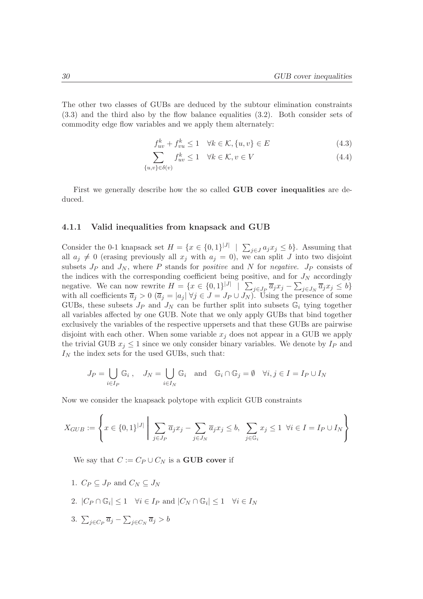The other two classes of GUBs are deduced by the subtour elimination constraints (3.3) and the third also by the flow balance equalities (3.2). Both consider sets of commodity edge flow variables and we apply them alternately:

$$
f_{uv}^k + f_{vu}^k \le 1 \quad \forall k \in \mathcal{K}, \{u, v\} \in E
$$
\n
$$
(4.3)
$$

$$
\sum_{\{u,v\} \in \delta(v)} f_{uv}^k \le 1 \quad \forall k \in \mathcal{K}, v \in V \tag{4.4}
$$

First we generally describe how the so called **GUB cover inequalities** are deduced.

#### 4.1.1 Valid inequalities from knapsack and GUB

Consider the 0-1 knapsack set  $H = \{x \in \{0,1\}^{|J|} \mid \sum_{j \in J} a_j x_j \leq b\}$ . Assuming that all  $a_j \neq 0$  (erasing previously all  $x_j$  with  $a_j = 0$ ), we can split J into two disjoint subsets  $J_P$  and  $J_N$ , where P stands for *positive* and N for *negative.*  $J_P$  consists of the indices with the corresponding coefficient being positive, and for  $J<sub>N</sub>$  accordingly negative. We can now rewrite  $H = \{x \in \{0,1\}^{|J|} \mid \sum_{j \in J_P} \overline{a}_j x_j - \sum_{j \in J_N} \overline{a}_j x_j \leq b\}$ with all coefficients  $\overline{a}_j > 0$   $(\overline{a}_j = |a_j| \forall j \in J = J_P \cup J_N)$ . Using the presence of some GUBs, these subsets  $J_P$  and  $J_N$  can be further split into subsets  $\mathbb{G}_i$  tying together all variables affected by one GUB. Note that we only apply GUBs that bind together exclusively the variables of the respective uppersets and that these GUBs are pairwise disjoint with each other. When some variable  $x_j$  does not appear in a GUB we apply the trivial GUB  $x_j \leq 1$  since we only consider binary variables. We denote by  $I_P$  and  $I_N$  the index sets for the used GUBs, such that:

$$
J_P = \bigcup_{i \in I_P} \mathbb{G}_i \,, \quad J_N = \bigcup_{i \in I_N} \mathbb{G}_i \quad \text{and} \quad \mathbb{G}_i \cap \mathbb{G}_j = \emptyset \quad \forall i, j \in I = I_P \cup I_N
$$

Now we consider the knapsack polytope with explicit GUB constraints

$$
X_{GUB} := \left\{ x \in \{0,1\}^{|J|} \mid \sum_{j \in J_P} \overline{a}_j x_j - \sum_{j \in J_N} \overline{a}_j x_j \le b, \sum_{j \in \mathbb{G}_i} x_j \le 1 \ \forall i \in I = I_P \cup I_N \right\}
$$

We say that  $C := C_P \cup C_N$  is a **GUB cover** if

- 1.  $C_P \subseteq J_P$  and  $C_N \subseteq J_N$
- 2.  $|C_P \cap \mathbb{G}_i| \leq 1$   $\forall i \in I_P$  and  $|C_N \cap \mathbb{G}_i| \leq 1$   $\forall i \in I_N$
- 3.  $\sum_{j\in C_P} \overline{a}_j \sum_{j\in C_N} \overline{a}_j > b$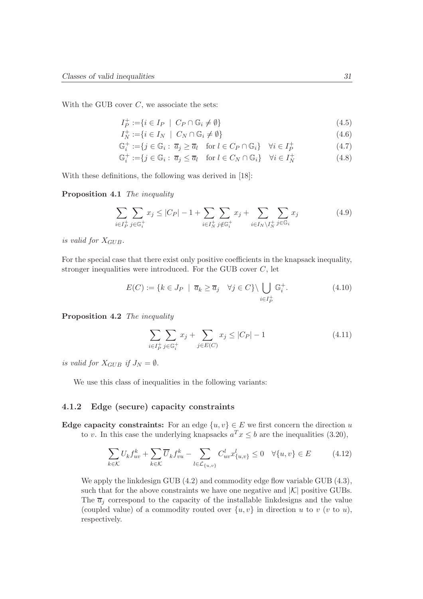With the GUB cover  $C$ , we associate the sets:

$$
I_P^+ := \{ i \in I_P \mid C_P \cap \mathbb{G}_i \neq \emptyset \} \tag{4.5}
$$

$$
I_N^+ := \{ i \in I_N \mid C_N \cap \mathbb{G}_i \neq \emptyset \} \tag{4.6}
$$

$$
\mathbb{G}_i^+ := \{ j \in \mathbb{G}_i : \overline{a}_j \ge \overline{a}_l \quad \text{for } l \in C_P \cap \mathbb{G}_i \} \quad \forall i \in I_P^+ \tag{4.7}
$$

$$
\mathbb{G}_i^+ := \{ j \in \mathbb{G}_i : \overline{a}_j \le \overline{a}_l \quad \text{for } l \in C_N \cap \mathbb{G}_i \} \quad \forall i \in I_N^+ \tag{4.8}
$$

With these definitions, the following was derived in [18]:

Proposition 4.1 The inequality

$$
\sum_{i \in I_P^+} \sum_{j \in \mathbb{G}_i^+} x_j \le |C_P| - 1 + \sum_{i \in I_N^+} \sum_{j \notin \mathbb{G}_i^+} x_j + \sum_{i \in I_N \setminus I_N^+} \sum_{j \in \mathbb{G}_i} x_j \tag{4.9}
$$

is valid for  $X_{GUB}$ .

For the special case that there exist only positive coefficients in the knapsack inequality, stronger inequalities were introduced. For the GUB cover  $C$ , let

$$
E(C) := \{ k \in J_P \mid \overline{a}_k \ge \overline{a}_j \quad \forall j \in C \} \setminus \bigcup_{i \in I_P^+} \mathbb{G}_i^+.
$$
 (4.10)

Proposition 4.2 The inequality

$$
\sum_{i \in I_P^+} \sum_{j \in \mathbb{G}_i^+} x_j + \sum_{j \in E(C)} x_j \le |C_P| - 1 \tag{4.11}
$$

is valid for  $X_{GUB}$  if  $J_N = \emptyset$ .

We use this class of inequalities in the following variants:

#### 4.1.2 Edge (secure) capacity constraints

Edge capacity constraints: For an edge  $\{u, v\} \in E$  we first concern the direction u to v. In this case the underlying knapsacks  $a^T x \leq b$  are the inequalities (3.20),

$$
\sum_{k \in \mathcal{K}} U_k f_{uv}^k + \sum_{k \in \mathcal{K}} \overline{U}_k f_{vu}^k - \sum_{l \in \mathcal{L}_{\{u,v\}}} C_{uv}^l x_{\{u,v\}}^l \le 0 \quad \forall \{u,v\} \in E \tag{4.12}
$$

We apply the linkdesign GUB  $(4.2)$  and commodity edge flow variable GUB  $(4.3)$ , such that for the above constraints we have one negative and  $|\mathcal{K}|$  positive GUBs. The  $\overline{a}_i$  correspond to the capacity of the installable linkdesigns and the value (coupled value) of a commodity routed over  $\{u, v\}$  in direction u to v (v to u), respectively.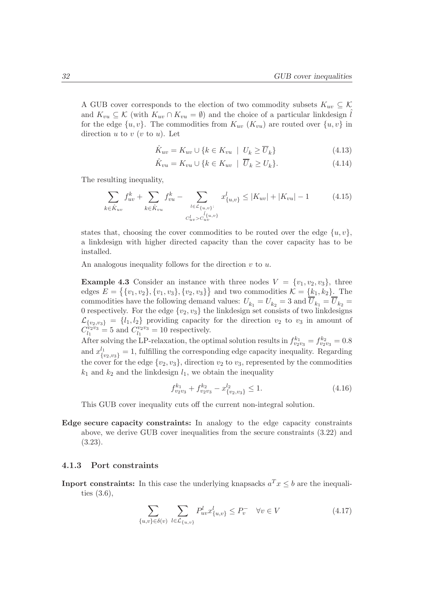A GUB cover corresponds to the election of two commodity subsets  $K_{uv} \subseteq \mathcal{K}$ and  $K_{vu} \subseteq \mathcal{K}$  (with  $K_{uv} \cap K_{vu} = \emptyset$ ) and the choice of a particular linkdesign  $\hat{l}$ for the edge  $\{u, v\}$ . The commodities from  $K_{uv}$   $(K_{vu})$  are routed over  $\{u, v\}$  in direction  $u$  to  $v$  ( $v$  to  $u$ ). Let

$$
\hat{K}_{uv} = K_{uv} \cup \{ k \in K_{vu} \mid U_k \ge \overline{U}_k \} \tag{4.13}
$$

$$
\hat{K}_{vu} = K_{vu} \cup \{ k \in K_{uv} \mid \overline{U}_k \ge U_k \}. \tag{4.14}
$$

The resulting inequality,

$$
\sum_{k \in \hat{K}_{uv}} f_{uv}^k + \sum_{k \in \hat{K}_{vu}} f_{vu}^k - \sum_{\substack{l \in \mathcal{L}_{\{u,v\}}:\\C_{uv}^l < C_{uv}^l, \\C_{uv}^l < C_{uv}^l}} x_{\{u,v\}}^l \le |K_{uv}| + |K_{vu}| - 1 \tag{4.15}
$$

states that, choosing the cover commodities to be routed over the edge  $\{u, v\}$ , a linkdesign with higher directed capacity than the cover capacity has to be installed.

An analogous inequality follows for the direction  $v$  to  $u$ .

**Example 4.3** Consider an instance with three nodes  $V = \{v_1, v_2, v_3\}$ , three edges  $E = \{ \{v_1, v_2\}, \{v_1, v_3\}, \{v_2, v_3\} \}$  and two commodities  $\mathcal{K} = \{k_1, k_2\}$ . The commodities have the following demand values:  $U_{k_1} = U_{k_2} = 3$  and  $U_{k_1} = U_{k_2} =$ 0 respectively. For the edge  $\{v_2, v_3\}$  the linkdesign set consists of two linkdesigns  $\mathcal{L}_{\{v_2,v_3\}} = \{l_1,l_2\}$  providing capacity for the direction  $v_2$  to  $v_3$  in amount of  $C_{l_1}^{\tilde{v}_2 \tilde{v}_3}$  $l_1^{v_2v_3} = 5$  and  $C_{l_1}^{v_2v_3}$  $l_1^{v_2v_3} = 10$  respectively.

After solving the LP-relaxation, the optimal solution results in  $f_{v_2v_3}^{k_1} = f_{v_2v_3}^{k_2} = 0.8$ and  $x_{\{v_2,v_3\}}^{l_1} = 1$ , fulfilling the corresponding edge capacity inequality. Regarding the cover for the edge  $\{v_2, v_3\}$ , direction  $v_2$  to  $v_3$ , represented by the commodities  $k_1$  and  $k_2$  and the linkdesign  $l_1$ , we obtain the inequality

$$
f_{v_2v_3}^{k_1} + f_{v_2v_3}^{k_2} - x_{\{v_2,v_3\}}^{l_2} \le 1.
$$
\n(4.16)

This GUB cover inequality cuts off the current non-integral solution.

Edge secure capacity constraints: In analogy to the edge capacity constraints above, we derive GUB cover inequalities from the secure constraints (3.22) and (3.23).

### 4.1.3 Port constraints

**Inport constraints:** In this case the underlying knapsacks  $a^T x \leq b$  are the inequalities (3.6),

$$
\sum_{\{u,v\}\in\delta(v)}\sum_{l\in\mathcal{L}_{\{u,v\}}}P_{uv}^l x_{\{u,v\}}^l \le P_v^- \quad \forall v \in V
$$
\n(4.17)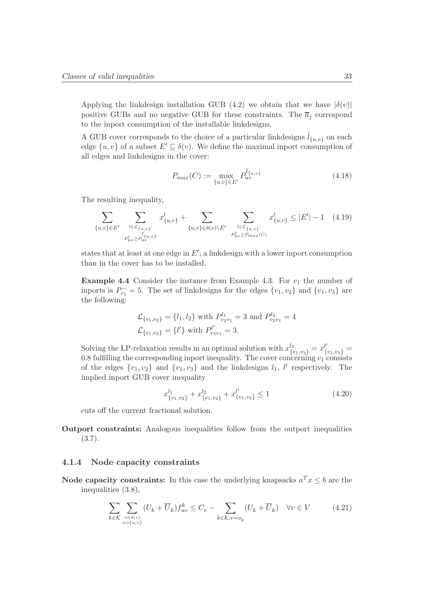Applying the linkdesign installation GUB (4.2) we obtain that we have  $|\delta(v)|$ positive GUBs and no negative GUB for these constraints. The  $\overline{a}_j$  correspond to the inport consumption of the installable linkdesigns.

A GUB cover corresponds to the choice of a particular linkdesigns  $l_{\{u,v\}}$  on each edge  $\{u, v\}$  of a subset  $E' \subseteq \delta(v)$ . We define the maximal inport consumption of all edges and linkdesigns in the cover:

$$
P_{max}(C) := \max_{\{u,v\} \in E'} P_{uv}^{\hat{l}_{\{u,v\}}}
$$
\n(4.18)

The resulting inequality.

$$
\sum_{\{u,v\} \in E'} \sum_{\substack{l \in \mathcal{L}_{\{u,v\}}:\\P_{uv}^l \ge P_{uv}^{l_i}} \atop P_{uv}^l \ge P_{uv}^{l_i}} x_{\{u,v\}}^l + \sum_{\{u,v\} \in \delta(v) \setminus E'} \sum_{\substack{l \in \mathcal{L}_{\{u,v\}}:\\P_{uv}^l \ge P_{max}(C)}} x_{\{u,v\}}^l \le |E'| - 1 \quad (4.19)
$$

states that at least at one edge in  $E'$ , a linkdesign with a lower inport consumption than in the cover has to be installed.

**Example 4.4** Consider the instance from Example 4.3. For  $v_1$  the number of inports is  $P_{v_1}^- = 5$ . The set of linkdesigns for the edges  $\{v_1, v_2\}$  and  $\{v_1, v_3\}$  are the following:

$$
\mathcal{L}_{\{v_1, v_2\}} = \{l_1, l_2\} \text{ with } P_{v_2v_1}^{l_1} = 3 \text{ and } P_{v_2v_1}^{l_2} = 4
$$
  

$$
\mathcal{L}_{\{v_1, v_3\}} = \{l'\} \text{ with } P_{v_3v_1}^{l'} = 3.
$$

Solving the LP-relaxation results in an optimal solution with  $x_{\{v_1,v_2\}}^{l_2} = x_{\{v_1,v_3\}}^{l'} =$ 0.8 fulfilling the corresponding inport inequality. The cover concerning  $v_1$  consists of the edges  $\{v_1, v_2\}$  and  $\{v_1, v_3\}$  and the linkdesigns  $l_1$ ,  $l'$  respectively. The implied inport GUB cover inequality

$$
x_{\{v_1, v_2\}}^{l_1} + x_{\{v_1, v_2\}}^{l_2} + x_{\{v_1, v_3\}}^{l'} \le 1
$$
\n(4.20)

cuts off the current fractional solution.

Outport constraints: Analogous inequalities follow from the outport inequalities (3.7).

#### 4.1.4 Node capacity constraints

Node capacity constraints: In this case the underlying knapsacks  $a^T x \leq b$  are the inequalities (3.8),

$$
\sum_{k \in \mathcal{K}} \sum_{\substack{e \in \delta(v) \\ e = \{u, v\}}} (U_k + \overline{U}_k) f_{uv}^k \le C_v - \sum_{k \in \mathcal{K}: v = o_k} (U_k + \overline{U}_k) \quad \forall v \in V \tag{4.21}
$$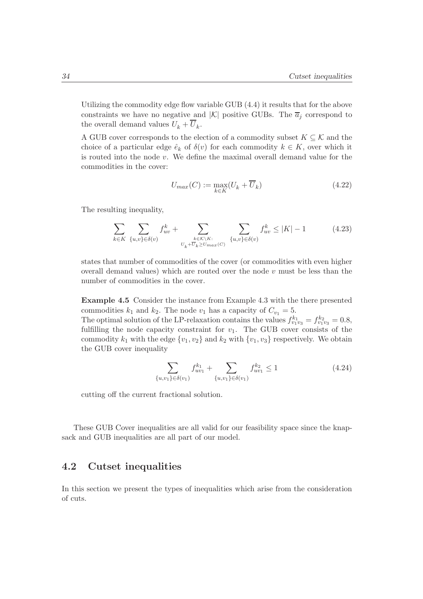Utilizing the commodity edge flow variable GUB (4.4) it results that for the above constraints we have no negative and  $|K|$  positive GUBs. The  $\overline{a}_i$  correspond to the overall demand values  $U_k + U_k$ .

A GUB cover corresponds to the election of a commodity subset  $K \subseteq \mathcal{K}$  and the choice of a particular edge  $\hat{e}_k$  of  $\delta(v)$  for each commodity  $k \in K$ , over which it is routed into the node  $v$ . We define the maximal overall demand value for the commodities in the cover:

$$
U_{max}(C) := \max_{k \in K} (U_k + \overline{U}_k)
$$
\n(4.22)

The resulting inequality,

$$
\sum_{k \in K} \sum_{\{u,v\} \in \delta(v)} f_{uv}^k + \sum_{\substack{k \in K \setminus K:\\U_k + \overline{U}_k \ge U_{max}(C)}} \sum_{\{u,v\} \in \delta(v)} f_{uv}^k \le |K| - 1 \tag{4.23}
$$

states that number of commodities of the cover (or commodities with even higher overall demand values) which are routed over the node  $v$  must be less than the number of commodities in the cover.

Example 4.5 Consider the instance from Example 4.3 with the there presented commodities  $k_1$  and  $k_2$ . The node  $v_1$  has a capacity of  $C_{v_1} = 5$ .

The optimal solution of the LP-relaxation contains the values  $f_{v_1v_3}^{k_1} = f_{v_1v_3}^{k_2} = 0.8$ , fulfilling the node capacity constraint for  $v_1$ . The GUB cover consists of the commodity  $k_1$  with the edge  $\{v_1, v_2\}$  and  $k_2$  with  $\{v_1, v_3\}$  respectively. We obtain the GUB cover inequality

$$
\sum_{\{u,v_1\} \in \delta(v_1)} f_{uv_1}^{k_1} + \sum_{\{u,v_1\} \in \delta(v_1)} f_{uv_1}^{k_2} \le 1
$$
\n(4.24)

cutting off the current fractional solution.

These GUB Cover inequalities are all valid for our feasibility space since the knapsack and GUB inequalities are all part of our model.

## 4.2 Cutset inequalities

In this section we present the types of inequalities which arise from the consideration of cuts.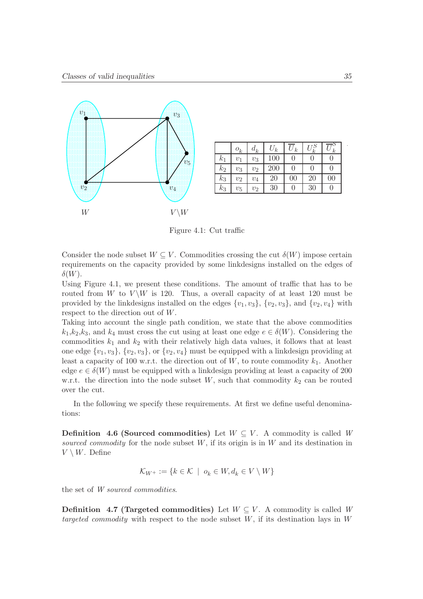

|         | $\ensuremath{o}_k$ | $d_k$        | $U_k$ | $\bar{U_k}$ | $U^S_k$          | $\boldsymbol{k}$ |
|---------|--------------------|--------------|-------|-------------|------------------|------------------|
| $k_{1}$ | $v_1$              | $\upsilon_3$ | 100   | 0           | $\left( \right)$ |                  |
| $k_2$   | $v_3$              | $v_2$        | 200   | 0           | 0                |                  |
| $k_{3}$ | $v_2$              | $v_4$        | 20    | 00          | 20               | 00               |
| $k_{3}$ | $v_5$              | $v_2$        | 30    | 0           | 30               |                  |

Figure 4.1: Cut traffic

Consider the node subset  $W \subseteq V$ . Commodities crossing the cut  $\delta(W)$  impose certain requirements on the capacity provided by some linkdesigns installed on the edges of  $\delta(W)$ .

Using Figure 4.1, we present these conditions. The amount of traffic that has to be routed from W to  $V \backslash W$  is 120. Thus, a overall capacity of at least 120 must be provided by the linkdesigns installed on the edges  $\{v_1, v_3\}$ ,  $\{v_2, v_3\}$ , and  $\{v_2, v_4\}$  with respect to the direction out of W.

Taking into account the single path condition, we state that the above commodities  $k_1,k_2,k_3$ , and  $k_4$  must cross the cut using at least one edge  $e \in \delta(W)$ . Considering the commodities  $k_1$  and  $k_2$  with their relatively high data values, it follows that at least one edge  $\{v_1, v_3\}$ ,  $\{v_2, v_3\}$ , or  $\{v_2, v_4\}$  must be equipped with a linkdesign providing at least a capacity of 100 w.r.t. the direction out of  $W$ , to route commodity  $k_1$ . Another edge  $e \in \delta(W)$  must be equipped with a linkdesign providing at least a capacity of 200 w.r.t. the direction into the node subset  $W$ , such that commodity  $k_2$  can be routed over the cut.

In the following we specify these requirements. At first we define useful denominations:

**Definition 4.6 (Sourced commodities)** Let  $W \subseteq V$ . A commodity is called W sourced commodity for the node subset  $W$ , if its origin is in  $W$  and its destination in  $V \setminus W$ . Define

$$
\mathcal{K}_{W^+}:=\{k\in\mathcal{K}\;\mid\;o_k\in W,d_k\in V\setminus W\}
$$

the set of W sourced commodities.

**Definition** 4.7 (Targeted commodities) Let  $W \subseteq V$ . A commodity is called W targeted commodity with respect to the node subset  $W$ , if its destination lays in  $W$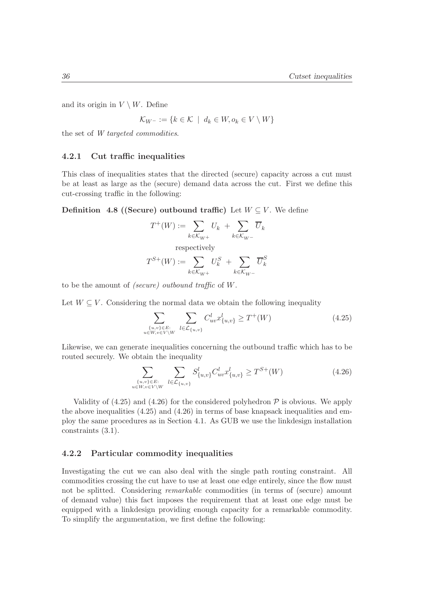and its origin in  $V \setminus W$ . Define

$$
\mathcal{K}_{W^-}:=\{k\in\mathcal{K}\;\mid\;d_k\in W,o_k\in V\setminus W\}
$$

the set of W targeted commodities.

#### 4.2.1 Cut traffic inequalities

This class of inequalities states that the directed (secure) capacity across a cut must be at least as large as the (secure) demand data across the cut. First we define this cut-crossing traffic in the following:

**Definition 4.8 ((Secure) outbound traffic)** Let  $W \subseteq V$ . We define

$$
T^+(W) := \sum_{k \in \mathcal{K}_{W^+}} U_k + \sum_{k \in \mathcal{K}_{W^-}} \overline{U}_k
$$
  
respectively  

$$
T^{S+}(W) := \sum_{k \in \mathcal{K}_{W^+}} U_k^S + \sum_{k \in \mathcal{K}_{W^-}} \overline{U}_k^S
$$

to be the amount of (secure) outbound traffic of W.

Let  $W \subseteq V$ . Considering the normal data we obtain the following inequality

$$
\sum_{\{u,v\} \in E:\atop u \in W, v \in V \setminus W} \sum_{l \in \mathcal{L}_{\{u,v\}}} C_{uv}^l x_{\{u,v\}}^l \ge T^+(W) \tag{4.25}
$$

Likewise, we can generate inequalities concerning the outbound traffic which has to be routed securely. We obtain the inequality

$$
\sum_{\{u,v\} \in E:\atop u \in W, v \in V \setminus W} \sum_{l \in \mathcal{L}_{\{u,v\}} } S^l_{\{u,v\}} C^l_{uv} x^l_{\{u,v\}} \ge T^{S+}(W) \tag{4.26}
$$

Validity of  $(4.25)$  and  $(4.26)$  for the considered polyhedron  $P$  is obvious. We apply the above inequalities (4.25) and (4.26) in terms of base knapsack inequalities and employ the same procedures as in Section 4.1. As GUB we use the linkdesign installation constraints (3.1).

#### 4.2.2 Particular commodity inequalities

Investigating the cut we can also deal with the single path routing constraint. All commodities crossing the cut have to use at least one edge entirely, since the flow must not be splitted. Considering *remarkable* commodities (in terms of (secure) amount of demand value) this fact imposes the requirement that at least one edge must be equipped with a linkdesign providing enough capacity for a remarkable commodity. To simplify the argumentation, we first define the following: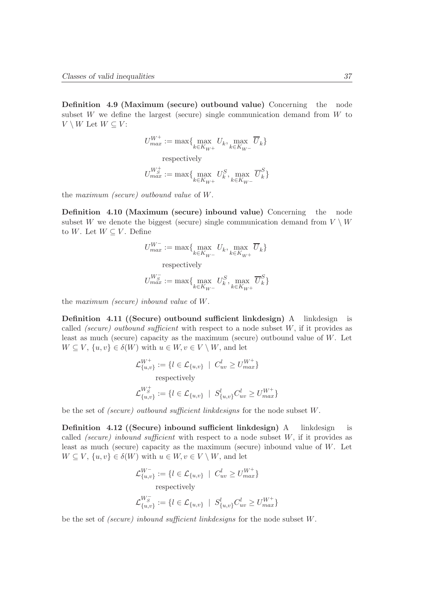Definition 4.9 (Maximum (secure) outbound value) Concerning the node subset  $W$  we define the largest (secure) single communication demand from  $W$  to  $V \setminus W$  Let  $W \subseteq V$ :

$$
\begin{aligned} U_{max}^{W^+} &:= \max\{\max_{k \in K_{W^+}} U_k, \max_{k \in K_{W^-}} \overline{U}_k\} \\ &\text{respectively} \\ U_{max}^{W^+_{S}} &:= \max\{\max_{k \in K_{W^+}} U^S_k, \max_{k \in K_{W^-}} \overline{U}^S_k\} \end{aligned}
$$

the maximum (secure) outbound value of W.

Definition 4.10 (Maximum (secure) inbound value) Concerning the node subset W we denote the biggest (secure) single communication demand from  $V \setminus W$ to W. Let  $W \subseteq V$ . Define

$$
\begin{aligned} U_{max}^{W^-} &:= \max\{\max_{k\in K_{W^-}} U_k, \max_{k\in K_{W^+}} \overline{U}_k\} \\ &\text{respectively} \\ U_{max}^{W^-_S} &:= \max\{\max_{k\in K_{W^-}} U^S_k, \max_{k\in K_{W^+}} \overline{U}^S_k\} \end{aligned}
$$

the maximum (secure) inbound value of W.

Definition 4.11 ((Secure) outbound sufficient linkdesign) A linkdesign is called *(secure)* outbound sufficient with respect to a node subset  $W$ , if it provides as least as much (secure) capacity as the maximum (secure) outbound value of  $W$ . Let  $W \subseteq V, \{u, v\} \in \delta(W)$  with  $u \in W, v \in V \setminus W$ , and let

$$
\mathcal{L}_{\{u,v\}}^{W^+} := \{l \in \mathcal{L}_{\{u,v\}} \mid C_{uv}^l \ge U_{max}^{W^+}\}
$$
  
respectively  

$$
\mathcal{L}_{\{u,v\}}^{W^+_S} := \{l \in \mathcal{L}_{\{u,v\}} \mid S_{\{u,v\}}^l C_{uv}^l \ge U_{max}^{W^+}\}
$$

be the set of (secure) outbound sufficient linkdesigns for the node subset W.

Definition 4.12 ((Secure) inbound sufficient linkdesign) A linkdesign is called (secure) inbound sufficient with respect to a node subset  $W$ , if it provides as least as much (secure) capacity as the maximum (secure) inbound value of W. Let  $W \subseteq V, \{u, v\} \in \delta(W)$  with  $u \in W, v \in V \setminus W$ , and let

$$
\mathcal{L}_{\{u,v\}}^{W^-} := \{l \in \mathcal{L}_{\{u,v\}} \mid C_{uv}^l \ge U_{max}^{W^+}\}
$$
  
respectively  

$$
\mathcal{L}_{\{u,v\}}^{W^-_S} := \{l \in \mathcal{L}_{\{u,v\}} \mid S_{\{u,v\}}^l C_{uv}^l \ge U_{max}^{W^+}\}
$$

be the set of *(secure)* inbound sufficient linkdesigns for the node subset W.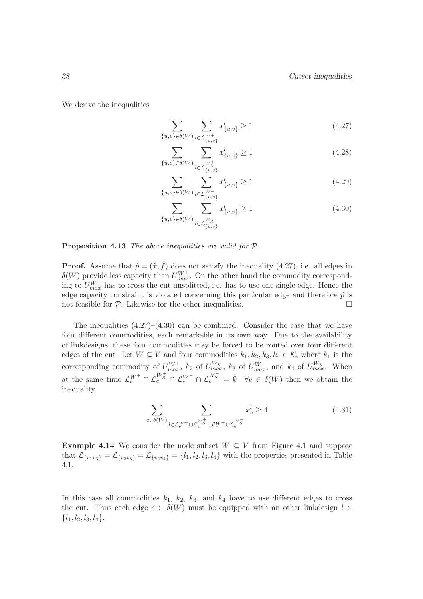We derive the inequalities

$$
\sum_{\{u,v\} \in \delta(W)} \sum_{l \in \mathcal{L}_{\{u,v\}}^{W^+}} x_{\{u,v\}}^l \ge 1
$$
\n(4.27)

$$
\sum_{\{u,v\} \in \delta(W)} \sum_{l \in \mathcal{L}_{\{u,v\}}^{W_S^{\perp}}} x_{\{u,v\}}^l \ge 1
$$
\n(4.28)

$$
\sum_{\{u,v\} \in \delta(W)} \sum_{l \in \mathcal{L}_{\{u,v\}}^{W^-}} x_{\{u,v\}}^l \ge 1
$$
\n(4.29)

$$
\sum_{\{u,v\} \in \delta(W)} \sum_{l \in \mathcal{L}^{W_S}_{\{u,v\}}} x^l_{\{u,v\}} \ge 1
$$
\n(4.30)

Proposition 4.13 The above inequalities are valid for  $P$ .

**Proof.** Assume that  $\hat{p} = (\hat{x}, \hat{f})$  does not satisfy the inequality (4.27), i.e. all edges in  $\delta(W)$  provide less capacity than  $U_{max}^{W^+}$ . On the other hand the commodity corresponding to  $U_{max}^{W^+}$  has to cross the cut unsplitted, i.e. has to use one single edge. Hence the edge capacity constraint is violated concerning this particular edge and therefore  $\hat{p}$  is not feasible for  $P$ . Likewise for the other inequalities.

The inequalities  $(4.27)$ – $(4.30)$  can be combined. Consider the case that we have four different commodities, each remarkable in its own way. Due to the availability of linkdesigns, these four commodities may be forced to be routed over four different edges of the cut. Let  $W \subseteq V$  and four commodities  $k_1, k_2, k_3, k_4 \in \mathcal{K}$ , where  $k_1$  is the corresponding commodity of  $U_{max}^{W^+}$ ,  $k_2$  of  $U_{max}^{W^+_S}$ ,  $k_3$  of  $U_{max}^{W^-}$ , and  $k_4$  of  $U_{max}^{W^-_S}$ . When at the same time  $\mathcal{L}_e^{W^+} \cap \mathcal{L}_e^{W^-} \cap \mathcal{L}_e^{W^-} \cap \mathcal{L}_e^{W^-} = \emptyset$   $\forall e \in \delta(W)$  then we obtain the inequality

$$
\sum_{e \in \delta(W)} \sum_{l \in \mathcal{L}_e^{W^+} \cup \mathcal{L}_e^{W^+_S} \cup \mathcal{L}_e^{W^-} \cup \mathcal{L}_e^{W^-_S}} x_e^l \ge 4
$$
\n(4.31)

**Example 4.14** We consider the node subset  $W \subseteq V$  from Figure 4.1 and suppose that  $\mathcal{L}_{\{v_1v_3\}} = \mathcal{L}_{\{v_2v_3\}} = \mathcal{L}_{\{v_2v_4\}} = \{l_1, l_2, l_3, l_4\}$  with the properties presented in Table 4.1.

In this case all commodities  $k_1$ ,  $k_2$ ,  $k_3$ , and  $k_4$  have to use different edges to cross the cut. Thus each edge  $e \in \delta(W)$  must be equipped with an other linkdesign  $l \in$  $\{l_1, l_2, l_3, l_4\}.$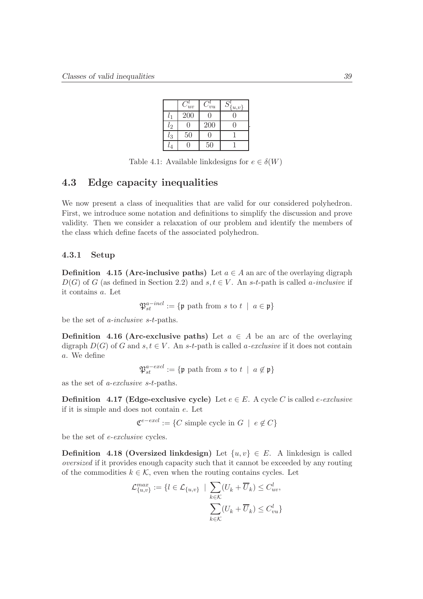|           | $C^i_{uv}$ | $C_{vu}^{\iota}$ | $S_{\{u,v\}}^{\prime}$ |  |
|-----------|------------|------------------|------------------------|--|
| $l_{1}$   | 200        |                  |                        |  |
| $l_{2}$   |            | 200              |                        |  |
| $l_3$     | 50         |                  |                        |  |
| $\iota_4$ |            | 50               |                        |  |

Table 4.1: Available linkdesigns for  $e \in \delta(W)$ 

# 4.3 Edge capacity inequalities

We now present a class of inequalities that are valid for our considered polyhedron. First, we introduce some notation and definitions to simplify the discussion and prove validity. Then we consider a relaxation of our problem and identify the members of the class which define facets of the associated polyhedron.

#### 4.3.1 Setup

**Definition** 4.15 (Arc-inclusive paths) Let  $a \in A$  an arc of the overlaying digraph  $D(G)$  of G (as defined in Section 2.2) and  $s, t \in V$ . An s-t-path is called a-inclusive if it contains a. Let

$$
\mathfrak{P}_{st}^{a-ind} := \{ \mathfrak{p} \text{ path from } s \text{ to } t \mid a \in \mathfrak{p} \}
$$

be the set of a-inclusive s-t-paths.

**Definition 4.16 (Arc-exclusive paths)** Let  $a \in A$  be an arc of the overlaying digraph  $D(G)$  of G and  $s, t \in V$ . An s-t-path is called a-exclusive if it does not contain a. We define

$$
\mathfrak{P}^{a-excl}_{st} := \{ \mathfrak{p} \text{ path from } s \text{ to } t \ | \ a \notin \mathfrak{p} \}
$$

as the set of a-exclusive s-t-paths.

**Definition** 4.17 (Edge-exclusive cycle) Let  $e \in E$ . A cycle C is called e-exclusive if it is simple and does not contain e. Let

 $\mathfrak{C}^{e-excl} := \{ C \text{ simple cycle in } G \mid e \notin C \}$ 

be the set of e-exclusive cycles.

**Definition 4.18 (Oversized linkdesign)** Let  $\{u, v\} \in E$ . A linkdesign is called oversized if it provides enough capacity such that it cannot be exceeded by any routing of the commodities  $k \in \mathcal{K}$ , even when the routing contains cycles. Let

$$
\mathcal{L}_{\{u,v\}}^{max} := \{l \in \mathcal{L}_{\{u,v\}} \mid \sum_{k \in \mathcal{K}} (U_k + \overline{U}_k) \leq C_{uv}^l, \sum_{k \in \mathcal{K}} (U_k + \overline{U}_k) \leq C_{vu}^l\}
$$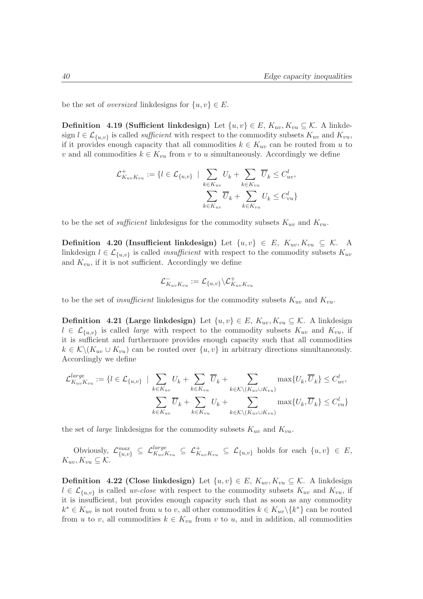be the set of *oversized* linkdesigns for  $\{u, v\} \in E$ .

**Definition 4.19 (Sufficient linkdesign)** Let  $\{u, v\} \in E$ ,  $K_{uv}$ ,  $K_{vu} \subseteq \mathcal{K}$ . A linkdesign  $l \in \mathcal{L}_{\{u,v\}}$  is called *sufficient* with respect to the commodity subsets  $K_{uv}$  and  $K_{vu}$ , if it provides enough capacity that all commodities  $k \in K_{uv}$  can be routed from u to v and all commodities  $k \in K_{vu}$  from v to u simultaneously. Accordingly we define

$$
\mathcal{L}_{K_{uv}K_{vu}}^+ := \{ l \in \mathcal{L}_{\{u,v\}} \mid \sum_{k \in K_{uv}} U_k + \sum_{k \in K_{vu}} \overline{U}_k \leq C_{uv}^l, \sum_{k \in K_{uv}} \overline{U}_k + \sum_{k \in K_{vu}} U_k \leq C_{vu}^l \}
$$

to be the set of *sufficient* linkdesigns for the commodity subsets  $K_{uv}$  and  $K_{vu}$ .

Definition 4.20 (Insufficient linkdesign) Let  $\{u, v\} \in E$ ,  $K_{uv}, K_{vu} \subseteq \mathcal{K}$ . A linkdesign  $l \in \mathcal{L}_{\{u,v\}}$  is called *insufficient* with respect to the commodity subsets  $K_{uv}$ and  $K_{vu}$ , if it is not sufficient. Accordingly we define

$$
\mathcal{L}_{K_{uv}K_{vu}}^-:=\mathcal{L}_{\{u,v\}}\backslash\mathcal{L}_{K_{uv}K_{vu}}^+
$$

to be the set of *insufficient* linkdesigns for the commodity subsets  $K_{uv}$  and  $K_{vu}$ .

**Definition 4.21 (Large linkdesign)** Let  $\{u, v\} \in E$ ,  $K_{uv}$ ,  $K_{vu} \subseteq \mathcal{K}$ . A linkdesign  $l \in \mathcal{L}_{\{u,v\}}$  is called *large* with respect to the commodity subsets  $K_{uv}$  and  $K_{vu}$ , if it is sufficient and furthermore provides enough capacity such that all commodities  $k \in \mathcal{K}\backslash (K_{uv} \cup K_{vu})$  can be routed over  $\{u, v\}$  in arbitrary directions simultaneously. Accordingly we define

$$
\mathcal{L}_{K_{uv}K_{vu}}^{large} := \{l \in \mathcal{L}_{\{u,v\}} \mid \sum_{k \in K_{uv}} U_k + \sum_{k \in K_{vu}} \overline{U}_k + \sum_{k \in \mathcal{K} \setminus (K_{uv} \cup K_{vu})} \max\{U_k, \overline{U}_k\} \leq C_{uv}^l, \sum_{k \in K_{uv}} \overline{U}_k + \sum_{k \in K_{vu}} U_k + \sum_{k \in \mathcal{K} \setminus (K_{uv} \cup K_{vu})} \max\{U_k, \overline{U}_k\} \leq C_{vu}^l\}
$$

the set of *large* linkdesigns for the commodity subsets  $K_{uv}$  and  $K_{vu}$ .

Obviously,  $\mathcal{L}^{max}_{\{u,v\}} \subseteq \mathcal{L}^{large}_{K_{uv}K_{vu}} \subseteq \mathcal{L}^{+}_{K_{uv}K_{vu}} \subseteq \mathcal{L}_{\{u,v\}}$  holds for each  $\{u,v\} \in E$ ,  $K_{uv}, K_{vu} \subseteq \mathcal{K}.$ 

**Definition 4.22 (Close linkdesign)** Let  $\{u, v\} \in E$ ,  $K_{uv}$ ,  $K_{vu} \subseteq K$ . A linkdesign  $l \in \mathcal{L}_{\{u,v\}}$  is called *uv-close* with respect to the commodity subsets  $K_{uv}$  and  $K_{vu}$ , if it is insufficient, but provides enough capacity such that as soon as any commodity  $k^* \in K_{uv}$  is not routed from u to v, all other commodities  $k \in K_{uv} \backslash \{k^*\}$  can be routed from u to v, all commodities  $k \in K_{vu}$  from v to u, and in addition, all commodities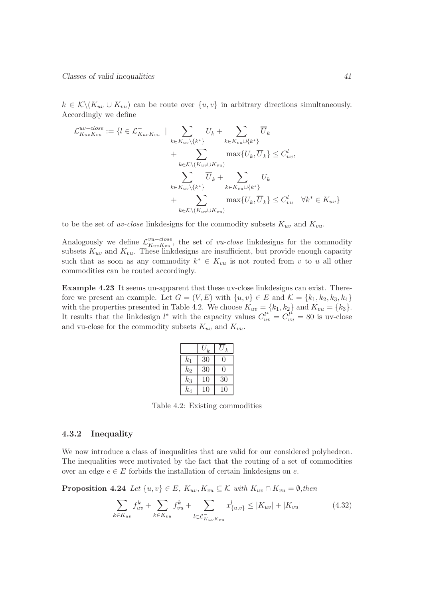$k \in \mathcal{K}\backslash (K_{uv}\cup K_{vu})$  can be route over  $\{u, v\}$  in arbitrary directions simultaneously. Accordingly we define

$$
\mathcal{L}_{K_{uv}K_{vu}}^{uv - close} := \{l \in \mathcal{L}_{K_{uv}K_{vu}}^{-} \mid \sum_{k \in K_{uv} \setminus \{k^{*}\}} U_k + \sum_{k \in K_{vu} \cup \{k^{*}\}} \overline{U}_k + \sum_{k \in K \setminus (K_{uv} \cup K_{vu})} \max\{U_k, \overline{U}_k\} \leq C_{uv}^l, \sum_{k \in K_{uv} \setminus \{k^{*}\}} \overline{U}_k + \sum_{k \in K_{vu} \cup \{k^{*}\}} U_k + \sum_{k \in K \setminus (K_{uv} \cup K_{vu})} \max\{U_k, \overline{U}_k\} \leq C_{vu}^l \quad \forall k^{*} \in K_{uv}\}
$$

to be the set of *uv-close* linkdesigns for the commodity subsets  $K_{uv}$  and  $K_{vu}$ .

Analogously we define  $\mathcal{L}_{K_{\text{cur}}K_{\text{cur}}}^{vu-close}$  $W_{u}^{u-close}$ , the set of *vu-close* linkdesigns for the commodity subsets  $K_{uv}$  and  $K_{vu}$ . These linkdesigns are insufficient, but provide enough capacity such that as soon as any commodity  $k^* \in K_{vu}$  is not routed from v to u all other commodities can be routed accordingly.

Example 4.23 It seems un-apparent that these uv-close linkdesigns can exist. Therefore we present an example. Let  $G = (V, E)$  with  $\{u, v\} \in E$  and  $\mathcal{K} = \{k_1, k_2, k_3, k_4\}$ with the properties presented in Table 4.2. We choose  $K_{uv} = \{k_1, k_2\}$  and  $K_{vu} = \{k_3\}.$ It results that the linkdesign  $l^*$  with the capacity values  $C_{uv}^{l^*} = C_{vu}^{l^*} = 80$  is uv-close and vu-close for the commodity subsets  $K_{uv}$  and  $K_{vu}$ .

|         | $\boldsymbol{k}$ | $\boldsymbol{k}$ |
|---------|------------------|------------------|
| $k_{1}$ | 30               |                  |
| $k_2$   | 30               | ( )              |
| $k_3$   | 10               | 30               |
| $k_4$   | 10               | 10               |

Table 4.2: Existing commodities

#### 4.3.2 Inequality

We now introduce a class of inequalities that are valid for our considered polyhedron. The inequalities were motivated by the fact that the routing of a set of commodities over an edge  $e \in E$  forbids the installation of certain linkdesigns on e.

**Proposition 4.24** Let  $\{u, v\} \in E$ ,  $K_{uv}$ ,  $K_{vu} \subseteq \mathcal{K}$  with  $K_{uv} \cap K_{vu} = \emptyset$ , then

$$
\sum_{k \in K_{uv}} f_{uv}^k + \sum_{k \in K_{vu}} f_{vu}^k + \sum_{l \in \mathcal{L}_{K_{uv}K_{vu}}^-} x_{\{u,v\}}^l \le |K_{uv}| + |K_{vu}| \tag{4.32}
$$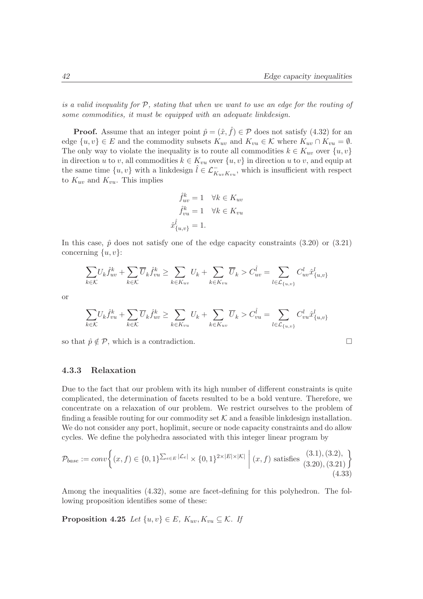is a valid inequality for  $P$ , stating that when we want to use an edge for the routing of some commodities, it must be equipped with an adequate linkdesign.

**Proof.** Assume that an integer point  $\hat{p} = (\hat{x}, \hat{f}) \in \mathcal{P}$  does not satisfy (4.32) for an edge  $\{u, v\} \in E$  and the commodity subsets  $K_{uv}$  and  $K_{vu} \in \mathcal{K}$  where  $K_{uv} \cap K_{vu} = \emptyset$ . The only way to violate the inequality is to route all commodities  $k \in K_{uv}$  over  $\{u, v\}$ in direction u to v, all commodities  $k \in K_{vu}$  over  $\{u, v\}$  in direction u to v, and equip at the same time  $\{u, v\}$  with a linkdesign  $\hat{l} \in \mathcal{L}_{K_{uv}K_{vu}}^-$ , which is insufficient with respect to  $K_{uv}$  and  $K_{vu}$ . This implies

$$
\hat{f}_{uv}^k = 1 \quad \forall k \in K_{uv}
$$

$$
\hat{f}_{vu}^k = 1 \quad \forall k \in K_{vu}
$$

$$
\hat{x}_{\{u,v\}}^{\hat{l}} = 1.
$$

In this case,  $\hat{p}$  does not satisfy one of the edge capacity constraints (3.20) or (3.21) concerning  $\{u, v\}$ :

$$
\sum_{k \in \mathcal{K}} U_k \hat{f}_{uv}^k + \sum_{k \in \mathcal{K}} \overline{U}_k \hat{f}_{vu}^k \ge \sum_{k \in K_{uv}} U_k + \sum_{k \in K_{vu}} \overline{U}_k > C_{uv}^{\hat{l}} = \sum_{l \in \mathcal{L}_{\{u,v\}}} C_{uv}^l \hat{x}_{\{u,v\}}
$$

or

$$
\sum_{k \in \mathcal{K}} U_k \hat{f}_{vu}^k + \sum_{k \in \mathcal{K}} \overline{U}_k \hat{f}_{uv}^k \ge \sum_{k \in K_{vu}} U_k + \sum_{k \in K_{uv}} \overline{U}_k > C_{vu}^{\hat{l}} = \sum_{l \in \mathcal{L}_{\{u,v\}}} C_{vu}^l \hat{x}_{\{u,v\}}^l
$$

so that  $\hat{p} \notin \mathcal{P}$ , which is a contradiction.

$$
\overline{a}
$$

#### 4.3.3 Relaxation

Due to the fact that our problem with its high number of different constraints is quite complicated, the determination of facets resulted to be a bold venture. Therefore, we concentrate on a relaxation of our problem. We restrict ourselves to the problem of finding a feasible routing for our commodity set  $K$  and a feasible linkdesign installation. We do not consider any port, hoplimit, secure or node capacity constraints and do allow cycles. We define the polyhedra associated with this integer linear program by

$$
\mathcal{P}_{base} := conv \left\{ (x, f) \in \{0, 1\}^{\sum_{e \in E} |\mathcal{L}_e|} \times \{0, 1\}^{2 \times |E| \times |\mathcal{K}|} \mid (x, f) \text{ satisfies (3.1), (3.2), (3.21)} \right\}
$$
\n(4.33)

Among the inequalities (4.32), some are facet-defining for this polyhedron. The following proposition identifies some of these:

Proposition 4.25 Let  $\{u, v\} \in E$ ,  $K_{uv}$ ,  $K_{vu} \subseteq \mathcal{K}$ . If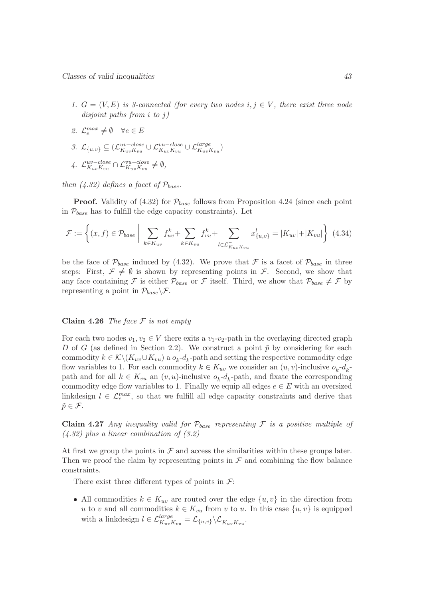- 1.  $G = (V, E)$  is 3-connected (for every two nodes  $i, j \in V$ , there exist three node disjoint paths from i to j)
- 2.  $\mathcal{L}_e^{max} \neq \emptyset \quad \forall e \in E$
- 3.  $\mathcal{L}_{\{u,v\}} \subseteq (\mathcal{L}_{K_{uv}K_{vu}}^{uv-close})$  $w{-}close \cup \mathcal{L}_{K_{uv}K_{vu}}^{vu{-}close} \cup \mathcal{L}_{K_{uv}K_{vu}}^{large}$
- 4.  $\mathcal{L}_{K_{\text{aux}}K_{\text{aux}}}^{uv-close}$  $\frac{uv - close}{K_{uv}K_{vu}} \cap \mathcal{L}_{K_{uv}K_{vu}}^{vu - close} \neq \emptyset,$

then  $(4.32)$  defines a facet of  $P_{base}$ .

**Proof.** Validity of (4.32) for  $\mathcal{P}_{base}$  follows from Proposition 4.24 (since each point in  $\mathcal{P}_{base}$  has to fulfill the edge capacity constraints). Let

$$
\mathcal{F} := \left\{ (x, f) \in \mathcal{P}_{base} \mid \sum_{k \in K_{uv}} f_{uv}^k + \sum_{k \in K_{vu}} f_{vu}^k + \sum_{l \in \mathcal{L}_{K_{uv}K_{vu}}^-} x_{\{u,v\}}^l = |K_{uv}| + |K_{vu}| \right\} \tag{4.34}
$$

be the face of  $\mathcal{P}_{base}$  induced by (4.32). We prove that F is a facet of  $\mathcal{P}_{base}$  in three steps: First,  $\mathcal{F} \neq \emptyset$  is shown by representing points in  $\mathcal{F}$ . Second, we show that any face containing F is either  $\mathcal{P}_{base}$  or F itself. Third, we show that  $\mathcal{P}_{base} \neq \mathcal{F}$  by representing a point in  $\mathcal{P}_{base} \backslash \mathcal{F}$ .

#### Claim 4.26 The face  $F$  is not empty

For each two nodes  $v_1, v_2 \in V$  there exits a  $v_1-v_2$ -path in the overlaying directed graph D of G (as defined in Section 2.2). We construct a point  $\tilde{p}$  by considering for each commodity  $k \in \mathcal{K} \setminus (K_{uv} \cup K_{vu})$  a  $o_k$ - $d_k$ -path and setting the respective commodity edge flow variables to 1. For each commodity  $k \in K_{uv}$  we consider an  $(u, v)$ -inclusive  $o_k$ - $d_k$ path and for all  $k \in K_{vu}$  an  $(v, u)$ -inclusive  $o_k$ - $d_k$ -path, and fixate the corresponding commodity edge flow variables to 1. Finally we equip all edges  $e \in E$  with an oversized linkdesign  $l \in \mathcal{L}_e^{max}$ , so that we fulfill all edge capacity constraints and derive that  $\tilde{p} \in \mathcal{F}$ .

Claim 4.27 Any inequality valid for  $\mathcal{P}_{base}$  representing F is a positive multiple of  $(4.32)$  plus a linear combination of  $(3.2)$ 

At first we group the points in  $\mathcal F$  and access the similarities within these groups later. Then we proof the claim by representing points in  $\mathcal F$  and combining the flow balance constraints.

There exist three different types of points in  $\mathcal{F}$ :

• All commodities  $k \in K_{uv}$  are routed over the edge  $\{u, v\}$  in the direction from u to v and all commodities  $k \in K_{vu}$  from v to u. In this case  $\{u, v\}$  is equipped with a linkdesign  $l \in \mathcal{L}_{K_{uv}K_{vu}}^{large} = \mathcal{L}_{\{u,v\}} \backslash \mathcal{L}_{K_{uv}K_{vu}}^{-}$ .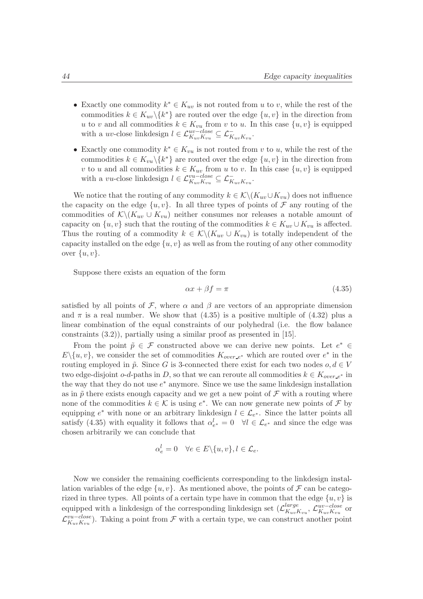- Exactly one commodity  $k^* \in K_{uv}$  is not routed from u to v, while the rest of the commodities  $k \in K_{uv} \backslash \{k^*\}$  are routed over the edge  $\{u, v\}$  in the direction from u to v and all commodities  $k \in K_{vu}$  from v to u. In this case  $\{u, v\}$  is equipped with a *uv*-close linkdesign  $l \in \mathcal{L}_{K_{uv}K_{vu}}^{uv - close} \subseteq \mathcal{L}_{K_{uv}K_{vu}}^{-}$ .
- Exactly one commodity  $k^* \in K_{vu}$  is not routed from v to u, while the rest of the commodities  $k \in K_{vu} \setminus \{k^*\}$  are routed over the edge  $\{u, v\}$  in the direction from v to u and all commodities  $k \in K_{uv}$  from u to v. In this case  $\{u, v\}$  is equipped with a vu-close linkdesign  $l \in \mathcal{L}_{K_{uv}K_{vu}}^{vu-close} \subseteq \mathcal{L}_{K_{uv}K_{vu}}^{-}$ .

We notice that the routing of any commodity  $k \in \mathcal{K} \backslash (K_{uv} \cup K_{vu})$  does not influence the capacity on the edge  $\{u, v\}$ . In all three types of points of  $\mathcal F$  any routing of the commodities of  $\mathcal{K}\backslash (K_{uv}\cup K_{vu})$  neither consumes nor releases a notable amount of capacity on  $\{u, v\}$  such that the routing of the commodities  $k \in K_{uv} \cup K_{vu}$  is affected. Thus the routing of a commodity  $k \in \mathcal{K}\backslash (K_{uv} \cup K_{vu})$  is totally independent of the capacity installed on the edge  $\{u, v\}$  as well as from the routing of any other commodity over  $\{u, v\}$ .

Suppose there exists an equation of the form

$$
\alpha x + \beta f = \pi \tag{4.35}
$$

satisfied by all points of F, where  $\alpha$  and  $\beta$  are vectors of an appropriate dimension and  $\pi$  is a real number. We show that (4.35) is a positive multiple of (4.32) plus a linear combination of the equal constraints of our polyhedral (i.e. the flow balance constraints (3.2)), partially using a similar proof as presented in [15].

From the point  $\tilde{p} \in \mathcal{F}$  constructed above we can derive new points. Let  $e^* \in$  $E\setminus\{u,v\}$ , we consider the set of commodities  $K_{over-e^*}$  which are routed over  $e^*$  in the routing employed in  $\tilde{p}$ . Since G is 3-connected there exist for each two nodes  $o, d \in V$ two edge-disjoint o-d-paths in D, so that we can reroute all commodities  $k \in K_{over-e^*}$  in the way that they do not use  $e^*$  anymore. Since we use the same linkdesign installation as in  $\tilde{p}$  there exists enough capacity and we get a new point of  $\mathcal F$  with a routing where none of the commodities  $k \in \mathcal{K}$  is using  $e^*$ . We can now generate new points of  $\mathcal{F}$  by equipping  $e^*$  with none or an arbitrary linkdesign  $l \in \mathcal{L}_{e^*}$ . Since the latter points all satisfy (4.35) with equality it follows that  $\alpha_{e^*}^l = 0 \quad \forall l \in \mathcal{L}_{e^*}$  and since the edge was chosen arbitrarily we can conclude that

$$
\alpha_e^l = 0 \quad \forall e \in E \setminus \{u, v\}, l \in \mathcal{L}_e.
$$

Now we consider the remaining coefficients corresponding to the linkdesign installation variables of the edge  $\{u, v\}$ . As mentioned above, the points of  $\mathcal F$  can be categorized in three types. All points of a certain type have in common that the edge  $\{u, v\}$  is equipped with a linkdesign of the corresponding linkdesign set  $(\mathcal{L}_{K_{\text{max}}}^{large})$  $_{KuvKvu}^{large}$ ,  $\mathcal{L}_{KuvKvu}^{uv-close}$  $\frac{uv-close}{K_{uv}K_{vu}}$  or  $\mathcal{L}_{K_{\text{max}}}^{vu-close}$  $W = C^{u}C^{u}$ . Taking a point from F with a certain type, we can construct another point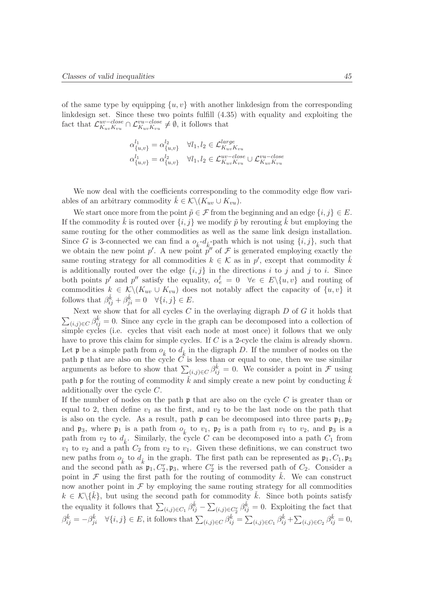of the same type by equipping  $\{u, v\}$  with another linkdesign from the corresponding linkdesign set. Since these two points fulfill (4.35) with equality and exploiting the fact that  $\mathcal{L}_{K_{\text{aux}}K_{\text{aux}}}^{uv-close}$  $w-lose \n\subset \mathcal{L}_{K_{uv}K_{vu}}^{vu-close} \neq \emptyset$ , it follows that

$$
\alpha_{\{u,v\}}^{l_1} = \alpha_{\{u,v\}}^{l_2} \quad \forall l_1, l_2 \in \mathcal{L}_{K_{uv}K_{vu}}^{large}
$$

$$
\alpha_{\{u,v\}}^{l_1} = \alpha_{\{u,v\}}^{l_2} \quad \forall l_1, l_2 \in \mathcal{L}_{K_{uv}K_{vu}}^{uv-close} \cup \mathcal{L}_{K_{uv}K_{vu}}^{vu-close}
$$

We now deal with the coefficients corresponding to the commodity edge flow variables of an arbitrary commodity  $k \in \mathcal{K}\backslash (K_{uv}\cup K_{vu}).$ 

We start once more from the point  $\tilde{p} \in \mathcal{F}$  from the beginning and an edge  $\{i, j\} \in E$ . If the commodity  $\dot{k}$  is routed over  $\{i, j\}$  we modify  $\tilde{p}$  by rerouting  $\dot{k}$  but employing the same routing for the other commodities as well as the same link design installation. Since G is 3-connected we can find a  $o_{\vec{k}}$ - $d_{\vec{k}}$ -path which is not using  $\{i, j\}$ , such that we obtain the new point  $p'$ . A new point  $p''$  of  $\mathcal F$  is generated employing exactly the same routing strategy for all commodities  $k \in \mathcal{K}$  as in  $p'$ , except that commodity  $\check{k}$ is additionally routed over the edge  $\{i, j\}$  in the directions i to j and j to i. Since both points p' and p'' satisfy the equality,  $\alpha_e^l = 0 \quad \forall e \in E \setminus \{u, v\}$  and routing of commodities  $k \in \mathcal{K} \backslash (K_{uv} \cup K_{vu})$  does not notably affect the capacity of  $\{u, v\}$  it follows that  $\beta_{ij}^{\check{k}} + \beta_{ji}^{\check{k}} = 0 \quad \forall \{i, j\} \in E$ .

 $\sum_{(i,j)\in C} \beta_{ij}^{\check{k}} = 0$ . Since any cycle in the graph can be decomposed into a collection of Next we show that for all cycles C in the overlaying digraph  $D$  of G it holds that simple cycles (i.e. cycles that visit each node at most once) it follows that we only have to prove this claim for simple cycles. If C is a 2-cycle the claim is already shown. Let **p** be a simple path from  $o_{\vec{k}}$  to  $d_{\vec{k}}$  in the digraph D. If the number of nodes on the path  $\mathfrak p$  that are also on the cycle C is less than or equal to one, then we use similar arguments as before to show that  $\sum_{(i,j)\in C} \beta_{ij}^{\check{k}} = 0$ . We consider a point in F using path **p** for the routing of commodity  $\check{k}$  and simply create a new point by conducting  $\check{k}$ additionally over the cycle C.

If the number of nodes on the path  $\mathfrak p$  that are also on the cycle  $C$  is greater than or equal to 2, then define  $v_1$  as the first, and  $v_2$  to be the last node on the path that is also on the cycle. As a result, path  $\mathfrak p$  can be decomposed into three parts  $\mathfrak p_1, \mathfrak p_2$ and  $\mathfrak{p}_3$ , where  $\mathfrak{p}_1$  is a path from  $o_{\vec{k}}$  to  $v_1$ ,  $\mathfrak{p}_2$  is a path from  $v_1$  to  $v_2$ , and  $\mathfrak{p}_3$  is a path from  $v_2$  to  $d_{\vec{k}}$ . Similarly, the cycle C can be decomposed into a path  $C_1$  from  $v_1$  to  $v_2$  and a path  $C_2$  from  $v_2$  to  $v_1$ . Given these definitions, we can construct two new paths from  $o_{\tilde{k}}$  to  $d_{\tilde{k}}$  in the graph. The first path can be represented as  $\mathfrak{p}_1, C_1, \mathfrak{p}_3$ and the second path as  $\mathfrak{p}_1, C_2^r, \mathfrak{p}_3$ , where  $C_2^r$  is the reversed path of  $C_2$ . Consider a point in  $\mathcal F$  using the first path for the routing of commodity k. We can construct now another point in  $\mathcal F$  by employing the same routing strategy for all commodities  $k \in \mathcal{K}\backslash\{\check{k}\}\,$ , but using the second path for commodity  $\check{k}$ . Since both points satisfy the equality it follows that  $\sum_{(i,j)\in C_1} \beta_{ij}^{\check{k}} - \sum_{(i,j)\in C_2^r} \beta_{ij}^{\check{k}} = 0$ . Exploiting the fact that  $\beta_{ij}^{\check{k}} = -\beta_{ji}^{\check{k}} \quad \forall \{i, j\} \in E$ , it follows that  $\sum_{(i,j) \in C} \beta_{ij}^{\check{k}} = \sum_{(i,j) \in C_1} \beta_{ij}^{\check{k}} + \sum_{(i,j) \in C_2} \beta_{ij}^{\check{k}} = 0$ ,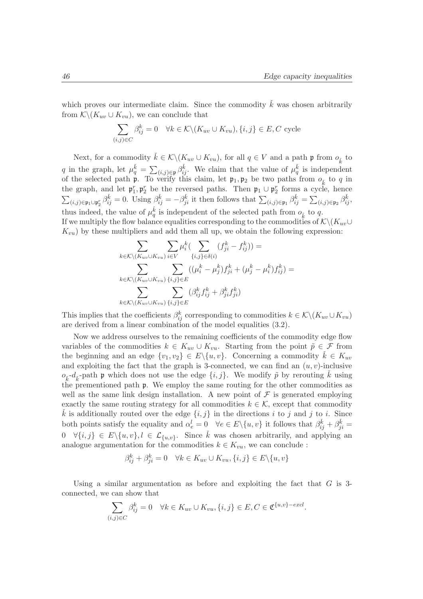which proves our intermediate claim. Since the commodity  $\check{k}$  was chosen arbitrarily from  $\mathcal{K}\backslash (K_{uv}\cup K_{vu}),$  we can conclude that

$$
\sum_{(i,j)\in C} \beta_{ij}^k = 0 \quad \forall k \in \mathcal{K} \setminus (K_{uv} \cup K_{vu}), \{i,j\} \in E, C \text{ cycle}
$$

Next, for a commodity  $\check{k} \in \mathcal{K} \backslash (K_{uv} \cup K_{vu})$ , for all  $q \in V$  and a path  $\mathfrak{p}$  from  $o_{\check{k}}$  to q in the graph, let  $\mu_q^{\check{k}} = \sum_{(i,j) \in \mathfrak{p}} \beta_{ij}^{\check{k}}$ . We claim that the value of  $\mu_q^{\check{k}}$  is independent of the selected path **p**. To verify this claim, let  $\mathfrak{p}_1, \mathfrak{p}_2$  be two paths from  $o_{\vec{k}}$  to q in the graph, and let  $\mathfrak{p}_1^r, \mathfrak{p}_2^r$  be the reversed paths. Then  $\mathfrak{p}_1 \cup \mathfrak{p}_2^r$  forms a cycle, hence  $\sum_{(i,j)\in\mathfrak{p}_1\cup\mathfrak{p}_2^r}\beta_{ij}^{\check{k}}=0.$  Using  $\beta_{ij}^{\check{k}}=-\beta_{ji}^{\check{k}}$  it then follows that  $\sum_{(i,j)\in\mathfrak{p}_1}\beta_{ij}^{\check{k}}=\sum_{(i,j)\in\mathfrak{p}_2}\beta_{ij}^{\check{k}}$ , thus indeed, the value of  $\mu_q^{\vec{k}}$  is independent of the selected path from  $o_{\vec{k}}$  to q. If we multiply the flow balance equalities corresponding to the commodities of  $\mathcal{K}\backslash (K_{uv}\cup$  $K_{vu}$ ) by these multipliers and add them all up, we obtain the following expression:

$$
\sum_{k \in \mathcal{K} \backslash (K_{uv} \cup K_{vu})} \sum_{i \in V} \mu_i^k \left( \sum_{\{i,j\} \in \delta(i)} (f_{ji}^k - f_{ij}^k) \right) =
$$
\n
$$
\sum_{k \in \mathcal{K} \backslash (K_{uv} \cup K_{vu})} \sum_{\{i,j\} \in E} ((\mu_i^k - \mu_j^k) f_{ji}^k + (\mu_j^k - \mu_i^k) f_{ij}^k) =
$$
\n
$$
\sum_{k \in \mathcal{K} \backslash (K_{uv} \cup K_{vu})} \sum_{\{i,j\} \in E} (\beta_{ij}^k f_{ij}^k + \beta_{ji}^k f_{ji}^k)
$$

This implies that the coefficients  $\beta_{ij}^k$  corresponding to commodities  $k \in \mathcal{K} \setminus (K_{uv} \cup K_{vu})$ are derived from a linear combination of the model equalities (3.2).

Now we address ourselves to the remaining coefficients of the commodity edge flow variables of the commodities  $k \in K_{uv} \cup K_{vu}$ . Starting from the point  $\tilde{p} \in \mathcal{F}$  from the beginning and an edge  $\{v_1, v_2\} \in E \setminus \{u, v\}$ . Concerning a commodity  $\check{k} \in K_{uv}$ and exploiting the fact that the graph is 3-connected, we can find an  $(u, v)$ -inclusive  $o_{\vec{k}}$ -d<sub> $\vec{k}$ </sub>-path **p** which does not use the edge  $\{i, j\}$ . We modify  $\tilde{p}$  by rerouting  $\tilde{k}$  using the prementioned path  $\mathfrak p$ . We employ the same routing for the other commodities as well as the same link design installation. A new point of  $\mathcal F$  is generated employing exactly the same routing strategy for all commodities  $k \in \mathcal{K}$ , except that commodity k is additionally routed over the edge  $\{i, j\}$  in the directions i to j and j to i. Since both points satisfy the equality and  $\alpha_e^l = 0 \quad \forall e \in E \setminus \{u, v\}$  it follows that  $\beta_{ij}^{\check{k}} + \beta_{ji}^{\check{k}} =$  $0 \quad \forall \{i,j\} \in E \setminus \{u,v\}, l \in \mathcal{L}_{\{u,v\}}.$  Since  $\check{k}$  was chosen arbitrarily, and applying an analogue argumentation for the commodities  $k \in K_{vu}$ , we can conclude:

$$
\beta_{ij}^k + \beta_{ji}^k = 0 \quad \forall k \in K_{uv} \cup K_{vu}, \{i, j\} \in E \setminus \{u, v\}
$$

Using a similar argumentation as before and exploiting the fact that  $G$  is 3connected, we can show that

$$
\sum_{(i,j)\in C} \beta_{ij}^k = 0 \quad \forall k \in K_{uv} \cup K_{vu}, \{i,j\} \in E, C \in \mathfrak{C}^{\{u,v\}-\text{excl}}.
$$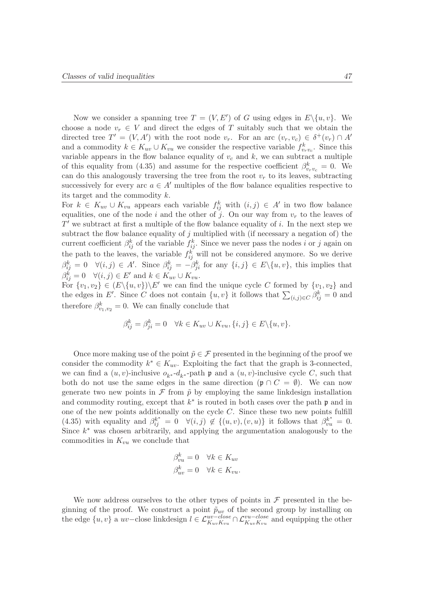Now we consider a spanning tree  $T = (V, E')$  of G using edges in  $E \setminus \{u, v\}$ . We choose a node  $v_r \in V$  and direct the edges of T suitably such that we obtain the directed tree  $T' = (V, A')$  with the root node  $v_r$ . For an arc  $(v_r, v_c) \in \delta^+(v_r) \cap A'$ and a commodity  $k \in K_{uv} \cup K_{vu}$  we consider the respective variable  $f_{v_r v_c}^k$ . Since this variable appears in the flow balance equality of  $v_c$  and  $k$ , we can subtract a multiple of this equality from (4.35) and assume for the respective coefficient  $\beta_{v_r v_c}^k = 0$ . We can do this analogously traversing the tree from the root  $v_r$  to its leaves, subtracting successively for every arc  $a \in A'$  multiples of the flow balance equalities respective to its target and the commodity k.

For  $k \in K_{uv} \cup K_{vu}$  appears each variable  $f_{ij}^k$  with  $(i, j) \in A'$  in two flow balance equalities, one of the node i and the other of j. On our way from  $v_r$  to the leaves of  $T'$  we subtract at first a multiple of the flow balance equality of i. In the next step we subtract the flow balance equality of  $j$  multiplied with (if necessary a negation of) the current coefficient  $\beta_{ij}^k$  of the variable  $f_{ij}^k$ . Since we never pass the nodes *i* or *j* again on the path to the leaves, the variable  $f_{ij}^k$  will not be considered anymore. So we derive  $\beta_{ij}^k = 0 \quad \forall (i, j) \in A'.$  Since  $\beta_{ij}^k = -\beta_{ji}^k$  for any  $\{i, j\} \in E \setminus \{u, v\}$ , this implies that  $\beta_{ij}^k = 0 \quad \forall (i, j) \in E' \text{ and } k \in K_{uv} \cup K_{vu}.$ 

For  $\{v_1, v_2\} \in (E \setminus \{u, v\}) \setminus E'$  we can find the unique cycle C formed by  $\{v_1, v_2\}$  and the edges in E'. Since C does not contain  $\{u, v\}$  it follows that  $\sum_{(i,j)\in C} \beta_{ij}^k = 0$  and therefore  $\beta_{v_1,v_2}^k = 0$ . We can finally conclude that

$$
\beta_{ij}^k = \beta_{ji}^k = 0 \quad \forall k \in K_{uv} \cup K_{vu}, \{i, j\} \in E \setminus \{u, v\}.
$$

Once more making use of the point  $\tilde{p} \in \mathcal{F}$  presented in the beginning of the proof we consider the commodity  $k^* \in K_{uv}$ . Exploiting the fact that the graph is 3-connected, we can find a  $(u, v)$ -inclusive  $o_{k^*}$ - $d_{k^*}$ -path  $\mathfrak p$  and a  $(u, v)$ -inclusive cycle C, such that both do not use the same edges in the same direction  $(\mathfrak{p} \cap C = \emptyset)$ . We can now generate two new points in  $\mathcal F$  from  $\tilde p$  by employing the same linkdesign installation and commodity routing, except that  $k^*$  is routed in both cases over the path  $\mathfrak p$  and in one of the new points additionally on the cycle  $C$ . Since these two new points fulfill (4.35) with equality and  $\beta_{ij}^{k^*} = 0 \quad \forall (i,j) \notin \{(u,v), (v,u)\}$  it follows that  $\beta_{vu}^{k^*} = 0$ . Since  $k^*$  was chosen arbitrarily, and applying the argumentation analogously to the commodities in  $K_{vu}$  we conclude that

$$
\begin{aligned}\n\beta_{vu}^k &= 0 \quad \forall k \in K_{uv} \\
\beta_{uv}^k &= 0 \quad \forall k \in K_{vu}.\n\end{aligned}
$$

We now address ourselves to the other types of points in  $\mathcal F$  presented in the beginning of the proof. We construct a point  $\tilde{p}_{uv}$  of the second group by installing on the edge  $\{u, v\}$  a  $uv$ –close linkdesign  $l \in \mathcal{L}_{K_{uv}K_{vu}}^{uv-close} \cap \mathcal{L}_{K_{uv}K_{vu}}^{vu-close}$  and equipping the other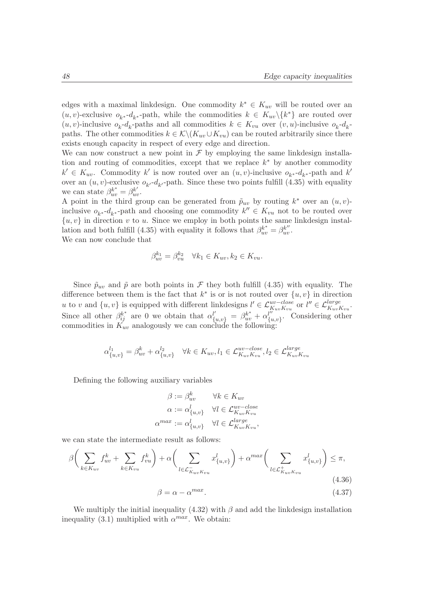edges with a maximal linkdesign. One commodity  $k^* \in K_{uv}$  will be routed over an  $(u, v)$ -exclusive  $o_{k^*}$ - $d_{k^*}$ -path, while the commodities  $k \in K_{uv} \setminus \{k^*\}$  are routed over  $(u, v)$ -inclusive  $o_k - d_k$ -paths and all commodities  $k \in K_{vu}$  over  $(v, u)$ -inclusive  $o_k - d_k$ paths. The other commodities  $k \in \mathcal{K} \backslash (K_{uv} \cup K_{vu})$  can be routed arbitrarily since there exists enough capacity in respect of every edge and direction.

We can now construct a new point in  $\mathcal F$  by employing the same linkdesign installation and routing of commodities, except that we replace  $k^*$  by another commodity  $k' \in K_{uv}$ . Commodity k' is now routed over an  $(u, v)$ -inclusive  $o_{k^*}$ - $d_{k^*}$ -path and k' over an  $(u, v)$ -exclusive  $o_{k'}$ - $d_{k'}$ -path. Since these two points fulfill (4.35) with equality we can state  $\beta_{uv}^{k^*} = \beta_{uv}^{k'}$ .

A point in the third group can be generated from  $\tilde{p}_{uv}$  by routing  $k^*$  over an  $(u, v)$ inclusive  $o_{k^*}$ - $d_{k^*}$ -path and choosing one commodity  $k'' \in K_{vu}$  not to be routed over  $\{u, v\}$  in direction v to u. Since we employ in both points the same linkdesign installation and both fulfill (4.35) with equality it follows that  $\beta_{uv}^{k^*} = \beta_{uv}^{k''}$ . We can now conclude that

$$
\beta_{uv}^{k_1} = \beta_{vu}^{k_2} \quad \forall k_1 \in K_{uv}, k_2 \in K_{vu}.
$$

Since  $\tilde{p}_{uv}$  and  $\tilde{p}$  are both points in F they both fulfill (4.35) with equality. The difference between them is the fact that  $k^*$  is or is not routed over  $\{u, v\}$  in direction u to v and  $\{u, v\}$  is equipped with different linkdesigns  $l' \in \mathcal{L}_{K_{uv}K_{vu}}^{uv-close}$  or  $l'' \in \mathcal{L}_{K_{uv}K_{vu}}^{large}$ . Since all other  $\beta_{ij}^{k^*}$  are 0 we obtain that  $\alpha_{\{u,v\}}^{l'} = \beta_{uv}^{k^*} + \alpha_{\{u,v\}}^{l''}$  $\{u,v\}$ . Considering other commodities in  $K_{uv}$  analogously we can conclude the following:

$$
\alpha_{\{u,v\}}^{l_1} = \beta_{uv}^k + \alpha_{\{u,v\}}^{l_2} \quad \forall k \in K_{uv}, l_1 \in \mathcal{L}_{K_{uv}K_{vu}}^{uv-close}, l_2 \in \mathcal{L}_{K_{uv}K_{vu}}^{large}
$$

Defining the following auxiliary variables

$$
\beta := \beta_{uv}^k \qquad \forall k \in K_{uv}
$$

$$
\alpha := \alpha_{\{u,v\}}^l \qquad \forall l \in \mathcal{L}_{K_{uv}K_{vu}}^{uv-close}
$$

$$
\alpha^{max} := \alpha_{\{u,v\}}^l \qquad \forall l \in \mathcal{L}_{K_{uv}K_{vu}}^{large},
$$

we can state the intermediate result as follows:

$$
\beta \bigg( \sum_{k \in K_{uv}} f_{uv}^k + \sum_{k \in K_{vu}} f_{vu}^k \bigg) + \alpha \bigg( \sum_{l \in \mathcal{L}_{K_{uv}K_{vu}}^-} x_{\{u,v\}}^l \bigg) + \alpha^{max} \bigg( \sum_{l \in \mathcal{L}_{K_{uv}K_{vu}}^+} x_{\{u,v\}}^l \bigg) \leq \pi,
$$
\n
$$
\beta = \alpha - \alpha^{max}.
$$
\n(4.37)

We multiply the initial inequality  $(4.32)$  with  $\beta$  and add the linkdesign installation inequality (3.1) multiplied with  $\alpha^{max}$ . We obtain: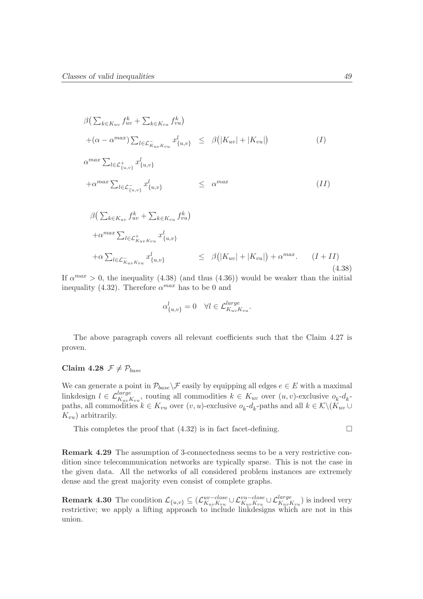$$
\beta\left(\sum_{k \in K_{uv}} f_{uv}^k + \sum_{k \in K_{vu}} f_{vu}^k\right)
$$
\n
$$
+(\alpha - \alpha^{max}) \sum_{l \in \mathcal{L}_{K_{uv}K_{vu}}^*} x_{\{u,v\}}^l \leq \beta\left(|K_{uv}| + |K_{vu}|\right)
$$
\n
$$
\alpha^{max} \sum_{l \in \mathcal{L}_{\{u,v\}}^+} x_{\{u,v\}}^l
$$
\n
$$
+\alpha^{max} \sum_{l \in \mathcal{L}_{\{u,v\}}^-} x_{\{u,v\}}^l \leq \alpha^{max}
$$
\n
$$
\beta\left(\sum_{k \in K_{uv}} f_{uv}^k + \sum_{k \in K_{vu}} f_{vu}^k\right)
$$
\n
$$
+\alpha^{max} \sum_{l \in \mathcal{L}_{K_{uv}K_{vu}}^+} x_{\{u,v\}}^l
$$
\n
$$
+\alpha \sum_{l \in \mathcal{L}_{K_{uv}K_{vu}}^-} x_{\{u,v\}}^l \leq \beta\left(|K_{uv}| + |K_{vu}|\right) + \alpha^{max}. \quad (I + II)
$$
\n
$$
(4.38)
$$

If  $\alpha^{max} > 0$ , the inequality (4.38) (and thus (4.36)) would be weaker than the initial inequality (4.32). Therefore  $\alpha^{max}$  has to be 0 and

$$
\alpha_{\{u,v\}}^l = 0 \quad \forall l \in \mathcal{L}_{K_{uv}K_{vu}}^{large}.
$$

The above paragraph covers all relevant coefficients such that the Claim 4.27 is proven.

### Claim 4.28  $\mathcal{F} \neq \mathcal{P}_{base}$

We can generate a point in  $\mathcal{P}_{base} \setminus \mathcal{F}$  easily by equipping all edges  $e \in E$  with a maximal linkdesign  $l \in \mathcal{L}_{K_{uv}K_{vu}}^{large}$ , routing all commodities  $k \in K_{uv}$  over  $(u, v)$ -exclusive  $o_k$ - $d_k$ paths, all commodities  $k \in K_{vu}$  over  $(v, u)$ -exclusive  $o_k$ - $d_k$ -paths and all  $k \in \mathcal{K} \setminus (K_{uv} \cup$  $K_{vu}$ ) arbitrarily.

This completes the proof that  $(4.32)$  is in fact facet-defining.

Remark 4.29 The assumption of 3-connectedness seems to be a very restrictive condition since telecommunication networks are typically sparse. This is not the case in the given data. All the networks of all considered problem instances are extremely dense and the great majority even consist of complete graphs.

**Remark 4.30** The condition  $\mathcal{L}_{\{u,v\}} \subseteq (\mathcal{L}_{K_{uu}K_{vu}}^{uv-close})$  $w^{-close}_{K_{uv}K_{vu}} \cup \mathcal{L}_{K_{uv}K_{vu}}^{var -close} \cup \mathcal{L}_{K_{uv}K_{vu}}^{large}$  is indeed very restrictive; we apply a lifting approach to include linkdesigns which are not in this union.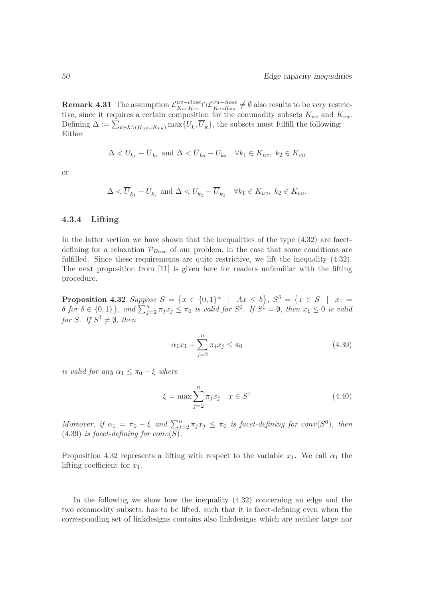**Remark 4.31** The assumption  $\mathcal{L}_{K_{\text{max}}}^{uv - close}$  $\frac{uv - close}{K_{uv}K_{vu}}$ ∩ $\mathcal{L}_{K_{uv}K_{vu}}^{vu - close}$  ≠  $\emptyset$  also results to be very restrictive, since it requires a certain composition for the commodity subsets  $K_{uv}$  and  $K_{vu}$ . Defining  $\Delta := \sum_{k \in \mathcal{K} \setminus (K_{uv} \cup K_{vu})} \max\{U_k, U_k\}$ , the subsets must fulfill the following: Either

$$
\Delta < U_{k_1} - \overline{U}_{k_1} \text{ and } \Delta < \overline{U}_{k_2} - U_{k_2} \quad \forall k_1 \in K_{uv}, \ k_2 \in K_{vu}
$$

or

$$
\Delta < \overline{U}_{k_1} - U_{k_1} \text{ and } \Delta < U_{k_2} - \overline{U}_{k_2} \quad \forall k_1 \in K_{uv}, \ k_2 \in K_{vu}.
$$

#### 4.3.4 Lifting

In the latter section we have shown that the inequalities of the type  $(4.32)$  are facetdefining for a relaxation  $\mathcal{P}_{Base}$  of our problem, in the case that some conditions are fulfilled. Since these requirements are quite restrictive, we lift the inequality  $(4.32)$ . The next proposition from [11] is given here for readers unfamiliar with the lifting procedure.

**Proposition 4.32** Suppose  $S = \{x \in \{0,1\}^n \mid Ax \leq b\}$ ,  $S^{\delta} = \{x \in S \mid x_1 = b\}$  $\delta$  for  $\delta \in \{0,1\}$ , and  $\sum_{j=2}^{n} \pi_j x_j \leq \pi_0$  is valid for  $S^0$ . If  $S^1 = \emptyset$ , then  $x_1 \leq 0$  is valid for S. If  $S^1 \neq \emptyset$ , then

$$
\alpha_1 x_1 + \sum_{j=2}^n \pi_j x_j \le \pi_0 \tag{4.39}
$$

is valid for any  $\alpha_1 \leq \pi_0 - \xi$  where

$$
\xi = \max \sum_{j=2}^{n} \pi_j x_j \quad x \in S^1 \tag{4.40}
$$

Moreover, if  $\alpha_1 = \pi_0 - \xi$  and  $\sum_{j=2}^n \pi_j x_j \leq \pi_0$  is facet-defining for conv(S<sup>0</sup>), then  $(4.39)$  is facet-defining for conv $(S)$ .

Proposition 4.32 represents a lifting with respect to the variable  $x_1$ . We call  $\alpha_1$  the lifting coefficient for  $x_1$ .

In the following we show how the inequality (4.32) concerning an edge and the two commodity subsets, has to be lifted, such that it is facet-defining even when the corresponding set of linkdesigns contains also linkdesigns which are neither large nor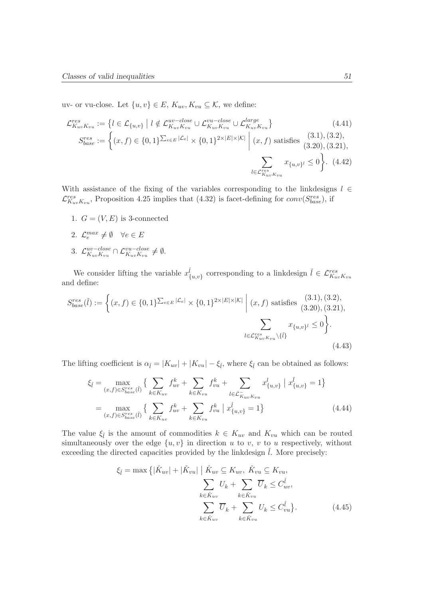uv- or vu-close. Let  $\{u, v\} \in E$ ,  $K_{uv}$ ,  $K_{vu} \subseteq K$ , we define:

$$
\mathcal{L}_{K_{uv}K_{vu}}^{res} := \left\{ l \in \mathcal{L}_{\{u,v\}} \mid l \notin \mathcal{L}_{K_{uv}K_{vu}}^{uv - close} \cup \mathcal{L}_{K_{uv}K_{vu}}^{var} \cup \mathcal{L}_{K_{uv}K_{vu}}^{large} \right\}
$$
\n
$$
S_{base}^{res} := \left\{ (x, f) \in \{0, 1\}^{\sum_{e \in E} |\mathcal{L}_e|} \times \{0, 1\}^{2 \times |E| \times |\mathcal{K}|} \middle| (x, f) \text{ satisfies (3.1), (3.2),}
$$
\n
$$
(3.20), (3.21),
$$
\n
$$
\sum_{l \in \mathcal{L}_{K_{uv}K_{vu}}^{res}} x_{\{u, v\}^l} \le 0 \right\}. \quad (4.42)
$$

With assistance of the fixing of the variables corresponding to the linkdesigns  $l \in$  $\mathcal{L}_{K_{uv}K_{vu}}^{res}$ , Proposition 4.25 implies that (4.32) is facet-defining for  $conv(S_{base}^{res})$ , if

- 1.  $G = (V, E)$  is 3-connected
- 2.  $\mathcal{L}_e^{max} \neq \emptyset \quad \forall e \in E$
- 3.  $\mathcal{L}_{K_{\text{aux}}K_{\text{aux}}}^{uv-close}$  $\frac{uv - close}{K_{uv}K_{vu}} \cap \mathcal{L}_{K_{uv}K_{vu}}^{vu - close} \neq \emptyset.$

We consider lifting the variable  $x_{\{u,v\}}^{\tilde{l}}$  corresponding to a linkdesign  $\tilde{l} \in \mathcal{L}_{K_{uv}K_{vu}}^{res}$ and define:

$$
S_{base}^{res}(\check{l}) := \left\{ (x, f) \in \{0, 1\}^{\sum_{e \in E} |\mathcal{L}_e|} \times \{0, 1\}^{2 \times |E| \times |\mathcal{K}|} \middle| (x, f) \text{ satisfies (3.1), (3.2),} (3.20), (3.21), \sum_{l \in \mathcal{L}_{K_{uv}K_{vu}}^{res} \setminus \{\check{l}\}} x_{\{u,v\}^l} \le 0 \right\}.
$$
\n(4.43)

The lifting coefficient is  $\alpha_{\tilde{l}} = |K_{uv}| + |K_{vu}| - \xi_{\tilde{l}}$ , where  $\xi_{\tilde{l}}$  can be obtained as follows:

$$
\xi_{\tilde{l}} = \max_{(x,f)\in S_{base}^{res}(\tilde{l})} \left\{ \sum_{k \in K_{uv}} f_{uv}^k + \sum_{k \in K_{vu}} f_{vu}^k + \sum_{l \in \mathcal{L}_{Kuv}^{\tilde{l}} K_{vu}} x_{\{u,v\}}^l \mid x_{\{u,v\}}^{\tilde{l}} = 1 \right\}
$$
\n
$$
= \max_{(x,f)\in S_{base}^{res}(\tilde{l})} \left\{ \sum_{k \in K_{uv}} f_{uv}^k + \sum_{k \in K_{vu}} f_{vu}^k \mid x_{\{u,v\}}^{\tilde{l}} = 1 \right\} \tag{4.44}
$$

The value  $\xi_{\ell}$  is the amount of commodities  $k \in K_{uv}$  and  $K_{vu}$  which can be routed simultaneously over the edge  $\{u, v\}$  in direction u to v, v to u respectively, without exceeding the directed capacities provided by the linkdesign  $l$ . More precisely:

$$
\xi_{\tilde{l}} = \max \left\{ |\check{K}_{uv}| + |\check{K}_{vu}| \mid \check{K}_{uv} \subseteq K_{uv}, \check{K}_{vu} \subseteq K_{vu}, \right.\sum_{k \in \check{K}_{uv}} U_k + \sum_{k \in \check{K}_{vu}} \overline{U}_k \le C_{uv}^{\check{l}}, \sum_{k \in \check{K}_{uv}} \overline{U}_k + \sum_{k \in \check{K}_{vu}} U_k \le C_{vu}^{\check{l}} \right\}.
$$
\n(4.45)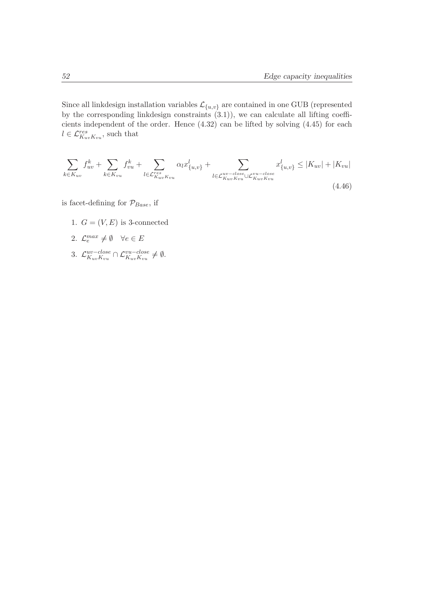Since all linkdesign installation variables  $\mathcal{L}_{\{u,v\}}$  are contained in one GUB (represented by the corresponding linkdesign constraints  $(3.1)$ , we can calculate all lifting coefficients independent of the order. Hence (4.32) can be lifted by solving (4.45) for each  $l \in \mathcal{L}^{res}_{K_{uv}K_{vu}},$  such that

$$
\sum_{k \in K_{uv}} f_{uv}^k + \sum_{k \in K_{vu}} f_{vu}^k + \sum_{l \in \mathcal{L}_{K_{uv}K_{vu}}^{res}} \alpha_l x_{\{u,v\}}^l + \sum_{l \in \mathcal{L}_{K_{uv}K_{vu}}^{uv - close} \cup \mathcal{L}_{K_{uv}K_{vu}}^{vu - close}} x_{\{u,v\}}^l \le |K_{uv}| + |K_{vu}|
$$
\n(4.46)

is facet-defining for  $\mathcal{P}_{Base}$ , if

- 1.  $G = (V, E)$  is 3-connected
- 2.  $\mathcal{L}_e^{max} \neq \emptyset \quad \forall e \in E$
- 3.  $\mathcal{L}_{K_{\text{aux}}K_{\text{aux}}}^{uv-close}$  $\frac{uv - close}{K_{uv}K_{vu}} \cap \mathcal{L}_{K_{uv}K_{vu}}^{vu - close} \neq \emptyset.$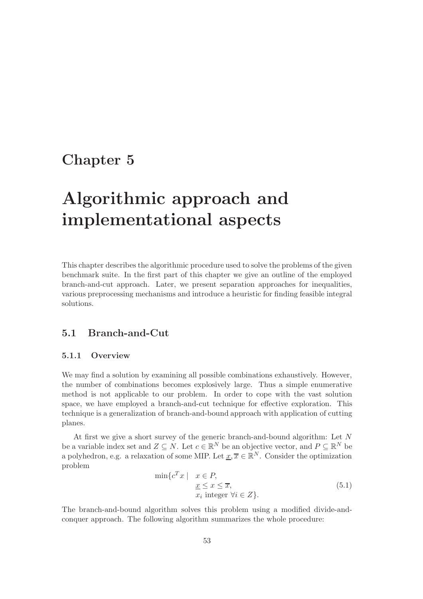# Chapter 5

# Algorithmic approach and implementational aspects

This chapter describes the algorithmic procedure used to solve the problems of the given benchmark suite. In the first part of this chapter we give an outline of the employed branch-and-cut approach. Later, we present separation approaches for inequalities, various preprocessing mechanisms and introduce a heuristic for finding feasible integral solutions.

# 5.1 Branch-and-Cut

### 5.1.1 Overview

We may find a solution by examining all possible combinations exhaustively. However, the number of combinations becomes explosively large. Thus a simple enumerative method is not applicable to our problem. In order to cope with the vast solution space, we have employed a branch-and-cut technique for effective exploration. This technique is a generalization of branch-and-bound approach with application of cutting planes.

At first we give a short survey of the generic branch-and-bound algorithm: Let N be a variable index set and  $Z \subseteq N$ . Let  $c \in \mathbb{R}^N$  be an objective vector, and  $P \subseteq \mathbb{R}^N$  be a polyhedron, e.g. a relaxation of some MIP. Let  $\underline{x}, \overline{x} \in \mathbb{R}^N$ . Consider the optimization problem

$$
\min \{ c^T x \mid x \in P, \n \underline{x} \le x \le \overline{x}, \n x_i \text{ integer } \forall i \in Z \}. \tag{5.1}
$$

The branch-and-bound algorithm solves this problem using a modified divide-andconquer approach. The following algorithm summarizes the whole procedure: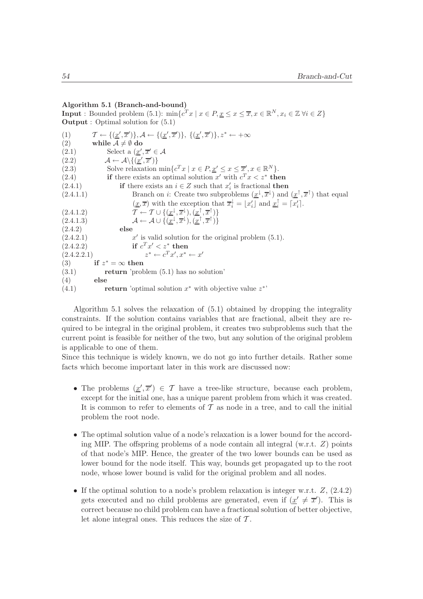#### Algorithm 5.1 (Branch-and-bound)

**Input**: Bounded problem (5.1):  $\min \{c^T x \mid x \in P, \underline{x} \leq x \leq \overline{x}, x \in \mathbb{R}^N, x_i \in \mathbb{Z} \ \forall i \in Z\}$ **Output** : Optimal solution for  $(5.1)$ (1)  $\mathcal{T} \leftarrow \{(\underline{x}', \overline{x}')\}, \mathcal{A} \leftarrow \{(\underline{x}', \overline{x}')\}, \{(\underline{x}', \overline{x}')\}, z^* \leftarrow +\infty$ (2) while  $A \neq \emptyset$  do (2.1) Select a  $(\underline{x}', \overline{x}' \in \mathcal{A})$ (2.2)  $\mathcal{A} \leftarrow \mathcal{A} \setminus \{(\underline{x}', \overline{x}')\}$ (2.3) Solve relaxation  $\min \{c^T x \mid x \in P, \underline{x}' \leq x \leq \overline{x}', x \in \mathbb{R}^N\}.$ (2.4) if there exists an optimal solution x' with  $c^T x < z^*$  then (2.4.1) if there exists an  $i \in Z$  such that  $x'_i$  is fractional then (2.4.1.1) Branch on *i*: Create two subproblems  $(\underline{x}^{\downarrow}, \overline{x}^{\downarrow})$  and  $(\underline{x}^{\uparrow}, \overline{x}^{\uparrow})$  that equal  $(\underline{x}, \overline{x})$  with the exception that  $\overline{x}_i^{\downarrow} = [x'_i]$  and  $\underline{x}_i^{\uparrow} = [x'_i]$ . (2.4.1.2)  $\mathcal{T} \leftarrow \mathcal{T} \cup \{(\underline{x}^{\downarrow}, \overline{x}^{\downarrow}), (\underline{x}^{\uparrow}, \overline{x}^{\uparrow})\}$ (2.4.1.3)  $\mathcal{A} \leftarrow \mathcal{A} \cup \{(\underline{x}^{\downarrow}, \overline{x}^{\downarrow}), (\underline{x}^{\uparrow}, \overline{x}^{\uparrow})\}$ (2.4.2) else  $(2.4.2.1)$ ′ is valid solution for the original problem (5.1).  $(2.4.2.2)$  ${}^{T}x' < z^*$  then  $(2.4.2.2.1)$ \*  $\leftarrow c^T x', x^* \leftarrow x'$ (3) if  $z^* = \infty$  then

 $(3.1)$  return 'problem  $(5.1)$  has no solution'  $(4)$  else

(4.1) return 'optimal solution  $x^*$  with objective value  $z^{*}$ 

Algorithm 5.1 solves the relaxation of (5.1) obtained by dropping the integrality constraints. If the solution contains variables that are fractional, albeit they are required to be integral in the original problem, it creates two subproblems such that the current point is feasible for neither of the two, but any solution of the original problem is applicable to one of them.

Since this technique is widely known, we do not go into further details. Rather some facts which become important later in this work are discussed now:

- The problems  $(\underline{x}', \overline{x}') \in \mathcal{T}$  have a tree-like structure, because each problem, except for the initial one, has a unique parent problem from which it was created. It is common to refer to elements of  $\mathcal T$  as node in a tree, and to call the initial problem the root node.
- The optimal solution value of a node's relaxation is a lower bound for the according MIP. The offspring problems of a node contain all integral  $(w.r.t. Z)$  points of that node's MIP. Hence, the greater of the two lower bounds can be used as lower bound for the node itself. This way, bounds get propagated up to the root node, whose lower bound is valid for the original problem and all nodes.
- If the optimal solution to a node's problem relaxation is integer w.r.t.  $Z$ ,  $(2.4.2)$ gets executed and no child problems are generated, even if  $(\underline{x}' \neq \overline{x}')$ . This is correct because no child problem can have a fractional solution of better objective, let alone integral ones. This reduces the size of  $\mathcal T$ .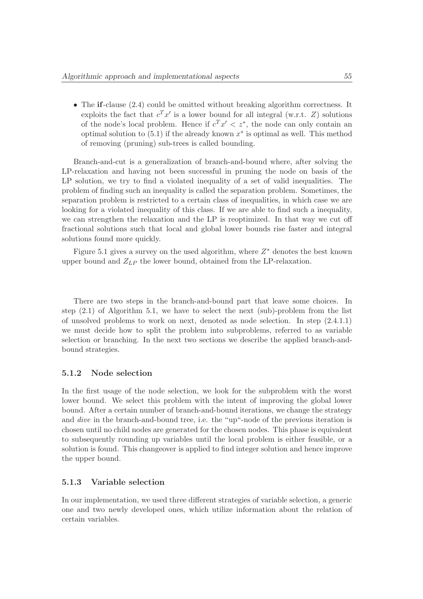• The if-clause (2.4) could be omitted without breaking algorithm correctness. It exploits the fact that  $c^T x'$  is a lower bound for all integral (w.r.t. Z) solutions of the node's local problem. Hence if  $c^T x' < z^*$ , the node can only contain an optimal solution to  $(5.1)$  if the already known  $x^*$  is optimal as well. This method of removing (pruning) sub-trees is called bounding.

Branch-and-cut is a generalization of branch-and-bound where, after solving the LP-relaxation and having not been successful in pruning the node on basis of the LP solution, we try to find a violated inequality of a set of valid inequalities. The problem of finding such an inequality is called the separation problem. Sometimes, the separation problem is restricted to a certain class of inequalities, in which case we are looking for a violated inequality of this class. If we are able to find such a inequality, we can strengthen the relaxation and the LP is reoptimized. In that way we cut off fractional solutions such that local and global lower bounds rise faster and integral solutions found more quickly.

Figure 5.1 gives a survey on the used algorithm, where  $Z^*$  denotes the best known upper bound and  $Z_{LP}$  the lower bound, obtained from the LP-relaxation.

There are two steps in the branch-and-bound part that leave some choices. In step (2.1) of Algorithm 5.1, we have to select the next (sub)-problem from the list of unsolved problems to work on next, denoted as node selection. In step (2.4.1.1) we must decide how to split the problem into subproblems, referred to as variable selection or branching. In the next two sections we describe the applied branch-andbound strategies.

#### 5.1.2 Node selection

In the first usage of the node selection, we look for the subproblem with the worst lower bound. We select this problem with the intent of improving the global lower bound. After a certain number of branch-and-bound iterations, we change the strategy and dive in the branch-and-bound tree, i.e. the "up"-node of the previous iteration is chosen until no child nodes are generated for the chosen nodes. This phase is equivalent to subsequently rounding up variables until the local problem is either feasible, or a solution is found. This changeover is applied to find integer solution and hence improve the upper bound.

#### 5.1.3 Variable selection

In our implementation, we used three different strategies of variable selection, a generic one and two newly developed ones, which utilize information about the relation of certain variables.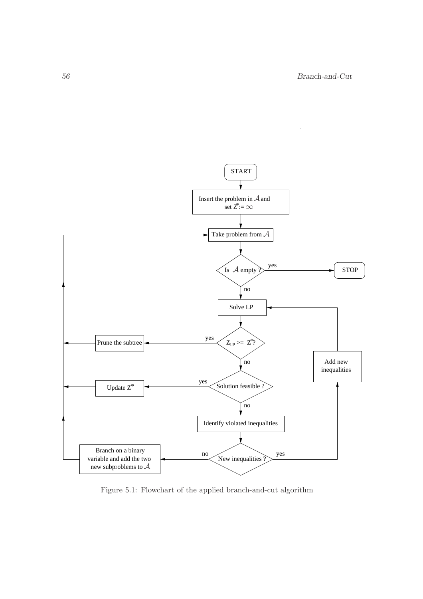

Figure 5.1: Flowchart of the applied branch-and-cut algorithm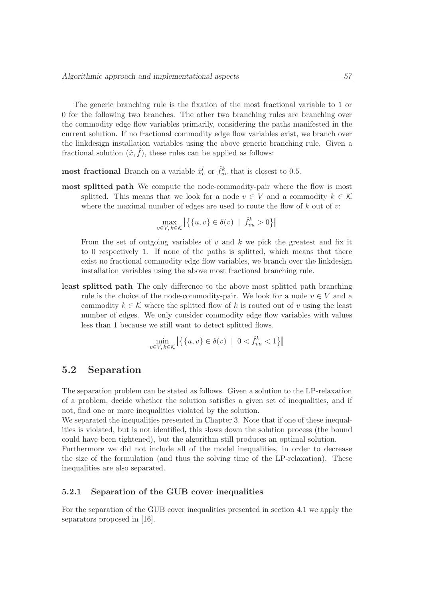The generic branching rule is the fixation of the most fractional variable to 1 or 0 for the following two branches. The other two branching rules are branching over the commodity edge flow variables primarily, considering the paths manifested in the current solution. If no fractional commodity edge flow variables exist, we branch over the linkdesign installation variables using the above generic branching rule. Given a fractional solution  $(\hat{x}, \hat{f})$ , these rules can be applied as follows:

most fractional Branch on a variable  $\hat{x}^l_e$  or  $\hat{f}^k_{uv}$  that is closest to 0.5.

most splitted path We compute the node-commodity-pair where the flow is most splitted. This means that we look for a node  $v \in V$  and a commodity  $k \in \mathcal{K}$ where the maximal number of edges are used to route the flow of  $k$  out of  $v$ :

$$
\max_{v \in V, k \in \mathcal{K}} \left| \left\{ \{u, v\} \in \delta(v) \: \mid \: \hat{f}_{vu}^k > 0 \right\} \right|
$$

From the set of outgoing variables of  $v$  and  $k$  we pick the greatest and fix it to 0 respectively 1. If none of the paths is splitted, which means that there exist no fractional commodity edge flow variables, we branch over the linkdesign installation variables using the above most fractional branching rule.

least splitted path The only difference to the above most splitted path branching rule is the choice of the node-commodity-pair. We look for a node  $v \in V$  and a commodity  $k \in \mathcal{K}$  where the splitted flow of k is routed out of v using the least number of edges. We only consider commodity edge flow variables with values less than 1 because we still want to detect splitted flows.

$$
\min_{v \in V, k \in \mathcal{K}} \left| \{ \{u, v\} \in \delta(v) \mid 0 < \hat{f}_{vu}^k < 1 \} \right|
$$

# 5.2 Separation

The separation problem can be stated as follows. Given a solution to the LP-relaxation of a problem, decide whether the solution satisfies a given set of inequalities, and if not, find one or more inequalities violated by the solution.

We separated the inequalities presented in Chapter 3. Note that if one of these inequalities is violated, but is not identified, this slows down the solution process (the bound could have been tightened), but the algorithm still produces an optimal solution.

Furthermore we did not include all of the model inequalities, in order to decrease the size of the formulation (and thus the solving time of the LP-relaxation). These inequalities are also separated.

#### 5.2.1 Separation of the GUB cover inequalities

For the separation of the GUB cover inequalities presented in section 4.1 we apply the separators proposed in [16].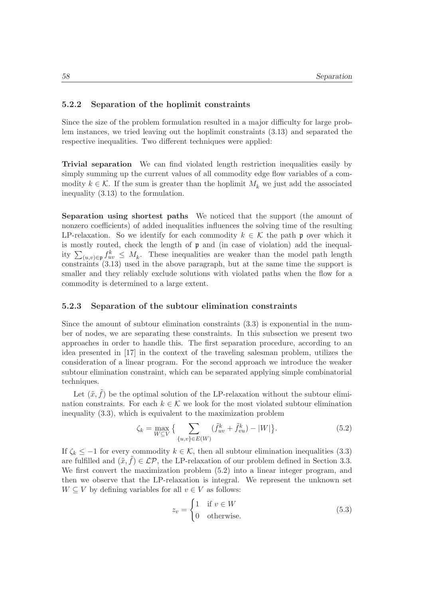### 5.2.2 Separation of the hoplimit constraints

Since the size of the problem formulation resulted in a major difficulty for large problem instances, we tried leaving out the hoplimit constraints (3.13) and separated the respective inequalities. Two different techniques were applied:

Trivial separation We can find violated length restriction inequalities easily by simply summing up the current values of all commodity edge flow variables of a commodity  $k \in \mathcal{K}$ . If the sum is greater than the hoplimit  $M_k$  we just add the associated inequality (3.13) to the formulation.

Separation using shortest paths We noticed that the support (the amount of nonzero coefficients) of added inequalities influences the solving time of the resulting LP-relaxation. So we identify for each commodity  $k \in \mathcal{K}$  the path p over which it is mostly routed, check the length of  $\mathfrak p$  and (in case of violation) add the inequality  $\sum_{(u,v)\in\mathfrak{p}} f_{uv}^k \leq M_k$ . These inequalities are weaker than the model path length constraints (3.13) used in the above paragraph, but at the same time the support is smaller and they reliably exclude solutions with violated paths when the flow for a commodity is determined to a large extent.

#### 5.2.3 Separation of the subtour elimination constraints

Since the amount of subtour elimination constraints (3.3) is exponential in the number of nodes, we are separating these constraints. In this subsection we present two approaches in order to handle this. The first separation procedure, according to an idea presented in [17] in the context of the traveling salesman problem, utilizes the consideration of a linear program. For the second approach we introduce the weaker subtour elimination constraint, which can be separated applying simple combinatorial techniques.

Let  $(\tilde{x}, \tilde{f})$  be the optimal solution of the LP-relaxation without the subtour elimination constraints. For each  $k \in \mathcal{K}$  we look for the most violated subtour elimination inequality (3.3), which is equivalent to the maximization problem

$$
\zeta_k = \max_{W \subseteq V} \left\{ \sum_{\{u,v\} \in E(W)} (\tilde{f}_{uv}^k + \tilde{f}_{vu}^k) - |W| \right\}.
$$
\n(5.2)

If  $\zeta_k \leq -1$  for every commodity  $k \in \mathcal{K}$ , then all subtour elimination inequalities (3.3) are fulfilled and  $(\tilde{x}, f) \in \mathcal{LP}$ , the LP-relaxation of our problem defined in Section 3.3. We first convert the maximization problem (5.2) into a linear integer program, and then we observe that the LP-relaxation is integral. We represent the unknown set  $W \subseteq V$  by defining variables for all  $v \in V$  as follows:

$$
z_v = \begin{cases} 1 & \text{if } v \in W \\ 0 & \text{otherwise.} \end{cases}
$$
 (5.3)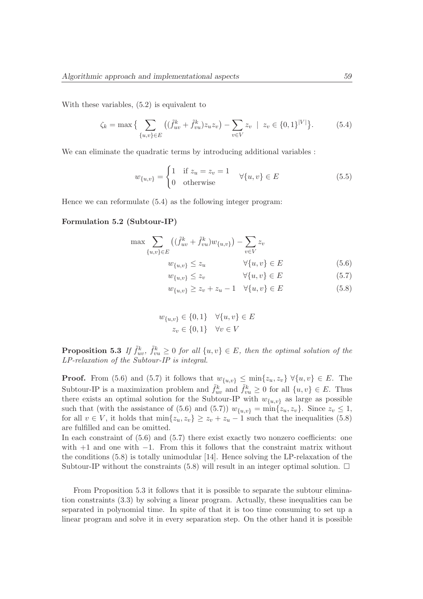With these variables, (5.2) is equivalent to

$$
\zeta_k = \max \Big\{ \sum_{\{u,v\} \in E} \left( (\tilde{f}_{uv}^k + \tilde{f}_{vu}^k) z_u z_v \right) - \sum_{v \in V} z_v \ \mid \ z_v \in \{0,1\}^{|V|} \Big\}. \tag{5.4}
$$

We can eliminate the quadratic terms by introducing additional variables :

$$
w_{\{u,v\}} = \begin{cases} 1 & \text{if } z_u = z_v = 1 \\ 0 & \text{otherwise} \end{cases} \quad \forall \{u,v\} \in E
$$
 (5.5)

Hence we can reformulate (5.4) as the following integer program:

#### Formulation 5.2 (Subtour-IP)

$$
\max \sum_{\{u,v\} \in E} ((\tilde{f}_{uv}^k + \tilde{f}_{vu}^k) w_{\{u,v\}}) - \sum_{v \in V} z_v
$$
  

$$
w_{\{u,v\}} \le z_u \qquad \forall \{u,v\} \in E
$$
 (5.6)

 $w_{\{u,v\}} \le z_v \qquad \qquad \forall \{u,v\} \in E$  (5.7)

$$
w_{\{u,v\}} \ge z_v + z_u - 1 \quad \forall \{u,v\} \in E \tag{5.8}
$$

$$
w_{\{u,v\}} \in \{0,1\} \quad \forall \{u,v\} \in E
$$

$$
z_v \in \{0,1\} \quad \forall v \in V
$$

**Proposition 5.3** If  $\tilde{f}_{uv}^k$ ,  $\tilde{f}_{vu}^k \geq 0$  for all  $\{u, v\} \in E$ , then the optimal solution of the LP-relaxation of the Subtour-IP is integral.

**Proof.** From (5.6) and (5.7) it follows that  $w_{\{u,v\}} \le \min\{z_u, z_v\} \ \forall \{u, v\} \in E$ . The Subtour-IP is a maximization problem and  $\tilde{f}_{uv}^k$  and  $\tilde{f}_{vu}^k \geq 0$  for all  $\{u, v\} \in E$ . Thus there exists an optimal solution for the Subtour-IP with  $w_{\{u,v\}}$  as large as possible such that (with the assistance of (5.6) and (5.7))  $w_{\{u,v\}} = \min\{z_u, z_v\}$ . Since  $z_v \leq 1$ , for all  $v \in V$ , it holds that  $\min\{z_u, z_v\} \geq z_v + z_u - 1$  such that the inequalities (5.8) are fulfilled and can be omitted.

In each constraint of  $(5.6)$  and  $(5.7)$  there exist exactly two nonzero coefficients: one with  $+1$  and one with  $-1$ . From this it follows that the constraint matrix without the conditions (5.8) is totally unimodular [14]. Hence solving the LP-relaxation of the Subtour-IP without the constraints (5.8) will result in an integer optimal solution.  $\Box$ 

From Proposition 5.3 it follows that it is possible to separate the subtour elimination constraints (3.3) by solving a linear program. Actually, these inequalities can be separated in polynomial time. In spite of that it is too time consuming to set up a linear program and solve it in every separation step. On the other hand it is possible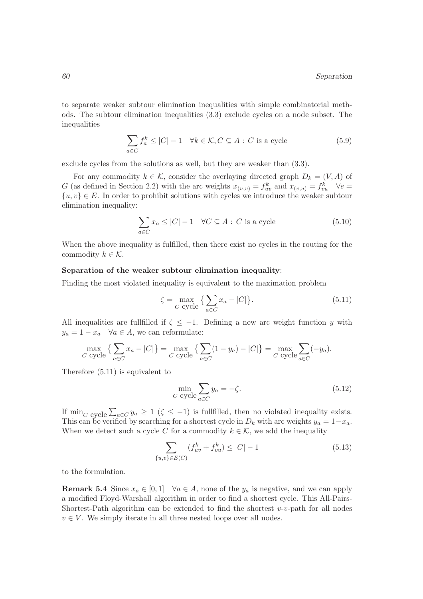to separate weaker subtour elimination inequalities with simple combinatorial methods. The subtour elimination inequalities (3.3) exclude cycles on a node subset. The inequalities

$$
\sum_{a \in C} f_a^k \le |C| - 1 \quad \forall k \in \mathcal{K}, C \subseteq A : C \text{ is a cycle}
$$
 (5.9)

exclude cycles from the solutions as well, but they are weaker than (3.3).

For any commodity  $k \in \mathcal{K}$ , consider the overlaying directed graph  $D_k = (V, A)$  of G (as defined in Section 2.2) with the arc weights  $x_{(u,v)} = f_{uv}^k$  and  $x_{(v,u)} = f_{vu}^k$   $\forall e =$  $\{u, v\} \in E$ . In order to prohibit solutions with cycles we introduce the weaker subtour elimination inequality:

$$
\sum_{a \in C} x_a \le |C| - 1 \quad \forall C \subseteq A : C \text{ is a cycle}
$$
\n
$$
(5.10)
$$

When the above inequality is fulfilled, then there exist no cycles in the routing for the commodity  $k \in \mathcal{K}$ .

#### Separation of the weaker subtour elimination inequality:

Finding the most violated inequality is equivalent to the maximation problem

$$
\zeta = \max_{C \text{ cycle}} \left\{ \sum_{a \in C} x_a - |C| \right\}. \tag{5.11}
$$

All inequalities are fullfilled if  $\zeta \leq -1$ . Defining a new arc weight function y with  $y_a = 1 - x_a \quad \forall a \in A$ , we can reformulate:

$$
\max_{C \text{ cycle}} \left\{ \sum_{a \in C} x_a - |C| \right\} = \max_{C \text{ cycle}} \left\{ \sum_{a \in C} (1 - y_a) - |C| \right\} = \max_{C \text{ cycle}} \sum_{a \in C} (-y_a).
$$

Therefore (5.11) is equivalent to

$$
\min_{C \text{ cycle}} \sum_{a \in C} y_a = -\zeta. \tag{5.12}
$$

If  $\min_{C}$  cycle  $\sum_{a \in C} y_a \ge 1$  ( $\zeta \le -1$ ) is fullfilled, then no violated inequality exists. This can be verified by searching for a shortest cycle in  $D_k$  with arc weights  $y_a = 1-x_a$ . When we detect such a cycle C for a commodity  $k \in \mathcal{K}$ , we add the inequality

$$
\sum_{\{u,v\} \in E(C)} (f_{uv}^k + f_{vu}^k) \le |C| - 1 \tag{5.13}
$$

to the formulation.

**Remark 5.4** Since  $x_a \in [0,1]$   $\forall a \in A$ , none of the  $y_a$  is negative, and we can apply a modified Floyd-Warshall algorithm in order to find a shortest cycle. This All-Pairs-Shortest-Path algorithm can be extended to find the shortest  $v-v$ -path for all nodes  $v \in V$ . We simply iterate in all three nested loops over all nodes.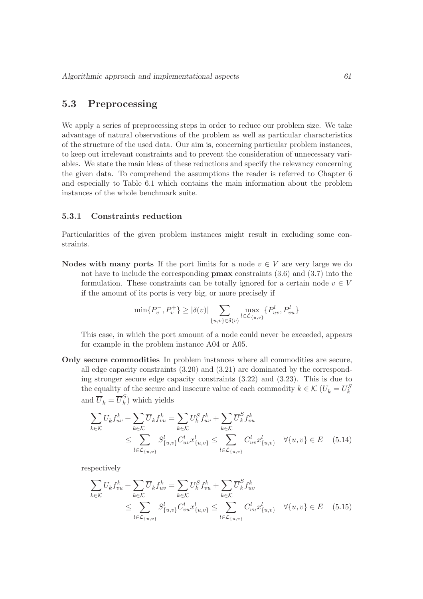# 5.3 Preprocessing

We apply a series of preprocessing steps in order to reduce our problem size. We take advantage of natural observations of the problem as well as particular characteristics of the structure of the used data. Our aim is, concerning particular problem instances, to keep out irrelevant constraints and to prevent the consideration of unnecessary variables. We state the main ideas of these reductions and specify the relevancy concerning the given data. To comprehend the assumptions the reader is referred to Chapter 6 and especially to Table 6.1 which contains the main information about the problem instances of the whole benchmark suite.

#### 5.3.1 Constraints reduction

Particularities of the given problem instances might result in excluding some constraints.

Nodes with many ports If the port limits for a node  $v \in V$  are very large we do not have to include the corresponding pmax constraints (3.6) and (3.7) into the formulation. These constraints can be totally ignored for a certain node  $v \in V$ if the amount of its ports is very big, or more precisely if

$$
\min\{P_v^-, P_v^+\} \ge |\delta(v)| \sum_{\{u,v\} \in \delta(v)} \max_{l \in \mathcal{L}_{\{u,v\}}} \{P_{uv}^l, P_{vu}^l\}
$$

This case, in which the port amount of a node could never be exceeded, appears for example in the problem instance A04 or A05.

Only secure commodities In problem instances where all commodities are secure, all edge capacity constraints (3.20) and (3.21) are dominated by the corresponding stronger secure edge capacity constraints (3.22) and (3.23). This is due to the equality of the secure and insecure value of each commodity  $k \in \mathcal{K}$  ( $U_k = U_k^S$ and  $\overline{U}_k = \overline{U}_k^S$  $\binom{b}{k}$  which yields

$$
\sum_{k \in \mathcal{K}} U_k f_{uv}^k + \sum_{k \in \mathcal{K}} \overline{U}_k f_{vu}^k = \sum_{k \in \mathcal{K}} U_k^S f_{uv}^k + \sum_{k \in \mathcal{K}} \overline{U}_k^S f_{vu}^k
$$
\n
$$
\leq \sum_{l \in \mathcal{L}_{\{u,v\}}} S_{\{u,v\}}^l C_{uv}^l x_{\{u,v\}}^l \leq \sum_{l \in \mathcal{L}_{\{u,v\}}} C_{uv}^l x_{\{u,v\}}^l \quad \forall \{u,v\} \in E \quad (5.14)
$$

respectively

$$
\sum_{k \in \mathcal{K}} U_k f_{vu}^k + \sum_{k \in \mathcal{K}} \overline{U}_k f_{uv}^k = \sum_{k \in \mathcal{K}} U_k^S f_{vu}^k + \sum_{k \in \mathcal{K}} \overline{U}_k^S f_{uv}^k
$$
\n
$$
\leq \sum_{l \in \mathcal{L}_{\{u,v\}}} S_{\{u,v\}}^l C_{vu}^l x_{\{u,v\}}^l \leq \sum_{l \in \mathcal{L}_{\{u,v\}}} C_{vu}^l x_{\{u,v\}}^l \quad \forall \{u,v\} \in E \quad (5.15)
$$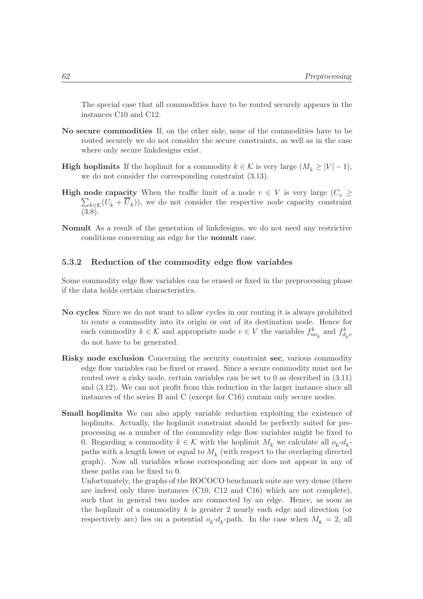The special case that all commodities have to be routed securely appears in the instances C10 and C12.

- No secure commodities If, on the other side, none of the commodities have to be routed securely we do not consider the secure constraints, as well as in the case where only secure linkdesigns exist.
- **High hoplimits** If the hoplimit for a commodity  $k \in \mathcal{K}$  is very large  $(M_k \geq |V| 1)$ , we do not consider the corresponding constraint (3.13).
- **High node capacity** When the traffic limit of a node  $v \in V$  is very large  $(C_v \geq$  $\sum_{k \in \mathcal{K}} (U_k + U_k)$ , we do not consider the respective node capacity constraint (3.8).
- Nomult As a result of the generation of linkdesigns, we do not need any restrictive conditions concerning an edge for the nomult case.

## 5.3.2 Reduction of the commodity edge flow variables

Some commodity edge flow variables can be erased or fixed in the preprocessing phase if the data holds certain characteristics.

- No cycles Since we do not want to allow cycles in our routing it is always prohibited to route a commodity into its origin or out of its destination node. Hence for each commodity  $k \in \mathcal{K}$  and appropriate node  $v \in V$  the variables  $f_{u o_k}^k$  and  $f_{d_k v}^k$ do not have to be generated.
- Risky node exclusion Concerning the security constraint sec, various commodity edge flow variables can be fixed or erased. Since a secure commodity must not be routed over a risky node, certain variables can be set to 0 as described in  $(3.11)$ and (3.12). We can not profit from this reduction in the larger instance since all instances of the series B and C (except for C16) contain only secure nodes.
- Small hoplimits We can also apply variable reduction exploiting the existence of hoplimits. Actually, the hoplimit constraint should be perfectly suited for preprocessing as a number of the commodity edge flow variables might be fixed to 0. Regarding a commodity  $k \in \mathcal{K}$  with the hoplimit  $M_k$  we calculate all  $o_k$ - $d_k$ paths with a length lower or equal to  $M_k$  (with respect to the overlaying directed graph). Now all variables whose corresponding arc does not appear in any of these paths can be fixed to 0.

Unfortunately, the graphs of the ROCOCO benchmark suite are very dense (there are indeed only three instances (C10, C12 and C16) which are not complete), such that in general two nodes are connected by an edge. Hence, as soon as the hoplimit of a commodity  $k$  is greater 2 nearly each edge and direction (or respectively arc) lies on a potential  $o_k - d_k$ -path. In the case when  $M_k = 2$ , all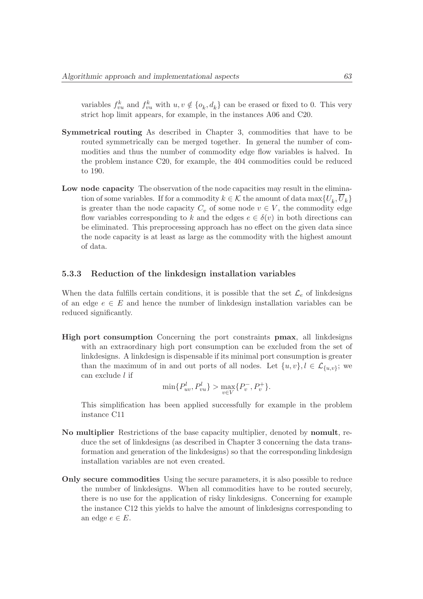variables  $f_{vu}^k$  and  $f_{vu}^k$  with  $u, v \notin \{o_k, d_k\}$  can be erased or fixed to 0. This very strict hop limit appears, for example, in the instances A06 and C20.

- Symmetrical routing As described in Chapter 3, commodities that have to be routed symmetrically can be merged together. In general the number of commodities and thus the number of commodity edge flow variables is halved. In the problem instance C20, for example, the 404 commodities could be reduced to 190.
- Low node capacity The observation of the node capacities may result in the elimination of some variables. If for a commodity  $k \in \mathcal{K}$  the amount of data  $\max\{U_k, U_k\}$ is greater than the node capacity  $C_v$  of some node  $v \in V$ , the commodity edge flow variables corresponding to k and the edges  $e \in \delta(v)$  in both directions can be eliminated. This preprocessing approach has no effect on the given data since the node capacity is at least as large as the commodity with the highest amount of data.

#### 5.3.3 Reduction of the linkdesign installation variables

When the data fulfills certain conditions, it is possible that the set  $\mathcal{L}_e$  of linkdesigns of an edge  $e \in E$  and hence the number of linkdesign installation variables can be reduced significantly.

High port consumption Concerning the port constraints pmax, all linkdesigns with an extraordinary high port consumption can be excluded from the set of linkdesigns. A linkdesign is dispensable if its minimal port consumption is greater than the maximum of in and out ports of all nodes. Let  $\{u, v\}$ ,  $l \in \mathcal{L}_{\{u, v\}}$ ; we can exclude l if

$$
\min\{P_{uv}^l, P_{vu}^l\} > \max_{v \in V} \{P_v^-, P_v^+\}.
$$

This simplification has been applied successfully for example in the problem instance C11

- No multiplier Restrictions of the base capacity multiplier, denoted by nomult, reduce the set of linkdesigns (as described in Chapter 3 concerning the data transformation and generation of the linkdesigns) so that the corresponding linkdesign installation variables are not even created.
- Only secure commodities Using the secure parameters, it is also possible to reduce the number of linkdesigns. When all commodities have to be routed securely, there is no use for the application of risky linkdesigns. Concerning for example the instance C12 this yields to halve the amount of linkdesigns corresponding to an edge  $e \in E$ .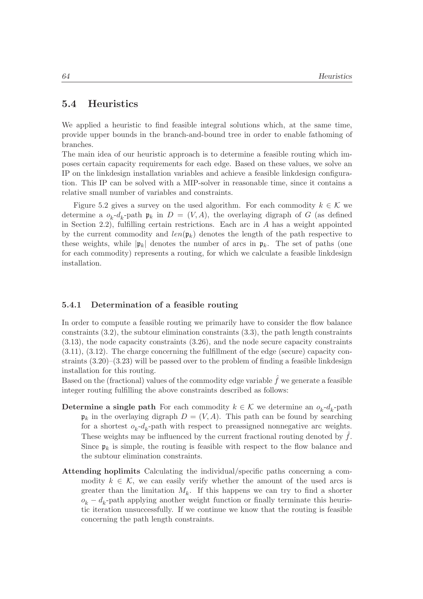# 5.4 Heuristics

We applied a heuristic to find feasible integral solutions which, at the same time, provide upper bounds in the branch-and-bound tree in order to enable fathoming of branches.

The main idea of our heuristic approach is to determine a feasible routing which imposes certain capacity requirements for each edge. Based on these values, we solve an IP on the linkdesign installation variables and achieve a feasible linkdesign configuration. This IP can be solved with a MIP-solver in reasonable time, since it contains a relative small number of variables and constraints.

Figure 5.2 gives a survey on the used algorithm. For each commodity  $k \in \mathcal{K}$  we determine a  $o_k-d_k$ -path  $\mathfrak{p}_k$  in  $D = (V, A)$ , the overlaying digraph of G (as defined in Section 2.2), fulfilling certain restrictions. Each arc in  $A$  has a weight appointed by the current commodity and  $len(\mathfrak{p}_k)$  denotes the length of the path respective to these weights, while  $|\mathfrak{p}_k|$  denotes the number of arcs in  $\mathfrak{p}_k$ . The set of paths (one for each commodity) represents a routing, for which we calculate a feasible linkdesign installation.

#### 5.4.1 Determination of a feasible routing

In order to compute a feasible routing we primarily have to consider the flow balance constraints (3.2), the subtour elimination constraints (3.3), the path length constraints (3.13), the node capacity constraints (3.26), and the node secure capacity constraints (3.11), (3.12). The charge concerning the fulfillment of the edge (secure) capacity constraints  $(3.20)$ – $(3.23)$  will be passed over to the problem of finding a feasible linkdesign installation for this routing.

Based on the (fractional) values of the commodity edge variable  $\hat{f}$  we generate a feasible integer routing fulfilling the above constraints described as follows:

- **Determine a single path** For each commodity  $k \in \mathcal{K}$  we determine an  $o_k$ - $d_k$ -path  $\mathfrak{p}_k$  in the overlaying digraph  $D = (V, A)$ . This path can be found by searching for a shortest  $o_k - d_k$ -path with respect to preassigned nonnegative arc weights. These weights may be influenced by the current fractional routing denoted by  $f$ . Since  $\mathfrak{p}_k$  is simple, the routing is feasible with respect to the flow balance and the subtour elimination constraints.
- Attending hoplimits Calculating the individual/specific paths concerning a commodity  $k \in \mathcal{K}$ , we can easily verify whether the amount of the used arcs is greater than the limitation  $M_k$ . If this happens we can try to find a shorter  $o_k - d_k$ -path applying another weight function or finally terminate this heuristic iteration unsuccessfully. If we continue we know that the routing is feasible concerning the path length constraints.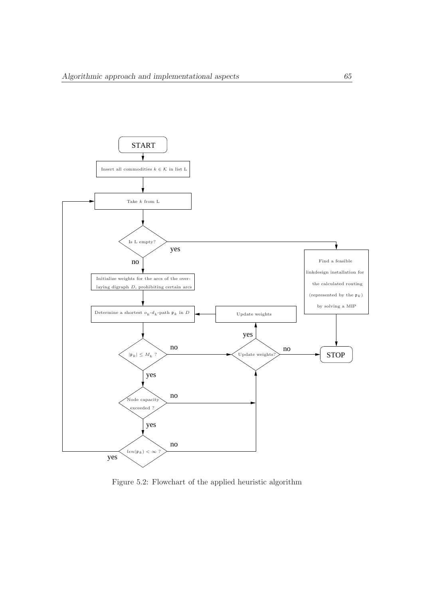

Figure 5.2: Flowchart of the applied heuristic algorithm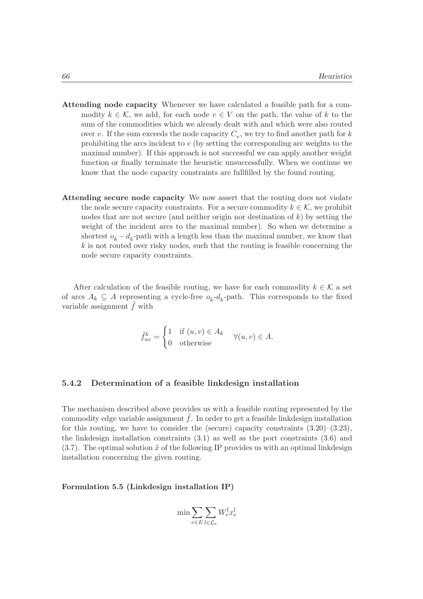- Attending node capacity Whenever we have calculated a feasible path for a commodity  $k \in \mathcal{K}$ , we add, for each node  $v \in V$  on the path, the value of k to the sum of the commodities which we already dealt with and which were also routed over v. If the sum exceeds the node capacity  $C_v$ , we try to find another path for k prohibiting the arcs incident to v (by setting the corresponding arc weights to the maximal number). If this approach is not successful we can apply another weight function or finally terminate the heuristic unsuccessfully. When we continue we know that the node capacity constraints are fullfilled by the found routing.
- Attending secure node capacity We now assert that the routing does not violate the node secure capacity constraints. For a secure commodity  $k \in \mathcal{K}$ , we prohibit nodes that are not secure (and neither origin nor destination of  $k$ ) by setting the weight of the incident arcs to the maximal number). So when we determine a shortest  $o_k - d_k$ -path with a length less than the maximal number, we know that  $k$  is not routed over risky nodes, such that the routing is feasible concerning the node secure capacity constraints.

After calculation of the feasible routing, we have for each commodity  $k \in \mathcal{K}$  a set of arcs  $A_k \subseteq A$  representing a cycle-free  $o_k - d_k$ -path. This corresponds to the fixed variable assignment  $f$  with

$$
\tilde{f}_{uv}^k = \begin{cases} 1 & \text{if } (u, v) \in A_k \\ 0 & \text{otherwise} \end{cases} \quad \forall (u, v) \in A.
$$

#### 5.4.2 Determination of a feasible linkdesign installation

The mechanism described above provides us with a feasible routing represented by the commodity edge variable assignment  $\tilde{f}$ . In order to get a feasible linkdesign installation for this routing, we have to consider the (secure) capacity constraints  $(3.20)$ – $(3.23)$ , the linkdesign installation constraints (3.1) as well as the port constraints (3.6) and  $(3.7)$ . The optimal solution  $\tilde{x}$  of the following IP provides us with an optimal linkdesign installation concerning the given routing.

Formulation 5.5 (Linkdesign installation IP)

$$
\min \sum_{e \in E} \sum_{l \in \mathcal{L}_e} W_e^l x_e^l
$$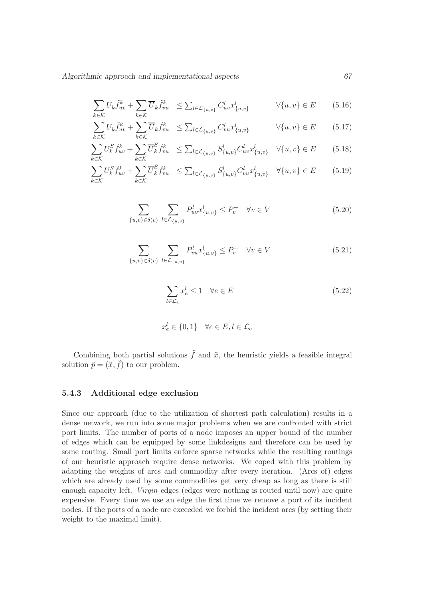$$
\sum_{k \in \mathcal{K}} U_k \tilde{f}_{uv}^k + \sum_{k \in \mathcal{K}} \overline{U}_k \tilde{f}_{vu}^k \le \sum_{l \in \mathcal{L}_{\{u,v\}}} C_{uv}^l x_{\{u,v\}}^l \qquad \forall \{u,v\} \in E \qquad (5.16)
$$

$$
\sum_{k \in \mathcal{K}} U_k \tilde{f}_{uv}^k + \sum_{k \in \mathcal{K}} \overline{U}_k \tilde{f}_{vu}^k \le \sum_{l \in \mathcal{L}_{\{u,v\}}} C_{vu}^l x_{\{u,v\}}^l \qquad \forall \{u,v\} \in E \qquad (5.17)
$$

$$
\sum_{k \in \mathcal{K}} U_k^S \tilde{f}_{uv}^k + \sum_{k \in \mathcal{K}} \overline{U}_k^S \tilde{f}_{vu}^k \le \sum_{l \in \mathcal{L}_{\{u,v\}}} S_{\{u,v\}}^l C_{uv}^l x_{\{u,v\}}^l \quad \forall \{u,v\} \in E \tag{5.18}
$$

$$
\sum_{k \in \mathcal{K}} U_k^S \tilde{f}_{uv}^k + \sum_{k \in \mathcal{K}} \overline{U}_k^S \tilde{f}_{vu}^k \le \sum_{l \in \mathcal{L}_{\{u,v\}}} S_{\{u,v\}}^l C_{vu}^l x_{\{u,v\}}^l \quad \forall \{u,v\} \in E \tag{5.19}
$$

$$
\sum_{\{u,v\}\in\delta(v)}\sum_{l\in\mathcal{L}_{\{u,v\}}}P_{uv}^l x_{\{u,v\}}^l \le P_v^- \quad \forall v \in V
$$
\n(5.20)

$$
\sum_{\{u,v\} \in \delta(v)} \sum_{l \in \mathcal{L}_{\{u,v\}}} P_{vu}^l x_{\{u,v\}}^l \le P_v^+ \quad \forall v \in V \tag{5.21}
$$

$$
\sum_{l \in \mathcal{L}_e} x_e^l \le 1 \quad \forall e \in E \tag{5.22}
$$

$$
x_e^l \in \{0, 1\} \quad \forall e \in E, l \in \mathcal{L}_e
$$

Combining both partial solutions  $\tilde{f}$  and  $\tilde{x}$ , the heuristic yields a feasible integral solution  $\tilde{p} = (\tilde{x}, \tilde{f})$  to our problem.

### 5.4.3 Additional edge exclusion

Since our approach (due to the utilization of shortest path calculation) results in a dense network, we run into some major problems when we are confronted with strict port limits. The number of ports of a node imposes an upper bound of the number of edges which can be equipped by some linkdesigns and therefore can be used by some routing. Small port limits enforce sparse networks while the resulting routings of our heuristic approach require dense networks. We coped with this problem by adapting the weights of arcs and commodity after every iteration. (Arcs of) edges which are already used by some commodities get very cheap as long as there is still enough capacity left. Virgin edges (edges were nothing is routed until now) are quite expensive. Every time we use an edge the first time we remove a port of its incident nodes. If the ports of a node are exceeded we forbid the incident arcs (by setting their weight to the maximal limit).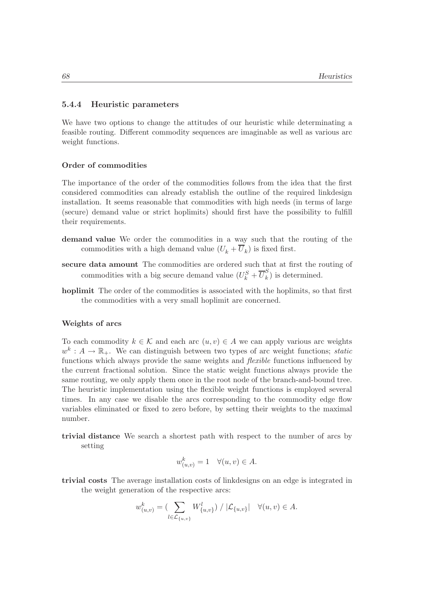#### 5.4.4 Heuristic parameters

We have two options to change the attitudes of our heuristic while determinating a feasible routing. Different commodity sequences are imaginable as well as various arc weight functions.

#### Order of commodities

The importance of the order of the commodities follows from the idea that the first considered commodities can already establish the outline of the required linkdesign installation. It seems reasonable that commodities with high needs (in terms of large (secure) demand value or strict hoplimits) should first have the possibility to fulfill their requirements.

- demand value We order the commodities in a way such that the routing of the commodities with a high demand value  $(U_k + U_k)$  is fixed first.
- secure data amount The commodities are ordered such that at first the routing of commodities with a big secure demand value  $(U_k^S + \overline{U}_k^S)$  $\binom{b}{k}$  is determined.
- hoplimit The order of the commodities is associated with the hoplimits, so that first the commodities with a very small hoplimit are concerned.

#### Weights of arcs

To each commodity  $k \in \mathcal{K}$  and each arc  $(u, v) \in A$  we can apply various arc weights  $w^k: A \to \mathbb{R}_+$ . We can distinguish between two types of arc weight functions; static functions which always provide the same weights and *flexible* functions influenced by the current fractional solution. Since the static weight functions always provide the same routing, we only apply them once in the root node of the branch-and-bound tree. The heuristic implementation using the flexible weight functions is employed several times. In any case we disable the arcs corresponding to the commodity edge flow variables eliminated or fixed to zero before, by setting their weights to the maximal number.

trivial distance We search a shortest path with respect to the number of arcs by setting

$$
w_{(u,v)}^k = 1 \quad \forall (u,v) \in A.
$$

trivial costs The average installation costs of linkdesigns on an edge is integrated in the weight generation of the respective arcs:

$$
w_{(u,v)}^k = \left( \sum_{l \in \mathcal{L}_{\{u,v\}}} W_{\{u,v\}}^l \right) / |\mathcal{L}_{\{u,v\}}| \quad \forall (u,v) \in A.
$$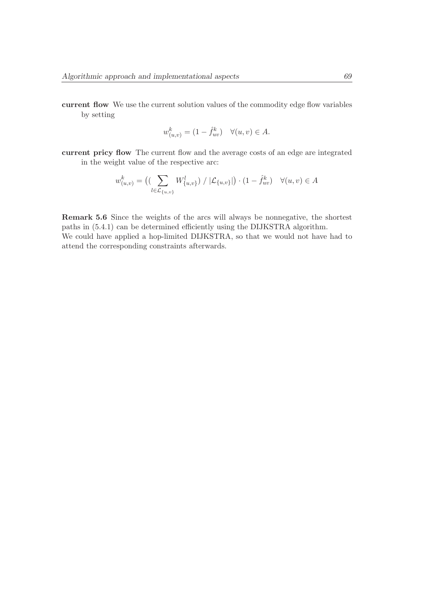current flow We use the current solution values of the commodity edge flow variables by setting

$$
w_{(u,v)}^k = (1 - \hat{f}_{uv}^k) \quad \forall (u, v) \in A.
$$

current pricy flow The current flow and the average costs of an edge are integrated in the weight value of the respective arc:

$$
w_{(u,v)}^k = \left( \left( \sum_{l \in \mathcal{L}_{\{u,v\}}} W_{\{u,v\}}^l \right) / |\mathcal{L}_{\{u,v\}}| \right) \cdot (1 - \hat{f}_{uv}^k) \quad \forall (u,v) \in A
$$

Remark 5.6 Since the weights of the arcs will always be nonnegative, the shortest paths in (5.4.1) can be determined efficiently using the DIJKSTRA algorithm. We could have applied a hop-limited DIJKSTRA, so that we would not have had to attend the corresponding constraints afterwards.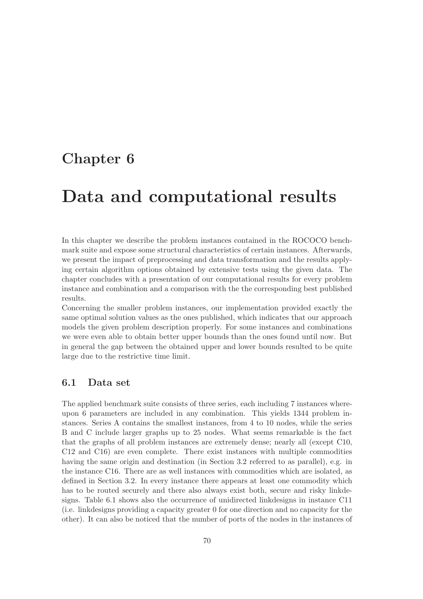# Chapter 6

# Data and computational results

In this chapter we describe the problem instances contained in the ROCOCO benchmark suite and expose some structural characteristics of certain instances. Afterwards, we present the impact of preprocessing and data transformation and the results applying certain algorithm options obtained by extensive tests using the given data. The chapter concludes with a presentation of our computational results for every problem instance and combination and a comparison with the the corresponding best published results.

Concerning the smaller problem instances, our implementation provided exactly the same optimal solution values as the ones published, which indicates that our approach models the given problem description properly. For some instances and combinations we were even able to obtain better upper bounds than the ones found until now. But in general the gap between the obtained upper and lower bounds resulted to be quite large due to the restrictive time limit.

# 6.1 Data set

The applied benchmark suite consists of three series, each including 7 instances whereupon 6 parameters are included in any combination. This yields 1344 problem instances. Series A contains the smallest instances, from 4 to 10 nodes, while the series B and C include larger graphs up to 25 nodes. What seems remarkable is the fact that the graphs of all problem instances are extremely dense; nearly all (except C10, C12 and C16) are even complete. There exist instances with multiple commodities having the same origin and destination (in Section 3.2 referred to as parallel), e.g. in the instance C16. There are as well instances with commodities which are isolated, as defined in Section 3.2. In every instance there appears at least one commodity which has to be routed securely and there also always exist both, secure and risky linkdesigns. Table 6.1 shows also the occurrence of unidirected linkdesigns in instance C11 (i.e. linkdesigns providing a capacity greater 0 for one direction and no capacity for the other). It can also be noticed that the number of ports of the nodes in the instances of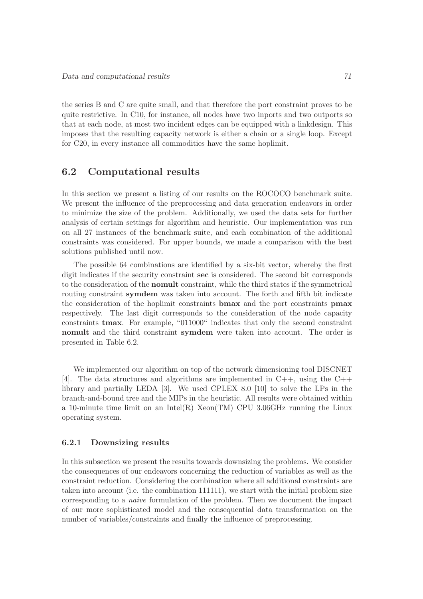the series B and C are quite small, and that therefore the port constraint proves to be quite restrictive. In C10, for instance, all nodes have two inports and two outports so that at each node, at most two incident edges can be equipped with a linkdesign. This imposes that the resulting capacity network is either a chain or a single loop. Except for C20, in every instance all commodities have the same hoplimit.

# 6.2 Computational results

In this section we present a listing of our results on the ROCOCO benchmark suite. We present the influence of the preprocessing and data generation endeavors in order to minimize the size of the problem. Additionally, we used the data sets for further analysis of certain settings for algorithm and heuristic. Our implementation was run on all 27 instances of the benchmark suite, and each combination of the additional constraints was considered. For upper bounds, we made a comparison with the best solutions published until now.

The possible 64 combinations are identified by a six-bit vector, whereby the first digit indicates if the security constraint sec is considered. The second bit corresponds to the consideration of the nomult constraint, while the third states if the symmetrical routing constraint symdem was taken into account. The forth and fifth bit indicate the consideration of the hoplimit constraints bmax and the port constraints pmax respectively. The last digit corresponds to the consideration of the node capacity constraints tmax. For example, "011000" indicates that only the second constraint nomult and the third constraint symdem were taken into account. The order is presented in Table 6.2.

We implemented our algorithm on top of the network dimensioning tool DISCNET [4]. The data structures and algorithms are implemented in  $C_{++}$ , using the  $C_{++}$ library and partially LEDA [3]. We used CPLEX 8.0 [10] to solve the LPs in the branch-and-bound tree and the MIPs in the heuristic. All results were obtained within a 10-minute time limit on an Intel(R) Xeon(TM) CPU 3.06GHz running the Linux operating system.

#### 6.2.1 Downsizing results

In this subsection we present the results towards downsizing the problems. We consider the consequences of our endeavors concerning the reduction of variables as well as the constraint reduction. Considering the combination where all additional constraints are taken into account (i.e. the combination 111111), we start with the initial problem size corresponding to a naive formulation of the problem. Then we document the impact of our more sophisticated model and the consequential data transformation on the number of variables/constraints and finally the influence of preprocessing.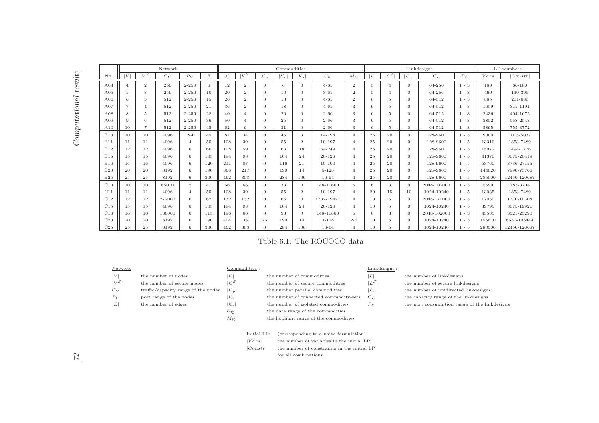| j<br>$\frac{1}{2}$                                       |
|----------------------------------------------------------|
| į<br>J                                                   |
| ¢<br>١<br>֦֪֪֪֪֪֦֪֪֪֦֚֚֚֚֚֚֚֚֚֬֝֝֝֝֝֝֝֝֝֝֝֬֝֝֟֝֝֝֬֝<br>l |
| $\overline{1}$                                           |
| $\frac{1}{2}$                                            |
|                                                          |
| $\frac{1}{2}$                                            |
| ł                                                        |
| i<br>I                                                   |
| J<br>ζ                                                   |
|                                                          |
|                                                          |
|                                                          |
|                                                          |
|                                                          |
|                                                          |
|                                                          |
|                                                          |
|                                                          |
|                                                          |
|                                                          |
|                                                          |
|                                                          |
|                                                          |
|                                                          |
|                                                          |
|                                                          |
|                                                          |
|                                                          |
|                                                          |
|                                                          |
|                                                          |
|                                                          |
|                                                          |
|                                                          |
| J<br>ř                                                   |
|                                                          |

|                 |    |                | Network |                |     |          |                            |                | Commodities    |                |                   |                             | Linkdesigns    |                            |                 |                   |              | LP numbers |              |
|-----------------|----|----------------|---------|----------------|-----|----------|----------------------------|----------------|----------------|----------------|-------------------|-----------------------------|----------------|----------------------------|-----------------|-------------------|--------------|------------|--------------|
| No.             |    | , S            | $C_V$   | $P_V$          | E   | $\kappa$ | $\overline{\mathcal{K}^S}$ | $ {\cal K}_p $ | $ {\cal K}_c $ | $K_i$          | $U_{\mathcal{K}}$ | $M_K$                       | ۱C             | $\overline{\mathcal{L}^S}$ | $\mathcal{L}_u$ | $C_{\mathcal{L}}$ | $P_{\cal C}$ | Vars       | Constr       |
| A <sub>04</sub> |    | $\overline{2}$ | 256     | $2 - 256$      | 6   | 12       | $\overline{2}$             | $\Omega$       | 6              | $\overline{0}$ | $4 - 65$          | $\overline{2}$              | $\overline{5}$ | $\Lambda$                  | $\Omega$        | 64-256            | $1 - 3$      | 180        | 66-180       |
| A05             | 5  | 3              | 256     | $2 - 256$      | 10  | 20       | $\boldsymbol{2}$           | $\mathbf{0}$   | 10             | $\theta$       | $3 - 65$          | $\overline{2}$              | 5              | $\overline{4}$             | $\theta$        | 64-256            | $1 - 3$      | 460        | 130-395      |
| A06             | 6  | 3              | 512     | $2 - 256$      | 15  | 26       | $\overline{2}$             | $\overline{0}$ | 13             | $\theta$       | $4 - 65$          | $\overline{2}$              | 6              | 5                          | $\Omega$        | 64-512            | $1 - 3$      | 885        | 201-680      |
| A07             |    | 4              | 512     | $2 - 256$      | 21  | 36       | $\overline{2}$             | $\mathbf{0}$   | 18             | $\theta$       | $4 - 65$          | 3                           | 6              | 5                          | $\theta$        | 64-512            | $1 - 3$      | 1659       | 315-1191     |
| A08             | 8  | 5              | 512     | $2 - 256$      | 28  | 40       | $\overline{\mathcal{A}}$   | $\overline{0}$ | 20             | $\theta$       | $2 - 66$          | 3                           | 6              | 5                          | $\theta$        | 64-512            | $1 - 3$      | 2436       | 404-1672     |
| A09             | 9  | 6              | 512     | $2 - 256$      | 36  | 50       | $\overline{A}$             | $\overline{0}$ | 25             | $\theta$       | $2 - 66$          | 3                           | 6              | 5                          | $\Omega$        | 64-512            | $1 - 3$      | 3852       | 558-2543     |
| A10             | 10 | $\overline{ }$ | 512     | $2 - 256$      | 45  | 62       | 6                          | $\Omega$       | 31             | $\Omega$       | $2 - 66$          | 3                           | 6              | 5                          | $\Omega$        | 64-512            | $1 - 3$      | 5895       | 755-3772     |
| <b>B10</b>      | 10 | 10             | 4096    | $2 - 4$        | 45  | 87       | 34                         | $\overline{0}$ | 45             | 3              | 14-198            | $\overline{4}$              | 25             | 20                         | $\Omega$        | 128-9600          | $1 - 5$      | 9000       | 1005-5037    |
| <b>B11</b>      | 11 | 11             | 4096    | $\overline{4}$ | 55  | 108      | 39                         | $\overline{0}$ | 55             | $\overline{2}$ | $10 - 197$        |                             | 25             | 20                         | $\Omega$        | 128-9600          | $1 - 5$      | 13310      | 1353-7489    |
| <b>B12</b>      | 12 | 12             | 4096    | 6              | 66  | 108      | 59                         | $\overline{0}$ | 63             | 18             | 64-249            |                             | 25             | 20                         | $\theta$        | 128-9600          | $1 - 5$      | 15972      | 1494-7776    |
| <b>B15</b>      | 15 | 15             | 4096    | 6              | 105 | 184      | 98                         | $\overline{0}$ | 104            | 24             | 20-128            |                             | 25             | 20                         | $\theta$        | 128-9600          | $1 - 5$      | 41370      | 3075-20419   |
| <b>B16</b>      | 16 | 16             | 4096    | 6              | 120 | 211      | 87                         | $\overline{0}$ | 116            | 21             | $10 - 100$        |                             | 25             | 20                         | $\theta$        | 128-9600          | $1 - 5$      | 53760      | 3736-27155   |
| B20             | 20 | 20             | 8192    | 6              | 190 | 366      | 217                        | $\overline{0}$ | 190            | 14             | $5 - 128$         |                             | 25             | 20                         | $\theta$        | 128-9600          | $1 - 5$      | 144020     | 7890-75766   |
| <b>B25</b>      | 25 | 25             | 8192    | 6              | 300 | 462      | 303                        | $\overline{0}$ | 284            | 106            | 16-64             |                             | 25             | 20                         | $\Omega$        | 128-9600          | $1 - 5$      | 285000     | 12450-120687 |
| C10             | 10 | 10             | 85000   | $\overline{2}$ | 41  | 66       | 66                         | $\overline{0}$ | 33             | $\theta$       | 148-11660         | 5                           | 6              | 3                          | $\Omega$        | 2048-102000       | $1 - 3$      | 5699       | 783-3708     |
| C11             | 11 | 11             | 4096    | $\overline{4}$ | 55  | 108      | 39                         | $\overline{0}$ | 55             | $\overline{2}$ | $10 - 197$        |                             | 20             | 15                         | 10              | 1024-10240        | $1 - 5$      | 13035      | 1353-7489    |
| C12             | 12 | 12             | 272000  | 6              | 62  | 132      | 132                        | $\mathbf{0}$   | 66             | $\theta$       | 1732-19427        | $\boldsymbol{\vartriangle}$ | 10             | 5                          | $\theta$        | 2048-170000       | $1 - 5$      | 17050      | 1770-10308   |
| C15             | 15 | 15             | 4096    | 6              | 105 | 184      | 98                         | $\overline{0}$ | 104            | 24             | 20-128            |                             | 10             | 5                          | $\theta$        | 1024-10240        | $1 - 5$      | 39795      | 3075-19921   |
| C16             | 16 | 10             | 136000  | 6              | 115 | 186      | 66                         | $\mathbf{0}$   | 93             | $\theta$       | 148-11660         | $\overline{5}$              | 6              | 3                          | $\theta$        | 2048-102000       | $1 - 3$      | 43585      | 3321-25290   |
| C20             | 20 | 20             | 8192    | 6              | 190 | 404      | 38                         | 76             | 190            | 14             | $3 - 128$         | $2 - 6$                     | 10             | 5                          | $\theta$        | 1024-10240        | $1 - 5$      | 155610     | 8650-105444  |
| C <sub>25</sub> | 25 | 25             | 8192    | 6              | 300 | 462      | 303                        | $\Omega$       | 284            | 106            | 16-64             |                             | 10             | 5                          | $\Omega$        | 1024-10240        | $1 - 5$      | 280500     | 12450-120687 |

# Table 6.1: The ROCOCO data

 $|V|$  the number of nodes  $|\mathcal{K}|$  the number of commodities  $|\mathcal{L}|$  the number of linkdesigns  $|V^S|$  the number of secure nodes  $|\mathcal{K}^S|$  the number of secure commodities  $|\mathcal{L}^S|$  the number of secure linkdesigns  $C_V$  traffic/capacity range of the nodes  $|\mathcal{K}_p|$  the number parallel commodities  $|\mathcal{L}_u|$  the number of unidirected linkdesigns  $P_V$  port range of the nodes  $|\mathcal{K}_c|$  the number of connected commodity-sets  $C_c$  the capacity range of the linkdesigns  $|E|$  the number of edges  $|K_i|$  the number of isolated commodities  $P_L$  the port consumption range of the linkdesigns

|  | the number of cor |  |
|--|-------------------|--|
|  | the number of sec |  |
|  | the number paral  |  |
|  | the number of cor |  |

- 
- 

 $|Constr|$  the number of constraints in the initial LP for all combinations

- $U_{\mathcal{K}}$  the data range of the commodities
- $M_{\mathcal{K}}$  the hoplimit range of the commodities

Initial LP: (corresponding to a naive formulation)  $|Vars|$  the number of variables in the initial LP

### $\underline{\textsc{Nework}}: \text{Link designs}:$

- -
- 
- 
- -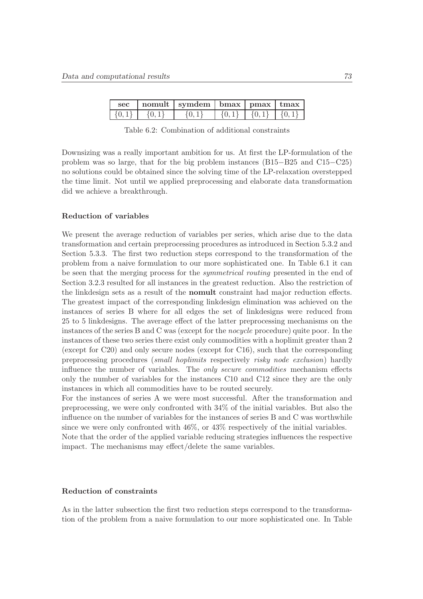| <b>sec</b> | nomult   symdem   bmax   pmax   tmax |  |  |
|------------|--------------------------------------|--|--|
|            |                                      |  |  |

Table 6.2: Combination of additional constraints

Downsizing was a really important ambition for us. At first the LP-formulation of the problem was so large, that for the big problem instances (B15−B25 and C15−C25) no solutions could be obtained since the solving time of the LP-relaxation overstepped the time limit. Not until we applied preprocessing and elaborate data transformation did we achieve a breakthrough.

#### Reduction of variables

We present the average reduction of variables per series, which arise due to the data transformation and certain preprocessing procedures as introduced in Section 5.3.2 and Section 5.3.3. The first two reduction steps correspond to the transformation of the problem from a naive formulation to our more sophisticated one. In Table 6.1 it can be seen that the merging process for the symmetrical routing presented in the end of Section 3.2.3 resulted for all instances in the greatest reduction. Also the restriction of the linkdesign sets as a result of the nomult constraint had major reduction effects. The greatest impact of the corresponding linkdesign elimination was achieved on the instances of series B where for all edges the set of linkdesigns were reduced from 25 to 5 linkdesigns. The average effect of the latter preprocessing mechanisms on the instances of the series B and C was (except for the nocycle procedure) quite poor. In the instances of these two series there exist only commodities with a hoplimit greater than 2 (except for C20) and only secure nodes (except for C16), such that the corresponding preprocessing procedures (small hoplimits respectively risky node exclusion) hardly influence the number of variables. The *only secure commodities* mechanism effects only the number of variables for the instances C10 and C12 since they are the only instances in which all commodities have to be routed securely.

For the instances of series A we were most successful. After the transformation and preprocessing, we were only confronted with 34% of the initial variables. But also the influence on the number of variables for the instances of series B and C was worthwhile since we were only confronted with 46%, or 43% respectively of the initial variables. Note that the order of the applied variable reducing strategies influences the respective impact. The mechanisms may effect/delete the same variables.

#### Reduction of constraints

As in the latter subsection the first two reduction steps correspond to the transformation of the problem from a naive formulation to our more sophisticated one. In Table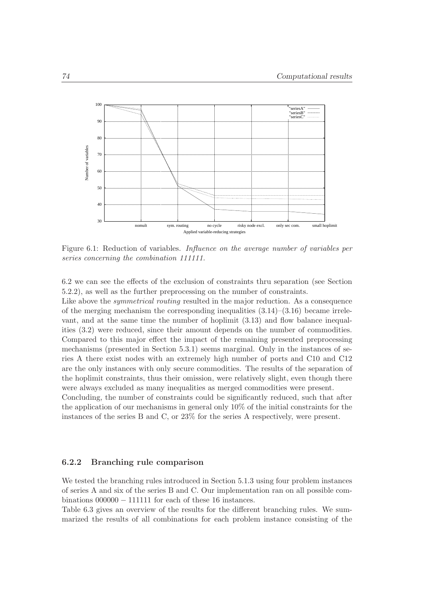

Figure 6.1: Reduction of variables. Influence on the average number of variables per series concerning the combination 111111.

6.2 we can see the effects of the exclusion of constraints thru separation (see Section 5.2.2), as well as the further preprocessing on the number of constraints.

Like above the *symmetrical routing* resulted in the major reduction. As a consequence of the merging mechanism the corresponding inequalities  $(3.14)$ – $(3.16)$  became irrelevant, and at the same time the number of hoplimit (3.13) and flow balance inequalities (3.2) were reduced, since their amount depends on the number of commodities. Compared to this major effect the impact of the remaining presented preprocessing mechanisms (presented in Section 5.3.1) seems marginal. Only in the instances of series A there exist nodes with an extremely high number of ports and C10 and C12 are the only instances with only secure commodities. The results of the separation of the hoplimit constraints, thus their omission, were relatively slight, even though there were always excluded as many inequalities as merged commodities were present.

Concluding, the number of constraints could be significantly reduced, such that after the application of our mechanisms in general only 10% of the initial constraints for the instances of the series B and C, or 23% for the series A respectively, were present.

#### 6.2.2 Branching rule comparison

We tested the branching rules introduced in Section 5.1.3 using four problem instances of series A and six of the series B and C. Our implementation ran on all possible combinations  $000000 - 111111$  for each of these 16 instances.

Table 6.3 gives an overview of the results for the different branching rules. We summarized the results of all combinations for each problem instance consisting of the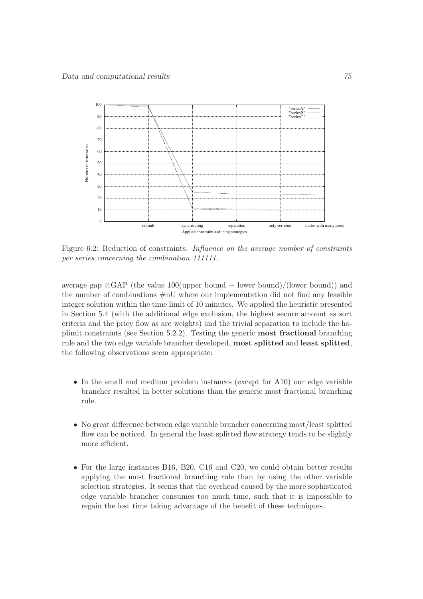

Figure 6.2: Reduction of constraints. Influence on the average number of constraints per series concerning the combination 111111.

average gap  $\oslash$ GAP (the value 100(upper bound – lower bound)/(lower bound)) and the number of combinations  $\#nU$  where our implementation did not find any feasible integer solution within the time limit of 10 minutes. We applied the heuristic presented in Section 5.4 (with the additional edge exclusion, the highest secure amount as sort criteria and the pricy flow as arc weights) and the trivial separation to include the hoplimit constraints (see Section 5.2.2). Testing the generic most fractional branching rule and the two edge variable brancher developed, most splitted and least splitted, the following observations seem appropriate:

- In the small and medium problem instances (except for A10) our edge variable brancher resulted in better solutions than the generic most fractional branching rule.
- No great difference between edge variable brancher concerning most/least splitted flow can be noticed. In general the least splitted flow strategy tends to be slightly more efficient.
- For the large instances B16, B20, C16 and C20, we could obtain better results applying the most fractional branching rule than by using the other variable selection strategies. It seems that the overhead caused by the more sophisticated edge variable brancher consumes too much time, such that it is impossible to regain the lost time taking advantage of the benefit of these techniques.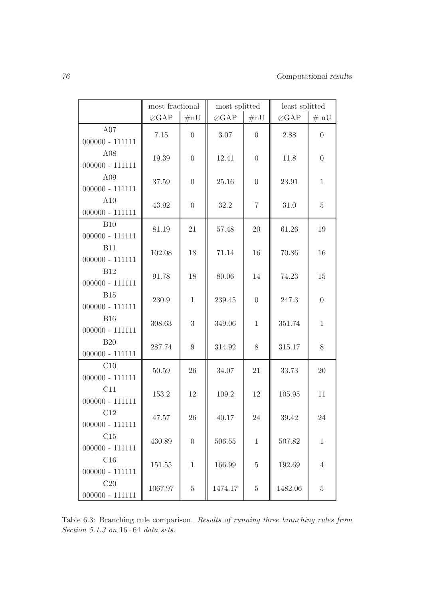|                                 | most fractional |                | most splitted |                | least splitted |                |
|---------------------------------|-----------------|----------------|---------------|----------------|----------------|----------------|
|                                 | $\oslash$ GAP   | #nU            | $\oslash$ GAP | $\#nU$         | $\oslash$ GAP  | # nU           |
| A07<br>$000000 - 111111$        | 7.15            | $\overline{0}$ | 3.07          | $\Omega$       | 2.88           | $\overline{0}$ |
| A08<br>$000000 - 111111$        | 19.39           | $\overline{0}$ | 12.41         | $\overline{0}$ | 11.8           | $\overline{0}$ |
| A09<br>$000000 - 111111$        | 37.59           | $\overline{0}$ | 25.16         | $\overline{0}$ | 23.91          | $\mathbf{1}$   |
| A10<br>$000000 - 111111$        | 43.92           | $\overline{0}$ | 32.2          | $\overline{7}$ | 31.0           | $\overline{5}$ |
| <b>B10</b><br>$000000 - 111111$ | 81.19           | 21             | 57.48         | 20             | 61.26          | 19             |
| <b>B11</b><br>$000000 - 111111$ | 102.08          | 18             | 71.14         | 16             | 70.86          | 16             |
| <b>B12</b><br>$000000 - 111111$ | 91.78           | $18\,$         | 80.06         | 14             | 74.23          | 15             |
| <b>B15</b><br>$000000 - 111111$ | 230.9           | $\mathbf{1}$   | 239.45        | $\theta$       | 247.3          | $\overline{0}$ |
| <b>B16</b><br>$000000 - 111111$ | 308.63          | 3              | 349.06        | $\mathbf{1}$   | 351.74         | $\mathbf{1}$   |
| <b>B20</b><br>$000000 - 111111$ | 287.74          | 9              | 314.92        | 8              | $315.17\,$     | 8              |
| C10<br>$000000 - 111111$        | 50.59           | 26             | 34.07         | 21             | 33.73          | 20             |
| C11<br>$000000 - 111111$        | 153.2           | 12             | 109.2         | 12             | 105.95         | 11             |
| C12<br>$000000 - 111111$        | 47.57           | 26             | 40.17         | 24             | 39.42          | 24             |
| C15<br>$000000 - 111111$        | 430.89          | $\overline{0}$ | $506.55\,$    | $\mathbf{1}$   | 507.82         | $\mathbf{1}$   |
| C16<br>$000000$ - $111111\,$    | 151.55          | 1              | 166.99        | $\overline{5}$ | 192.69         | $\overline{4}$ |
| C20<br>$000000 - 111111$        | 1067.97         | $\bf 5$        | 1474.17       | $\overline{5}$ | 1482.06        | $\overline{5}$ |

Table 6.3: Branching rule comparison. Results of running three branching rules from Section  $5.1.3$  on  $16 \cdot 64$  data sets.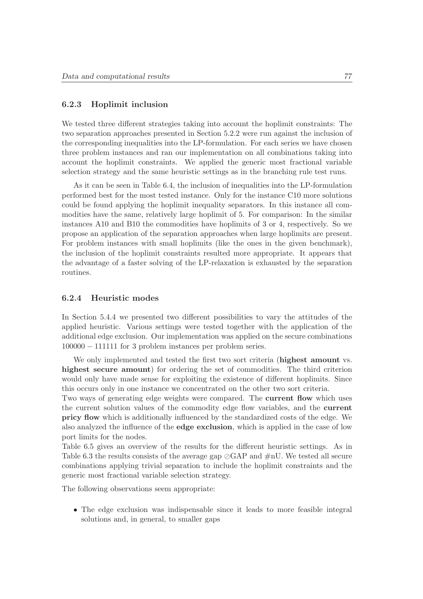### 6.2.3 Hoplimit inclusion

We tested three different strategies taking into account the hoplimit constraints: The two separation approaches presented in Section 5.2.2 were run against the inclusion of the corresponding inequalities into the LP-formulation. For each series we have chosen three problem instances and ran our implementation on all combinations taking into account the hoplimit constraints. We applied the generic most fractional variable selection strategy and the same heuristic settings as in the branching rule test runs.

As it can be seen in Table 6.4, the inclusion of inequalities into the LP-formulation performed best for the most tested instance. Only for the instance C10 more solutions could be found applying the hoplimit inequality separators. In this instance all commodities have the same, relatively large hoplimit of 5. For comparison: In the similar instances A10 and B10 the commodities have hoplimits of 3 or 4, respectively. So we propose an application of the separation approaches when large hoplimits are present. For problem instances with small hoplimits (like the ones in the given benchmark), the inclusion of the hoplimit constraints resulted more appropriate. It appears that the advantage of a faster solving of the LP-relaxation is exhausted by the separation routines.

#### 6.2.4 Heuristic modes

In Section 5.4.4 we presented two different possibilities to vary the attitudes of the applied heuristic. Various settings were tested together with the application of the additional edge exclusion. Our implementation was applied on the secure combinations 100000 − 111111 for 3 problem instances per problem series.

We only implemented and tested the first two sort criteria (highest amount vs. highest secure amount) for ordering the set of commodities. The third criterion would only have made sense for exploiting the existence of different hoplimits. Since this occurs only in one instance we concentrated on the other two sort criteria.

Two ways of generating edge weights were compared. The **current flow** which uses the current solution values of the commodity edge flow variables, and the current pricy flow which is additionally influenced by the standardized costs of the edge. We also analyzed the influence of the edge exclusion, which is applied in the case of low port limits for the nodes.

Table 6.5 gives an overview of the results for the different heuristic settings. As in Table 6.3 the results consists of the average gap ⊘GAP and #nU. We tested all secure combinations applying trivial separation to include the hoplimit constraints and the generic most fractional variable selection strategy.

The following observations seem appropriate:

• The edge exclusion was indispensable since it leads to more feasible integral solutions and, in general, to smaller gaps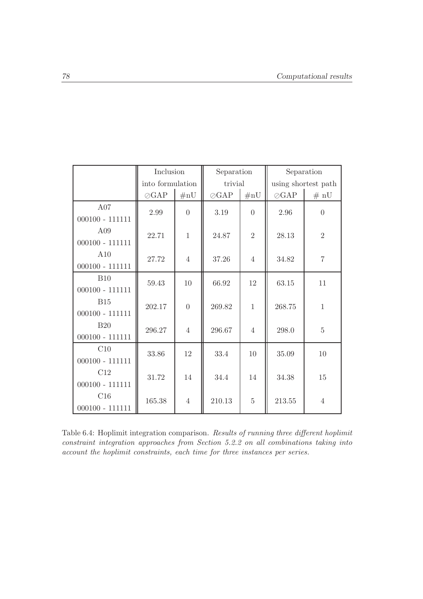|                   | Inclusion        |                | Separation    |                |               | Separation          |  |
|-------------------|------------------|----------------|---------------|----------------|---------------|---------------------|--|
|                   | into formulation |                | trivial       |                |               | using shortest path |  |
|                   | $\oslash$ GAP    | $\#nU$         | $\oslash$ GAP | #nU            | $\oslash$ GAP | # nU                |  |
| A07               | 2.99             | $\theta$       | 3.19          | $\theta$       | 2.96          | $\overline{0}$      |  |
| $000100 - 111111$ |                  |                |               |                |               |                     |  |
| A09               | 22.71            | $\mathbf{1}$   | 24.87         | $\overline{2}$ | 28.13         | $\overline{2}$      |  |
| $000100 - 111111$ |                  |                |               |                |               |                     |  |
| A10               | 27.72            | $\overline{4}$ | 37.26         | $\overline{4}$ | 34.82         | $\overline{7}$      |  |
| $000100 - 111111$ |                  |                |               |                |               |                     |  |
| B10               | 59.43            | 10             | 66.92         | 12             | 63.15         | 11                  |  |
| $000100 - 111111$ |                  |                |               |                |               |                     |  |
| <b>B15</b>        | 202.17           | $\overline{0}$ | 269.82        | $\mathbf{1}$   | 268.75        | $\mathbf{1}$        |  |
| $000100 - 111111$ |                  |                |               |                |               |                     |  |
| <b>B20</b>        | 296.27           | $\overline{4}$ | 296.67        | $\overline{4}$ | 298.0         | $\overline{5}$      |  |
| $000100 - 111111$ |                  |                |               |                |               |                     |  |
| C10               | 33.86            | 12             | 33.4          | 10             | 35.09         | 10                  |  |
| $000100 - 111111$ |                  |                |               |                |               |                     |  |
| C12               | 31.72            | 14             | 34.4          | 14             | 34.38         | 15                  |  |
| $000100 - 111111$ |                  |                |               |                |               |                     |  |
| C16               | 165.38           | $\overline{4}$ | 210.13        | $\overline{5}$ | 213.55        | $\overline{4}$      |  |
| $000100 - 111111$ |                  |                |               |                |               |                     |  |

Table 6.4: Hoplimit integration comparison. Results of running three different hoplimit constraint integration approaches from Section 5.2.2 on all combinations taking into account the hoplimit constraints, each time for three instances per series.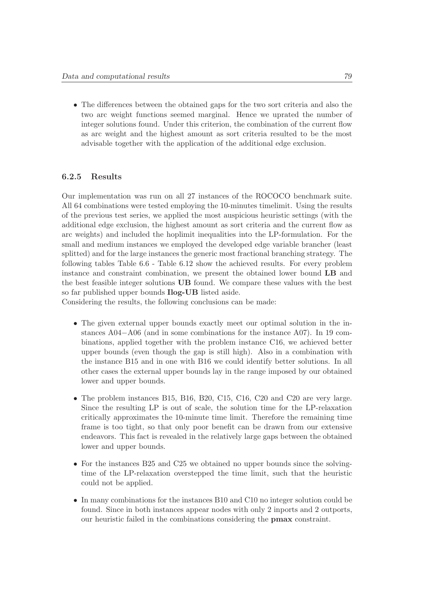• The differences between the obtained gaps for the two sort criteria and also the two arc weight functions seemed marginal. Hence we uprated the number of integer solutions found. Under this criterion, the combination of the current flow as arc weight and the highest amount as sort criteria resulted to be the most advisable together with the application of the additional edge exclusion.

### 6.2.5 Results

Our implementation was run on all 27 instances of the ROCOCO benchmark suite. All 64 combinations were tested employing the 10-minutes timelimit. Using the results of the previous test series, we applied the most auspicious heuristic settings (with the additional edge exclusion, the highest amount as sort criteria and the current flow as arc weights) and included the hoplimit inequalities into the LP-formulation. For the small and medium instances we employed the developed edge variable brancher (least splitted) and for the large instances the generic most fractional branching strategy. The following tables Table 6.6 - Table 6.12 show the achieved results. For every problem instance and constraint combination, we present the obtained lower bound LB and the best feasible integer solutions UB found. We compare these values with the best so far published upper bounds Ilog-UB listed aside.

Considering the results, the following conclusions can be made:

- The given external upper bounds exactly meet our optimal solution in the instances A04−A06 (and in some combinations for the instance A07). In 19 combinations, applied together with the problem instance C16, we achieved better upper bounds (even though the gap is still high). Also in a combination with the instance B15 and in one with B16 we could identify better solutions. In all other cases the external upper bounds lay in the range imposed by our obtained lower and upper bounds.
- The problem instances B15, B16, B20, C15, C16, C20 and C20 are very large. Since the resulting LP is out of scale, the solution time for the LP-relaxation critically approximates the 10-minute time limit. Therefore the remaining time frame is too tight, so that only poor benefit can be drawn from our extensive endeavors. This fact is revealed in the relatively large gaps between the obtained lower and upper bounds.
- For the instances B25 and C25 we obtained no upper bounds since the solvingtime of the LP-relaxation overstepped the time limit, such that the heuristic could not be applied.
- In many combinations for the instances B10 and C10 no integer solution could be found. Since in both instances appear nodes with only 2 inports and 2 outports, our heuristic failed in the combinations considering the pmax constraint.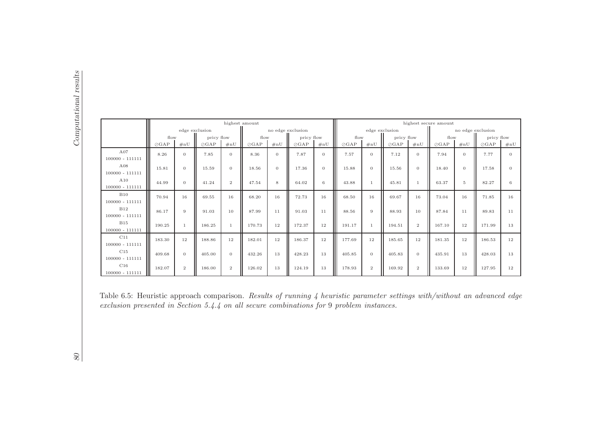|                                                                                                                                                                                                                         |               |              | edge exclusion |              | highest amount |                | no edge exclusion |                  |               |              | edge exclusion |                 | highest secure amount<br>no edge exclusion |                |               |
|-------------------------------------------------------------------------------------------------------------------------------------------------------------------------------------------------------------------------|---------------|--------------|----------------|--------------|----------------|----------------|-------------------|------------------|---------------|--------------|----------------|-----------------|--------------------------------------------|----------------|---------------|
|                                                                                                                                                                                                                         | flow          |              | pricy flow     |              | flow           |                | pricy flow        |                  | flow          |              | pricy flow     |                 | flow                                       |                | pricy flow    |
|                                                                                                                                                                                                                         | $\oslash$ GAP | #nU          | $\oslash$ GAP  | #nU          | $\oslash$ GAP  | #nU            | $\oslash$ GAP     | #nU              | $\oslash$ GAP | #nU          | $\oslash$ GAP  | $\#\mathbf{nU}$ | $\oslash$ GAP                              | #nU            | $\oslash$ GAP |
| A07<br>$100000 - 111111$                                                                                                                                                                                                | 8.26          | $\theta$     | 7.85           | $\theta$     | 8.36           | $\overline{0}$ | 7.87              | $\boldsymbol{0}$ | 7.57          | $\mathbf{0}$ | 7.12           | $\mathbf{0}$    | 7.94                                       | $\overline{0}$ | 7.77          |
| A08<br>$100000 - 111111$                                                                                                                                                                                                | 15.81         | $\theta$     | 15.59          | $\theta$     | 18.56          | $\mathbf{0}$   | 17.36             | $\boldsymbol{0}$ | 15.88         | $\mathbf{0}$ | 15.56          | $\overline{0}$  | 18.40                                      | $\mathbf{0}$   | 17.58         |
| A10<br>$100000 - 111111$                                                                                                                                                                                                | 44.99         | $\theta$     | 41.24          | $\,2\,$      | 47.54          | 8              | 64.02             | $\,6\,$          | 43.88         | $\mathbf{1}$ | 45.81          | $\mathbf{1}$    | 63.37                                      | $5\,$          | 82.27         |
| <b>B10</b><br>$100000 - 111111$                                                                                                                                                                                         | 70.94         | 16           | 69.55          | 16           | 68.20          | 16             | 72.73             | 16               | 68.50         | 16           | 69.67          | 16              | 73.04                                      | 16             | 71.85         |
| <b>B12</b><br>$100000 - 111111$                                                                                                                                                                                         | 86.17         | 9            | 91.03          | 10           | 87.99          | 11             | 91.03             | 11               | 88.56         | $9\,$        | 88.93          | 10              | 87.84                                      | 11             | 89.83         |
| <b>B15</b><br>$100000 - 111111$                                                                                                                                                                                         | 190.25        | $\mathbf{1}$ | 186.25         | $\mathbf{1}$ | 170.73         | 12             | 172.37            | 12               | 191.17        | $\mathbf{1}$ | 194.51         | $\overline{2}$  | 167.10                                     | 12             | 171.99        |
| C11<br>$100000 - 111111$                                                                                                                                                                                                | 183.30        | 12           | 188.86         | 12           | 182.01         | 12             | 186.37            | 12               | 177.69        | 12           | 185.65         | 12              | 181.35                                     | 12             | 186.53        |
| C15<br>$100000 - 111111$                                                                                                                                                                                                | 409.68        | $\theta$     | 405.00         | $\theta$     | 432.26         | 13             | 428.23            | 13               | 405.85        | $\mathbf{0}$ | 405.83         | $\overline{0}$  | 435.91                                     | 13             | 428.03        |
| C16<br>$100000 - 111111$                                                                                                                                                                                                | 182.07        | $\,2$        | 186.00         | $\,2$        | 126.02         | 13             | 124.19            | 13               | 178.93        | $\,2\,$      | 169.92         | $\sqrt{2}$      | 133.69                                     | 12             | 127.95        |
| Table 6.5: Heuristic approach comparison. Results of running 4 heuristic parameter settings with/without an advanced edge<br>exclusion presented in Section $5.4.4$ on all secure combinations for 9 problem instances. |               |              |                |              |                |                |                   |                  |               |              |                |                 |                                            |                |               |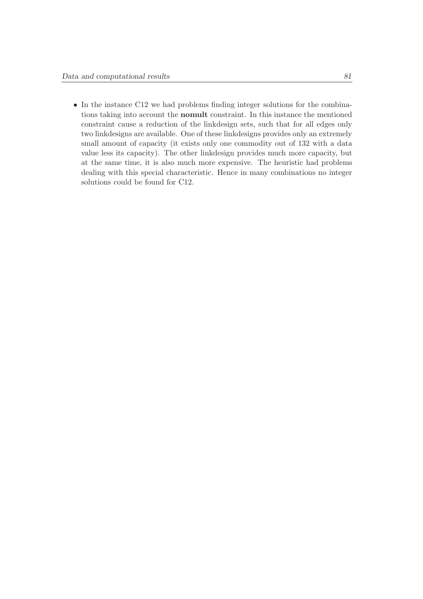• In the instance C12 we had problems finding integer solutions for the combinations taking into account the nomult constraint. In this instance the mentioned constraint cause a reduction of the linkdesign sets, such that for all edges only two linkdesigns are available. One of these linkdesigns provides only an extremely small amount of capacity (it exists only one commodity out of 132 with a data value less its capacity). The other linkdesign provides much more capacity, but at the same time, it is also much more expensive. The heuristic had problems dealing with this special characteristic. Hence in many combinations no integer solutions could be found for C12.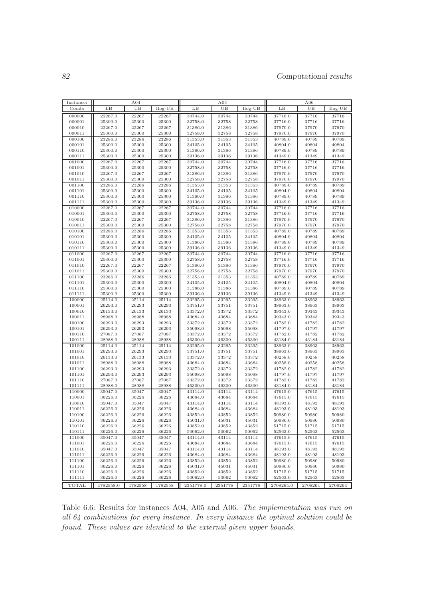| Instance:        |                    | A04            |                | A05                |                |                | A06                |                |                |  |
|------------------|--------------------|----------------|----------------|--------------------|----------------|----------------|--------------------|----------------|----------------|--|
| Comb:            | LB                 | UB             | $Ilog-UB$      | LB                 | UB             | Ilog-UB        | LB                 | UB             | $Ilog-UB$      |  |
| 000000           | 22267.0            | 22267          | 22267          | 30744.0            | 30744          | 30744          | 37716.0            | 37716          | 37716          |  |
| 000001           | 25300.0            | 25300          | 25300          | 32758.0            | 32758          | 32758          | 37716.0            | 37716          | 37716          |  |
| 000010           | 22267.0            | 22267          | 22267          | 31386.0            | 31386          | 31386          | 37970.0            | 37970          | 37970          |  |
| 000011           | 25300.0            | 25300          | 25300          | 32758.0            | 32758          | 32758          | 37970.0            | 37970          | 37970          |  |
| 000100           | 23286.0            | 23286          | 23286          | 31353.0            | 31353          | 31353          | 40789.0            | 40789          | 40789          |  |
| 000101           | 25300.0            | 25300          | 25300          | 34105.0            | 34105          | 34105          | 40804.0            | 40804          | 40804          |  |
| 000110<br>000111 | 25300.0<br>25300.0 | 25300<br>25300 | 25300<br>25300 | 31386.0<br>39136.0 | 31386<br>39136 | 31386<br>39136 | 40789.0<br>41349.0 | 40789<br>41349 | 40789<br>41349 |  |
| 001000           | 22267.0            | 22267          | 22267          | 30744.0            | 30744          | 30744          | 37716.0            | 37716          | 37716          |  |
| 001001           | 25300.0            | 25300          | 25300          | 32758.0            | 32758          | 32758          | 37716.0            | 37716          | 37716          |  |
| 001010           | 22267.0            | 22267          | 22267          | 31386.0            | 31386          | 31386          | 37970.0            | 37970          | 37970          |  |
| 001011           | 25300.0            | 25300          | 25300          | 32758.0            | 32758          | 32758          | 37970.0            | 37970          | 37970          |  |
| 001100           | 23286.0            | 23286          | 23286          | 31353.0            | 31353          | 31353          | 40789.0            | 40789          | 40789          |  |
| 001101           | 25300.0            | 25300          | 25300          | 34105.0            | 34105          | 34105          | 40804.0            | 40804          | 40804          |  |
| 001110           | 25300.0            | 25300          | 25300          | 31386.0            | 31386          | 31386          | 40789.0            | 40789          | 40789          |  |
| 001111           | 25300.0            | 25300          | 25300          | 39136.0            | 39136          | 39136          | 41349.0            | 41349          | 41349          |  |
| 010000           | 22267.0            | 22267          | 22267          | 30744.0            | 30744          | 30744          | 37716.0            | 37716          | 37716          |  |
| 010001<br>010010 | 25300.0<br>22267.0 | 25300<br>22267 | 25300<br>22267 | 32758.0<br>31386.0 | 32758<br>31386 | 32758<br>31386 | 37716.0<br>37970.0 | 37716<br>37970 | 37716<br>37970 |  |
| 010011           | 25300.0            | 25300          | 25300          | 32758.0            | 32758          | 32758          | 37970.0            | 37970          | 37970          |  |
| 010100           | 23286.0            | 23286          | 23286          | 31353.0            | 31353          | 31353          | 40789.0            | 40789          | 40789          |  |
| 010101           | 25300.0            | 25300          | 25300          | 34105.0            | 34105          | 34105          | 40804.0            | 40804          | 40804          |  |
| 010110           | 25300.0            | 25300          | 25300          | 31386.0            | 31386          | 31386          | 40789.0            | 40789          | 40789          |  |
| 010111           | 25300.0            | 25300          | 25300          | 39136.0            | 39136          | 39136          | 41349.0            | 41349          | 41349          |  |
| 011000           | 22267.0            | 22267          | 22267          | 30744.0            | 30744          | 30744          | 37716.0            | 37716          | 37716          |  |
| 011001           | 25300.0            | 25300          | 25300          | 32758.0            | 32758          | 32758          | 37716.0            | 37716          | 37716          |  |
| 011010           | 22267.0            | 22267          | 22267          | 31386.0            | 31386          | 31386          | 37970.0            | 37970          | 37970          |  |
| 011011           | 25300.0            | 25300          | 25300          | 32758.0            | 32758          | 32758          | 37970.0            | 37970          | 37970          |  |
| 011100<br>011101 | 23286.0<br>25300.0 | 23286<br>25300 | 23286<br>25300 | 31353.0<br>34105.0 | 31353<br>34105 | 31353<br>34105 | 40789.0<br>40804.0 | 40789<br>40804 | 40789<br>40804 |  |
| 011110           | 25300.0            | 25300          | 25300          | 31386.0            | 31386          | 31386          | 40789.0            | 40789          | 40789          |  |
| 011111           | 25300.0            | 25300          | 25300          | 39136.0            | 39136          | 39136          | 41349.0            | 41349          | 41349          |  |
| 100000           | 25114.0            | 25114          | 25114          | 33295.0            | 33295          | 33295          | 38963.0            | 38963          | 38963          |  |
| 100001           | 26293.0            | 26293          | 26293          | 33751.0            | 33751          | 33751          | 38963.0            | 38963          | 38963          |  |
| 100010           | 26133.0            | 26133          | 26133          | 33372.0            | 33372          | 33372          | 39343.0            | 39343          | 39343          |  |
| 100011           | 28988.0            | 28988          | 28988          | 43684.0            | 43684          | 43684          | 39343.0            | 39343          | 39343          |  |
| 100100           | 26293.0            | 26293          | 26293          | 33372.0            | 33372          | 33372          | 41782.0            | 41782          | 41782          |  |
| 100101           | 26293.0            | 26293          | 26293          | 35098.0            | 35098          | 35098          | 41797.0            | 41797          | 41797          |  |
| 100110<br>100111 | 27087.0<br>28988.0 | 27087<br>28988 | 27087<br>28988 | 33372.0<br>46300.0 | 33372<br>46300 | 33372<br>46300 | 41782.0<br>43184.0 | 41782<br>43184 | 41782<br>43184 |  |
| 101000           | 25114.0            | 25114          | 25114          | 33295.0            | 33295          | 33295          | 38963.0            | 38963          | 38963          |  |
| 101001           | 26293.0            | 26293          | 26293          | 33751.0            | 33751          | 33751          | 38963.0            | 38963          | 38963          |  |
| 101010           | 26133.0            | 26133          | 26133          | 33372.0            | 33372          | 33372          | 40258.0            | 40258          | 40258          |  |
| 101011           | 28988.0            | 28988          | 28988          | 43684.0            | 43684          | 43684          | 40258.0            | 40258          | 40258          |  |
| 101100           | 26293.0            | 26293          | 26293          | 33372.0            | 33372          | 33372          | 41782.0            | 41782          | 41782          |  |
| 101101           | 26293.0            | 26293          | 26293          | 35098.0            | 35098          | 35098          | 41797.0            | 41797          | 41797          |  |
| 101110           | 27087.0            | 27087          | 27087          | 33372.0            | 33372          | 33372          | 41782.0            | 41782          | 41782          |  |
| 101111           | 28988.0            | 28988          | 28988          | 46300.0            | 46300          | 46300          | 43184.0            | 43184          | 43184          |  |
| 110000<br>110001 | 35047.0<br>36226.0 | 35047<br>36226 | 35047<br>36226 | 43114.0<br>43684.0 | 43114<br>43684 | 43114<br>43684 | 47615.0<br>47615.0 | 47615<br>47615 | 47615<br>47615 |  |
| 110010           | 35047.0            | 35047          | 35047          | 43114.0            | 43114          | 43114          | 48193.0            | 48193          | 48193          |  |
| 110011           | 36226.0            | 36226          | 36226          | 43684.0            | 43684          | 43684          | 48193.0            | 48193          | 48193          |  |
| 110100           | 36226.0            | 36226          | 36226          | 43852.0            | 43852          | 43852          | 50980.0            | 50980          | 50980          |  |
| 110101           | 36226.0            | 36226          | 36226          | 45031.0            | 45031          | 45031          | 50980.0            | 50980          | 50980          |  |
| 110110           | 36226.0            | 36226          | 36226          | 43852.0            | 43852          | 43852          | 51715.0            | 51715          | 51715          |  |
| 110111           | 36226.0            | 36226          | 36226          | 50062.0            | 50062          | 50062          | 52563.0            | 52563          | 52563          |  |
| 111000           | 35047.0            | 35047          | 35047          | 43114.0            | 43114          | 43114          | 47615.0            | 47615          | 47615          |  |
| 111001           | 36226.0            | 36226          | 36226          | 43684.0            | 43684          | 43684          | 47615.0            | 47615          | 47615          |  |
| 111010<br>111011 | 35047.0            | 35047          | 35047          | 43114.0            | 43114          | 43114          | 48193.0            | 48193          | 48193<br>48193 |  |
| 111100           | 36226.0<br>36226.0 | 36226<br>36226 | 36226<br>36226 | 43684.0<br>43852.0 | 43684<br>43852 | 43684<br>43852 | 48193.0<br>50980.0 | 48193<br>50980 | 50980          |  |
| 111101           | 36226.0            | 36226          | 36226          | 45031.0            | 45031          | 45031          | 50980.0            | 50980          | 50980          |  |
| 111110           | 36226.0            | 36226          | 36226          | 43852.0            | 43852          | 43852          | 51715.0            | 51715          | 51715          |  |
| 111111           | 36226.0            | 36226          | 36226          | 50062.0            | 50062          | 50062          | 52563.0            | 52563          | 52563          |  |
| TOTAL            | 1782558.0          | 1782558        | 1782558        | 2351778.0          | 2351778        | 2351778        | 2708264.0          | 2708264        | 2708264        |  |

Table 6.6: Results for instances A04, A05 and A06. The implementation was run on all 64 combinations for every instance. In every instance the optimal solution could be found. These values are identical to the external given upper bounds.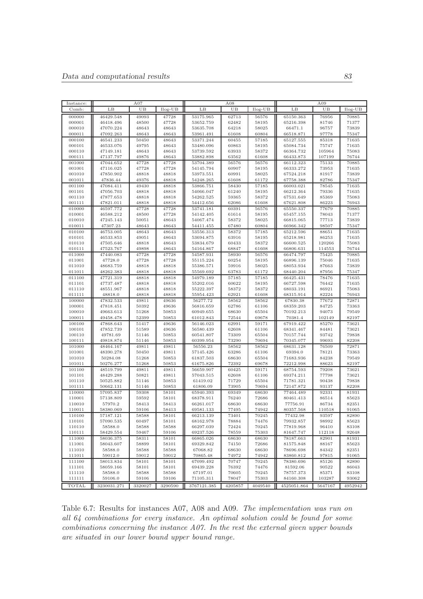| Instance:        |                        | A07            |                | A08                    |                |                | A09                    |                 |                |  |
|------------------|------------------------|----------------|----------------|------------------------|----------------|----------------|------------------------|-----------------|----------------|--|
| Comb:            | LB                     | UB             | Ilog-UB        | LB                     | UB             | Ilog-UB        | LB                     | UB              | Ilog-UB        |  |
| 000000           | 46429.548              | 49093          | 47728          | 53175.965              | 62713          | 56576          | 65150.363              | 76956           | 70885          |  |
| 000001           | 46418.496              | 48500          | 47728          | 53652.759              | 62482          | 58195          | 65216.398              | 81746           | 71377          |  |
| 000010           | 47070.224              | 48643          | 48643          | 53635.708              | 64218          | 58025          | 66471.1                | 96757           | 73839          |  |
| 000011           | 47092.263              | 48643          | 48643          | 53961.491              | 61608          | 60804          | 66518.871              | 97778           | 75347          |  |
| 000100           | 46541.233              | 50450          | 48643          | 53371.244              | 60455          | 57185          | 65127.555              | 85318           | 71635          |  |
| 000101           | 46533.076              | 49795          | 48643          | 53480.096              | 60863          | 58195          | 65084.734              | 75747           | 71635          |  |
| 000110           | 47149.181              | 48643          | 48643          | 53739.592              | 63933          | 58372          | 66364.732              | 105964          | 75083          |  |
| 000111<br>001000 | 47137.797<br>47044.652 | 49876<br>47728 | 48643<br>47728 | 53882.898<br>53704.389 | 63562<br>56576 | 61608<br>56576 | 66433.873<br>66112.323 | 107199<br>75133 | 76744<br>70885 |  |
| 001001           | 47116.025              | 47728          | 47728          | 54145.794              | 60907          | 58195          | 66333.272              | 73953           | 71635          |  |
| 001010           | 47850.902              | 48818          | 48818          | 53973.551              | 60991          | 58025          | 67524.218              | 81917           | 73839          |  |
| 001011           | 47836.44               | 49376          | 48818          | 54248.265              | 61608          | 61172          | 67758.388              | 82786           | 75347          |  |
| 001100           | 47084.411              | 49430          | 48818          | 53866.751              | 58430          | 57185          | 66003.021              | 78545           | 71635          |  |
| 001101           | 47056.703              | 48818          | 48818          | 54066.047              | 61240          | 58195          | 66212.364              | 79336           | 71635          |  |
| 001110           | 47877.653              | 48818          | 48818          | 54262.525              | 59365          | 58372          | 67531.649              | 85369           | 75083          |  |
| 001111           | 47821.011              | 48818          | 48818          | 54412.656              | 62086          | 61608          | 67621.808              | 86223           | 76943          |  |
| 010000           | 46597.772              | 47728          | 47728          | 53741.181              | 60391          | 56576          | 65550.337              | 77679           | 70885          |  |
| 010001           | 46588.212              | 48500          | 47728          | 54142.405              | 61614          | 58195          | 65457.155              | 78043           | 71377          |  |
| 010010           | 47245.143              | 50051          | 48643          | 54067.474              | 58372          | 58025          | 66815.065              | 77713           | 73839          |  |
| 010011<br>010100 | 47307.23<br>46753.005  | 48643<br>48643 | 48643<br>48643 | 54411.455<br>53556.313 | 67480<br>58372 | 60804<br>57185 | 66966.342<br>65212.596 | 98507<br>88651  | 75347<br>71635 |  |
| 010101           | 46533.853              | 49051          | 48643          | 53694.875              | 63916          | 58195          | 65218.981              | 86253           | 71635          |  |
| 010110           | 47505.646              | 48818          | 48643          | 53834.679              | 60433          | 58372          | 66600.525              | 120266          | 75083          |  |
| 010111           | 47523.767              | 49898          | 48643          | 54164.867              | 68847          | 61608          | 66806.631              | 114553          | 76744          |  |
| 011000           | 47440.083              | 47728          | 47728          | 54587.931              | 58930          | 56576          | 66474.797              | 75425           | 70885          |  |
| 011001           | 47728.0                | 47728          | 47728          | 55115.224              | 60254          | 58195          | 66896.139              | 75046           | 71635          |  |
| 011010           | 48683.759              | 48818          | 48818          | 55386.571              | 59916          | 58025          | 68053.934              | 87663           | 73839          |  |
| 011011           | 48262.383              | 48818          | 48818          | 55569.692              | 63783          | 61172          | 68440.204              | 87956           | 75347          |  |
| 011100           | 47721.319              | 48818          | 48818          | 54979.189              | 57185          | 57185          | 66425.431              | 78476           | 71635          |  |
| 011101           | 47737.487              | 48818          | 48818          | 55202.016              | 60622          | 58195          | 66727.598              | 76442           | 71635          |  |
| 011110<br>011111 | 48551.967<br>48818.0   | 48818<br>48818 | 48818<br>48818 | 55222.397<br>55954.423 | 58372<br>62921 | 58372<br>61608 | 68033.191<br>68315.914 | 86921<br>82224  | 75083<br>76943 |  |
| 100000           | 47832.533              | 49811          | 49636          | 56277.72               | 58562          | 58562          | 67830.38               | 77672           | 72871          |  |
| 100001           | 47818.451              | 50392          | 49636          | 56816.659              | 62786          | 61106          | 68359.203              | 84725           | 73363          |  |
| 100010           | 49663.613              | 51268          | 50853          | 60949.655              | 68630          | 65504          | 70192.213              | 94073           | 79549          |  |
| 100011           | 49458.478              | 52399          | 50853          | 61012.843              | 72544          | 69678          | 70381.4                | 102149          | 82197          |  |
| 100100           | 47868.643              | 51417          | 49636          | 56146.023              | 62991          | 59171          | 67919.422              | 85270           | 73621          |  |
| 100101           | 47852.739              | 51589          | 49636          | 56580.439              | 62608          | 61106          | 68341.467              | 84481           | 73621          |  |
| 100110           | 49781.69               | 51146          | 50853          | 60541.807              | 73309          | 65504          | 70157.744              | 93742           | 79838          |  |
| 100111           | 49818.874              | 51146          | 50853          | 60399.954              | 73290          | 70694          | 70345.077              | 99693           | 82208          |  |
| 101000           | 48464.167              | 49811          | 49811          | 56556.23               | 58562          | 58562          | 68631.128              | 76509           | 72871          |  |
| 101001<br>101010 | 48390.278<br>50284.08  | 50450<br>51268 | 49811<br>50853 | 57145.426<br>61837.503 | 63286<br>68630 | 61106<br>65504 | 69394.0<br>71683.936   | 78121<br>84238  | 73363<br>79549 |  |
| 101011           | 50276.277              | 51268          | 50853          | 61675.826              | 72392          | 69678          | 72212.998              | 88623           | 82197          |  |
| 101100           | 48519.799              | 49811          | 49811          | 56659.907              | 60425          | 59171          | 68754.593              | 79208           | 73621          |  |
| 101101           | 48429.288              | 50821          | 49811          | 57043.515              | 62608          | 61106          | 69374.211              | 77798           | 73621          |  |
| 101110           | 50525.882              | 51146          | 50853          | 61419.02               | 71729          | 65504          | 71781.321              | 90438           | 79838          |  |
| 101111           | 50662.131              | 51146          | 50853          | 61806.09               | 73905          | 70694          | 72147.872              | 93137           | 82208          |  |
| 110000           | 57095.837              | 59308          | 58101          | 65940.393              | 69349          | 68630          | 77464.489              | 92331           | 81931          |  |
| 110001           | 57138.809              | 59592          | 58101          | 68378.911              | 76240          | 72686          | 80461.413              | 86514           | 85623          |  |
| 110010           | 57970.2                | 58413          | 58413          | 66261.017              | 68630          | 68630          | 77756.91               | 86734           | 82351          |  |
| 110011           | 58380.069              | 59106          | 58413<br>58101 | 69581.133              | 77495<br>73401 | 74942          | 80357.568              | 110518          | 91065          |  |
| 110100<br>110101 | 57187.121<br>57090.535 | 58588<br>60497 | 58101          | 66213.139<br>68162.978 | 78884          | 70245<br>74476 | 77432.98<br>79932.857  | 93597<br>98992  | 82890<br>85623 |  |
| 110110           | 58588.0                | 58588          | 58588          | 66297.039              | 72424          | 70245          | 77819.968              | 96410           | 83108          |  |
| 110111           | 58429.554              | 59467          | 59106          | 69237.526              | 78559          | 75303          | 81647.747              | 112118          | 92648          |  |
| 111000           | 58036.375              | 58311          | 58101          | 66865.026              | 68630          | 68630          | 78187.663              | 82901           | 81931          |  |
| 111001           | 58043.607              | 58899          | 58101          | 69329.842              | 74150          | 72686          | 81575.848              | 88167           | 85623          |  |
| 111010           | 58588.0                | 58588          | 58588          | 67068.82               | 68630          | 68630          | 78696.698              | 84342           | 82351          |  |
| 111011           | 59012.0                | 59012          | 59012          | 70865.48               | 74972          | 74942          | 83860.812              | 97815           | 91065          |  |
| 111100           | 58013.834              | 58101          | 58101          | 67099.492              | 70747          | 70245          | 78380.696              | 85126           | 82890          |  |
| 111101           | 58059.166              | 58101          | 58101          | 69439.228              | 76392          | 74476          | 81592.06               | 90522           | 86043          |  |
| 111110           | 58588.0                | 58588          | 58588          | 67197.01               | 70605          | 70245          | 78757.373              | 85371           | 83108          |  |
| 111111           | 59106.0                | 59106          | 59106          | 71105.311              | 78047          | 75303          | 84160.308              | 103287          | 93062          |  |
| TOTAL            | 3230031.271            | 3320027        | 3290590        | 3767121.385            | 4205857        | 4049540        | 4525051.864            | 5647167         | 4952942        |  |

Table 6.7: Results for instances A07, A08 and A09. The implementation was run on all 64 combinations for every instance. An optimal solution could be found for some combinations concerning the instance A07. In the rest the external given upper bounds are situated in our lower bound upper bound range.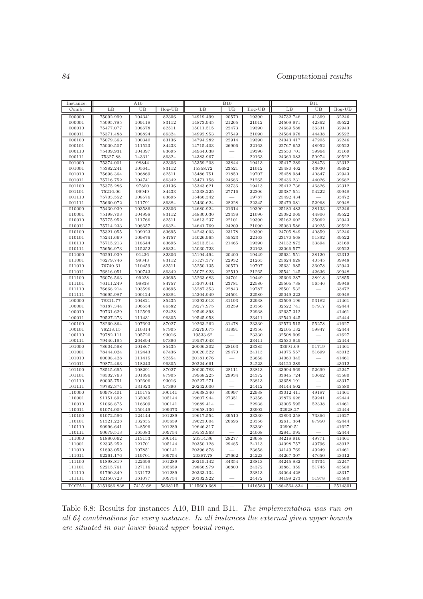| Instance:        |                        | A10              |                  | <b>B10</b>             |                |                | <b>B11</b>             |                |                |  |
|------------------|------------------------|------------------|------------------|------------------------|----------------|----------------|------------------------|----------------|----------------|--|
| Comb:            | LB                     | UB               | $Ilog-UB$        | LB                     | UB             | $Ilog-UB$      | $_{\rm LB}$            | UB             | $Ilog-UB$      |  |
| 000000           | 75092.999              | 104341           | 82306            | 14919.499              | 20570          | 19390          | 24732.746              | 41369          | 32246          |  |
| 000001           | 75095.785              | 109118           | 83112            | 14873.945              | 21265          | 21012          | 24509.971              | 42362          | 39522          |  |
| 000010           | 75477.077              | 108678           | 82511            | 15011.515              | 22473          | 19390          | 24689.588              | 36331          | 32943          |  |
| 000011           | 75371.488              | 108824           | 86324            | 14992.953              | 27549          | 21090          | 24584.978              | 44438          | 39522          |  |
| 000100<br>000101 | 75079.363<br>75000.507 | 100340           | 83136<br>84433   | 14794.282              | 22914          | 19390          | 24043.417              | 47205          | 32246          |  |
| 000110           | 75409.931              | 111523<br>104397 | 83695            | 14715.403<br>14964.038 | 26906          | 22163<br>19390 | 22767.652<br>23550.701 | 48952<br>39964 | 39522<br>33169 |  |
| 000111           | 75327.88               | 143311           | 86324            | 14383.967              |                | 22163          | 24360.083              | 50974          | 39522          |  |
| 001000           | 75374.001              | 98844            | 82306            | 15359.208              | 23844          | 19413          | 25417.289              | 38473          | 32312          |  |
| 001001           | 75382.241              | 105641           | 83112            | 15358.72               | 23521          | 21012          | 25480.462              | 43030          | 39682          |  |
| 001010           | 75698.364              | 106869           | 82511            | 15486.751              | 21850          | 19707          | 25458.984              | 40847          | 32943          |  |
| 001011           | 75716.752              | 104741           | 86342            | 15471.158              | 24686          | 21265          | 25436.231              | 44026          | 39682          |  |
| 001100<br>001101 | 75375.286              | 97800            | 83136            | 15343.621<br>15338.225 | 23736<br>27716 | 19413          | 25412.736              | 46826<br>54222 | 32312<br>39948 |  |
| 001110           | 75216.06<br>75703.552  | 99949<br>108576  | 84433<br>83695   | 15466.342              |                | 22306<br>19787 | 25387.551<br>25492.434 |                | 33472          |  |
| 001111           | 75660.072              | 111791           | 86384            | 15430.624              | 28228          | 22345          | 25479.081              | 52968          | 39948          |  |
| 010000           | 75430.939              | 103586           | 82306            | 14680.924              | 21614          | 19390          | 25180.483              | 38133          | 32246          |  |
| 010001           | 75198.703              | 104998           | 83112            | 14830.036              | 23438          | 21090          | 25082.069              | 44806          | 39522          |  |
| 010010           | 75775.952              | 111766           | 82511            | 14813.237              | 22101          | 19390          | 25162.602              | 35062          | 32943          |  |
| 010011           | 75714.233              | 108657           | 86324            | 14641.769              | 24209          | 21090          | 25083.586              | 43925          | 39522          |  |
| 010100           | 75321.055              | 109023           | 83695            | 14243.003              | 23178          | 19390          | 24705.849              | 40859          | 32246          |  |
| 010101           | 75241.669              | 109876           | 84757            | 14026.965              | 55523          | 22163          | 23170.568              | 51392          | 39522          |  |
| 010110<br>010111 | 75715.213<br>75656.973 | 118644<br>115252 | 83695<br>86324   | 14213.514<br>15030.723 | 21465          | 19390<br>22163 | 24132.872<br>23066.577 | 33894          | 33169<br>39522 |  |
| 011000           | 76291.939              | 91436            | 82306            | 15194.494              | 20400          | 19449          | 25631.551              | 38120          | 32312          |  |
| 011001           | 76279.746              | 99343            | 83112            | 15127.377              | 22932          | 21265          | 25624.628              | 40545          | 39948          |  |
| 011010           | 76740.61               | 110459           | 82511            | 15250.135              | 20570          | 19707          | 25631.985              | 36078          | 32943          |  |
| 011011           | 76816.051              | 100743           | 86342            | 15072.923              | 22519          | 21265          | 25541.145              | 42636          | 39948          |  |
| 011100           | 76076.563              | 99228            | 83695            | 15263.683              | 24701          | 19449          | 25606.287              | 38918          | 32855          |  |
| 011101           | 76111.249              | 98838            | 84757            | 15307.041              | 23781          | 22580          | 25505.738              | 56546          | 39948          |  |
| 011110           | 76668.214              | 103596           | 83695            | 15287.353              | 22843          | 19787          | 25501.532              |                | 33472          |  |
| 011111<br>100000 | 76695.987<br>78311.77  | 100124<br>104821 | 86384<br>85435   | 15204.949<br>19392.013 | 24501<br>31193 | 22580<br>22938 | 25049.222<br>32599.196 | 53182          | 39948<br>41461 |  |
| 100001           | 78187.344              | 106554           | 86582            | 19277.975              | 33259          | 23356          | 32522.741              | 57917          | 42444          |  |
| 100010           | 79731.629              | 112599           | 92428            | 19549.898              |                | 22938          | 32637.312              |                | 41461          |  |
| 100011           | 79527.273              | 111431           | 96305            | 19545.958              |                | 23411          | 32540.445              |                | 42444          |  |
| 100100           | 78260.864              | 107693           | 87027            | 19263.262              | 31478          | 23330          | 32573.515              | 55278          | 41627          |  |
| 100101           | 78218.15               | 110314           | 87905            | 19279.075              | 31891          | 23356          | 32105.132              | 59847          | 42444          |  |
| 100110           | 79782.111              | 105720           | 93016            | 19533.62               |                | 23330          | 32508.909              |                | 41627          |  |
| 100111<br>101000 | 79446.195<br>78604.598 | 264894<br>101867 | 97396<br>85435   | 19537.043<br>20006.302 | 28163          | 23411<br>23385 | 32530.949<br>33991.69  | 51719          | 42444<br>41461 |  |
| 101001           | 78444.024              | 112443           | 87436            | 20020.522              | 29470          | 24113          | 34075.557              | 51699          | 43012          |  |
| 101010           | 80008.428              | 111415           | 92554            | 20181.676              |                | 23658          | 34060.345              |                | 41461          |  |
| 101011           | 79872.463              | 118243           | 96305            | 20224.661              |                | 24223          | 34120.289              |                | 43012          |  |
| 101100           | 78515.695              | 108291           | 87027            | 20020.783              | 28111          | 23813          | 33994.969              | 52699          | 42247          |  |
| 101101           | 78502.763              | 101896           | 87905            | 19968.225              | 29934          | 24372          | 33845.724              | 50662          | 43580          |  |
| 101110           | 80005.751              | 102606           | 93016            | 20227.271              |                | 23813          | 33658.191              |                | 43317          |  |
| 101111           | 79782.374              | 131923           | 97396            | 20242.006              |                | 24412          | 34144.502              |                | 43580          |  |
| 110000<br>110001 | 90978.401<br>91151.892 | 115175<br>135085 | 100141<br>105144 | 19638.346<br>19607.944 | 30997<br>27351 | 22938<br>23356 | 33012.411<br>32876.626 | 49187<br>59241 | 41461<br>42444 |  |
| 110010           | 91068.875              | 116609           | 100141           | 19689.414              |                | 22938          | 33005.595              | 52338          | 41461          |  |
| 110011           | 91074.009              | 150149           | 109073           | 19658.136              |                | 23902          | 32928.27               |                | 42444          |  |
| 110100           | 91072.596              | 124144           | 101289           | 19617.554              | 39510          | 23330          | 32893.258              | 73366          | 41627          |  |
| 110101           | 91321.228              | 132835           | 105659           | 19623.004              | 26696          | 23356          | 32611.364              | 87950          | 42444          |  |
| 110110           | 90996.641              | 148596           | 101289           | 19646.317              |                | 23330          | 32900.51               |                | 41627          |  |
| 110111           | 90679.513              | 165083           | 109754           | 19553.963              |                | 24068          | 32841.095              |                | 42444          |  |
| 111000           | 91880.662              | 113153           | 100141           | 20314.36               | 28277          | 23658          | 34218.916              | 49771          | 41461          |  |
| 111001<br>111010 | 92335.252<br>91893.055 | 121701<br>107851 | 105144<br>100141 | 20350.128<br>20396.878 | 29485          | 24113<br>23658 | 34098.757<br>34149.769 | 49796<br>49249 | 43012<br>41461 |  |
| 111011           | 92261.176              | 119701           | 109754           | 20387.78               | 27662          | 24223          | 34267.307              | 47650          | 43012          |  |
| 111100           | 91898.819              | 122699           | 101289           | 20215.142              | 34354          | 23813          | 34245.832              | 53734          | 42247          |  |
| 111101           | 92215.761              | 127116           | 105659           | 19866.979              | 36800          | 24372          | 33861.359              | 51745          | 43580          |  |
| $111110\,$       | 91790.349              | 131172           | 101289           | 20333.134              |                | 23813          | 34064.428              |                | 43317          |  |
| 111111           | 92150.723              | 161077           | 109754           | 20332.922              |                | 24472          | 34199.273              | 51978          | 43580          |  |
| TOTAL            | 5151686.838            | 7415168          | 5808115          | 1115600.668            |                | 1416583        | 1864564.834            |                | 2514301        |  |

Table 6.8: Results for instances A10, B10 and B11. The implementation was run on all 64 combinations for every instance. In all instances the external given upper bounds are situated in our lower bound upper bound range.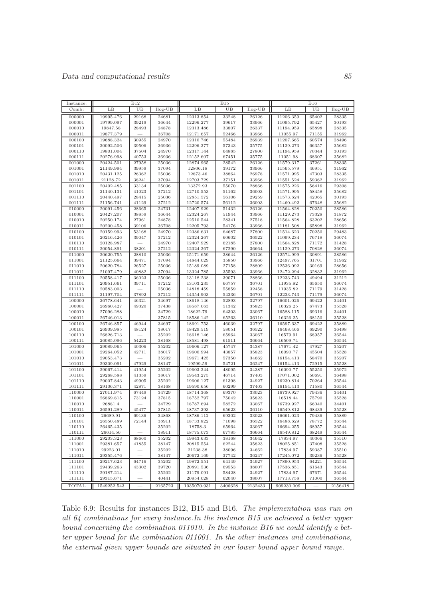| Instance:        |                        | <b>B12</b>     |                | <b>B15</b>             |                |                | <b>B16</b>             |                |                |  |
|------------------|------------------------|----------------|----------------|------------------------|----------------|----------------|------------------------|----------------|----------------|--|
| Comb:            | LB                     | UB             | $Ilog-UB$      | LB                     | UB             | $Ilog-UB$      | LB                     | UB             | $Ilog-UB$      |  |
| 000000           | 19995.476              | 29168          | 24681          | 12313.854              | 33248          | 26126          | 11206.359              | 65402          | 28335          |  |
| 000001           | 19799.097              | 39219          | 36644          | 12296.277              | 39617          | 33966          | 11095.792              | 65427          | 30193          |  |
| 000010           | 19847.58               | 28493          | 24878          | 12313.486              | 33807          | 26337          | 11194.959              | 65898          | 28335          |  |
| 000011           | 19877.379              |                | 36708          | 12171.657              | 52466          | 33966          | 11055.97               | 71155          | 31962          |  |
| 000100           | 19688.324              | 30955          | 24970          | 12310.746              | 55484          | 26939          | 11207.665              | 60574          | 28496          |  |
| 000101           | 20092.506              | 39506          | 36936          | 12296.277              | 57343          | 35775          | 11129.273              | 66357          | 35682          |  |
| 000110<br>000111 | 19801.004              | 37504          | 24970<br>36936 | 12317.144<br>12152.607 | 64885          | 27800<br>35775 | 11194.959              | 70344<br>68607 | 30193<br>35682 |  |
| 001000           | 20276.998<br>20424.501 | 40753<br>27958 | 25036          | 12874.965              | 67451<br>28542 | 26126          | 11051.98<br>11579.317  | 37261          | 28335          |  |
| 001001           | 21149.994              | 39959          | 37094          | 12806.18               | 39172          | 33966          | 11565.579              | 46951          | 31962          |  |
| 001010           | 20431.125              | 26362          | 25036          | 12873.46               | 38864          | 26978          | 11571.995              | 47303          | 28335          |  |
| 001011           | 21128.72               | 38241          | 37094          | 12703.729              | 37151          | 33966          | 11551.524              | 59362          | 31962          |  |
| 001100           | 20402.485              | 33134          | 25036          | 13372.93               | 55070          | 28866          | 11575.226              | 56416          | 29308          |  |
| 001101           | 21140.131              | 41023          | 37212          | 12710.553              | 51162          | 36003          | 11571.995              | 58458          | 35682          |  |
| 001110           | 20440.497              | 28415          | 25036          | 12851.572              | 56106          | 29259          | 11573.624              | 42065          | 30193          |  |
| 001111           | 21156.741              | 41129          | 37212          | 12720.574              | 56112          | 36003          | 11460.492              | 67648          | 35682          |  |
| 010000           | 20091.456              | 28665          | 24731          | 12407.929              | 51432          | 26126          | 11564.828              | 70250          | 28586          |  |
| 010001           | 20427.207              | 38859          | 36644          | 12324.267              | 51944          | 33966          | 11129.273              | 73328          | 31872          |  |
| 010010<br>010011 | 20250.174              | 27961<br>39106 | 24878<br>36708 | 12510.544              | 28341          | 27518          | 11564.828              | 63202<br>65898 | 28656<br>31962 |  |
| 010100           | 20200.458<br>20159.993 | 53168          | 24970          | 12205.793<br>12386.631 | 54176<br>64687 | 33966<br>27800 | 11181.508<br>11514.623 | 70250          | 29483          |  |
| 010101           | 20216.426              | 39047          | 37212          | 12324.267              | 60602          | 36522          | 11099.234              | 76718          | 36074          |  |
| 010110           | 20128.987              |                | 24970          | 12407.929              | 62185          | 27800          | 11564.828              | 71172          | 31428          |  |
| 010111           | 20054.891              | 38201          | 37212          | 12324.267              | 67290          | 36664          | 11129.273              | 70828          | 36074          |  |
| 011000           | 20620.755              | 28810          | 25036          | 15171.659              | 28644          | 26126          | 12574.999              | 30891          | 28586          |  |
| 011001           | 21125.664              | 39471          | 37094          | 14844.029              | 35850          | 33966          | 12497.765              | 31701          | 31962          |  |
| 011010           | 20620.784              | 26527          | 25036          | 15189.089              | 27158          | 28809          | 12536.092              | 30169          | 28656          |  |
| 011011           | 21097.479              | 40882          | 37094          | 13324.785              | 35593          | 33966          | 12472.294              | 32832          | 31962          |  |
| 011100           | 20558.417              | 36023          | 25036          | 13118.238              | 39071          | 28866          | 12233.743              | 49494          | 31212          |  |
| 011101           | 20951.661              | 39711          | 37212          | 13103.235              | 66757          | 36701          | 11935.82               | 65650          | 36074          |  |
| 011110<br>011111 | 20583.003              | 37892          | 25036<br>37212 | 14818.459              | 55859<br>54236 | 32458          | 11935.82<br>12233.743  | 71179<br>71179 | 31428<br>36074 |  |
| 100000           | 21197.704<br>26778.641 | 46321          | 34697          | 14354.903<br>18618.146 | 52893          | 36701<br>32797 | 16601.026              | 69422          | 34401          |  |
| 100001           | 26960.427              | 49320          | 37438          | 18587.063              | 51342          | 35823          | 16326.25               | 67473          | 35528          |  |
| 100010           | 27096.288              |                | 34729          | 18622.79               | 64303          | 33067          | 16588.115              | 69316          | 34401          |  |
| 100011           | 26746.013              |                | 37815          | 18586.142              | 65263          | 36110          | 16326.25               | 68150          | 35528          |  |
| 100100           | 26746.857              | 46944          | 34697          | 18691.753              | 46039          | 32797          | 16597.637              | 69422          | 35889          |  |
| 100101           | 26909.985              | 48124          | 38017          | 18429.519              | 58051          | 36522          | 16468.466              | 69290          | 36498          |  |
| 100110           | 26826.713              |                | 35202          | 18618.146              | 65964          | 33067          | 16579.91               | 68957          | 36544          |  |
| 100111           | 26085.096              | 54223          | 38168          | 18581.498              | 61511          | 36664          | 16509.74               |                | 36544          |  |
| 101000           | 29089.965              | 40306          | 35202          | 19606.127              | 45747          | 34387          | 17671.42               | 47927          | 35207          |  |
| 101001           | 29264.052              | 42711          | 38017          | 19600.994              | 43857<br>57350 | 35823          | 16090.77               | 45504<br>58470 | 35528          |  |
| 101010<br>101011 | 29053.473<br>29309.091 | 47929          | 35202<br>38147 | 19671.425<br>19599.59  | 54721          | 34662<br>36247 | 16154.413<br>16154.413 | 72915          | 35207<br>35528 |  |
| 101100           | 29067.414              | 41954          | 35202          | 19603.244              | 48095          | 34387          | 16090.77               | 55250          | 35972          |  |
| 101101           | 29268.588              | 41359          | 38017          | 19543.275              | 46714          | 37403          | 17071.002              | 50691          | 36498          |  |
| 101110           | 29007.843              | 49905          | 35202          | 19606.127              | 61398          | 34927          | 16230.814              | 70264          | 36544          |  |
| 101111           | 29106.371              | 42871          | 38168          | 19590.656              | 60299          | 37403          | 16154.413              | 71580          | 36544          |  |
| 110000           | 27011.974              | 67449          | 34729          | 18714.368              | 69370          | 33023          | 16739.927              | 79436          | 34401          |  |
| 110001           | 26869.815              | 73124          | 37815          | 18752.797              | 75042          | 35823          | 16518.44               | 75790          | 35528          |  |
| 110010           | 26881.4                |                | 34729          | 18787.694              | 58272          | 33067          | 16739.927              | 66040          | 34401          |  |
| 110011           | 26591.289              | 45477          | 37815          | 18737.293              | 65623          | 36110          | 16549.812              | 68439          | 35528          |  |
| 110100           | 26689.91               | 69136          | 34868          | 18786.112              | 69202          | 33023          | 16661.023              | 79436          | 35889          |  |
| 110101<br>110110 | 26550.489<br>26465.435 | 72144          | 38911<br>35202 | 18733.822<br>18758.3   | 71098<br>65964 | 36522<br>33067 | 16488.629<br>16694.255 | 78772<br>68957 | 36544<br>36544 |  |
| 110111           | 26614.56               |                | 38911          | 18775.073              | 67785          | 36664          | 16549.812              | 68249          | 36544          |  |
| 111000           | 29203.323              | 68660          | 35202          | 19943.633              | 38168          | 34642          | 17834.97               | 40366          | 35510          |  |
| 111001           | 29381.657              | 41855          | 38147          | 20815.554              | 62244          | 35823          | 18025.851              | 37408          | 35528          |  |
| 111010           | 29223.01               |                | 35202          | 21238.38               | 38096          | 34662          | 17834.97               | 59387          | 35510          |  |
| 111011           | 29355.476              |                | 38147          | 20672.169              | 37742          | 36247          | 17245.072              | 39236          | 35528          |  |
| 111100           | 29217.623              | 64716          | 35202          | 19872.551              | 64149          | 34927          | 17890.953              | 64221          | 36544          |  |
| 111101           | 29439.263              | 43302          | 39720          | 20891.536              | 69553          | 38007          | 17536.851              | 61643          | 36544          |  |
| 111110           | 29187.214              |                | 35202          | 21179.091              | 58428          | 34927          | 17834.97               | 67671          | 36544          |  |
| 111111           | 29315.671              |                | 40441          | 20954.028              | 62040          | 38007          | 17713.758              | 71000          | 36544          |  |
| <b>TOTAL</b>     | 1549252.543            |                | 2165723        | 1035070.931            | 3406628        | 2132433        | 909230.009             |                | 2156418        |  |

Table 6.9: Results for instances B12, B15 and B16. The implementation was run on all 64 combinations for every instance.In the instance B15 we achieved a better upper bound concerning the combination 011010. In the instance B16 we could identify a better upper bound for the combination 011001. In the other instances and combinations, the external given upper bounds are situated in our lower bound upper bound range.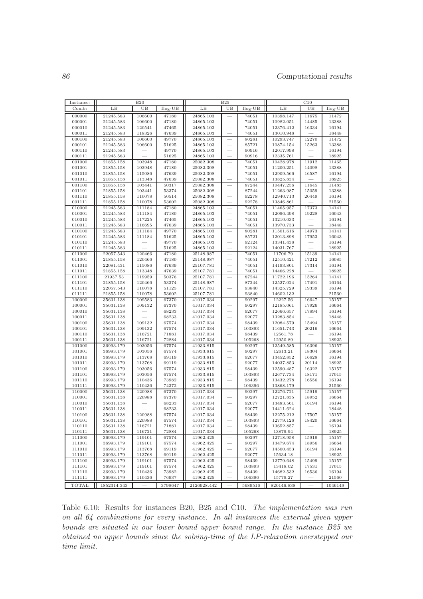| Instance:        |                        | <b>B20</b>       |                | B25                    |                          |                 | C10                    |                |                |
|------------------|------------------------|------------------|----------------|------------------------|--------------------------|-----------------|------------------------|----------------|----------------|
| Comb:            | LB                     | UB               | $Ilog-UB$      | LB                     | UB                       | $Ilog-UB$       | LB                     | UB             | $Ilog-UB$      |
| 000000           | 21245.583              | 106600           | 47180          | 24865.103              |                          | 74051           | 10398.147              | 11675          | 11472          |
| 000001           | 21245.583              | 106600           | 47180          | 24865.103              |                          | 74051           | 10982.051              | 14485          | 13388          |
| 000010           | 21245.583              | 120541           | 47465          | 24865.103              |                          | 74051           | 12376.412              | 16334          | 16194          |
| 000011           | 21245.583              | 118326           | 47639          | 24865.103              |                          | 74051           | 13010.948              |                | 18448          |
| 000100           | 21245.583              | 106600           | 49770          | 24865.103              |                          | 80281           | 10293.747              | 12270          | 11472          |
| 000101           | 21245.583              | 106600           | 51625          | 24865.103              |                          | 85721           | 10874.154              | 15263          | 13388          |
| 000110           | 21245.583              |                  | 49770          | 24865.103              |                          | 90916           | 12017.998              |                | 16194          |
| 000111           | 21245.583              |                  | 51625          | 24865.103              |                          | 90916           | 12335.761              |                | 18925          |
| 001000           | 21855.158              | 103948           | 47180          | 25082.308              |                          | 74051           | 10428.978              | 11912          | 11465          |
| 001001           | 21855.158              | 103948           | 47180          | 25082.308              |                          | 74051           | 11200.251              | 14098          | 13388          |
| 001010           | 21855.158              | 115086           | 47639          | 25082.308              |                          | 74051           | 12909.566              | 16587          | 16194          |
| 001011           | 21855.158              | 113348           | 47639          | 25082.308              |                          | 74051           | 13825.834              |                | 18925          |
| 001100           | 21855.158              | 103441           | 50317          | 25082.308              |                          | 87244           | 10447.256              | 11645          | 11483          |
| 001101           | 21855.158              | 103441           | 53374          | 25082.308              |                          | 87244           | 11263.987              | 15059          | 13388          |
| 001110           | 21855.158              | 110078           | 50514          | 25082.308              |                          | 92278           | 12940.713              | 20449          | 16194          |
| 001111           | 21855.158              | 110078           | 53602          | 25082.308              |                          | 92278           | 13846.861              |                | 21560          |
| 010000           | 21245.583              | 111184           | 47180          | 24865.103              |                          | 74051           | 11465.957              | 17373          | 14141          |
| 010001           | 21245.583              | 111184           | 47180          | 24865.103              |                          | 74051           | 12096.498              | 19228          | 16043          |
| 010010           | 21245.583              | 117225           | 47465          | 24865.103              |                          | 74051           | 13210.033              |                | 16194          |
| 010011           | 21245.583              | 116695           | 47639          | 24865.103              |                          | 74051           | 13970.733              |                | 18448          |
| 010100<br>010101 | 21245.583<br>21245.583 | 111184<br>111184 | 49770<br>51625 | 24865.103<br>24865.103 |                          | 80281<br>85721  | 11501.616<br>12013.898 | 14973<br>17953 | 14141<br>16043 |
| 010110           | 21245.583              |                  | 49770          | 24865.103              |                          | 92124           | 13341.438              |                | 16194          |
| 010111           | 21245.583              |                  | 51625          | 24865.103              |                          | 92124           | 14031.767              |                | 18925          |
| 011000           | 22057.543              | 120466           | 47180          | 25148.987              |                          | 74051           | 11706.79               | 15139          | 14141          |
| 011001           | 21855.158              | 120466           | 47180          | 25148.987              |                          | 74051           | 12510.421              | 17212          | 16085          |
| 011010           | 22081.431              | 115086           | 47639          | 25107.781              |                          | 74051           | 14193.801              | 17314          | 16194          |
| 011011           | 21855.158              | 113348           | 47639          | 25107.781              |                          | 74051           | 14466.228              |                | 18925          |
| 011100           | 21937.53               | 119959           | 50376          | 25107.781              |                          | 87244           | 11722.196              | 15264          | 14141          |
| 011101           | 21855.158              | 120466           | 53374          | 25148.987              |                          | 87244           | 12527.024              | 17491          | 16164          |
| 011110           | 22057.543              | 110078           | 51125          | 25107.781              | -                        | 93840           | 14325.729              | 19339          | 16194          |
| 011111           | 21855.158              | 110078           | 53602          | 25107.781              |                          | 93840           | 14602.132              |                | 21560          |
| 100000           | 35631.138              | 109583           | 67370          | 41017.034              | ÷,                       | 90297           | 12227.56               | 16647          | 15157          |
| 100001           | 35631.138              | 109132           | 67370          | 41017.034              | -                        | 90297           | 12185.061              | 17926          | 16664          |
| 100010           | 35631.138              |                  | 68233          | 41017.034              |                          | 92077           | 12666.657              | 17894          | 16194          |
| 100011           | 35631.138              |                  | 68233          | 41017.034              |                          | 92077           | 13283.854              |                | 18448          |
| 100100           | 35631.138              | 109132           | 67574          | 41017.034              |                          | 98439           | 12084.579              | 15494          | 15157          |
| 100101           | 35631.138              | 109132           | 67574          | 41017.034              |                          | 103893          | 11651.743              | 20216          | 16664          |
| 100110           | 35631.138              | 116721           | 71881          | 41017.034              | $\overline{\phantom{a}}$ | 98439           | 12561.78               |                | 16194          |
| 100111           | 35631.138              | 116721           | 72884          | 41017.034              |                          | 105268          | 12950.89               |                | 18925          |
| 101000<br>101001 | 36993.179<br>36993.179 | 103056           | 67574<br>67574 | 41933.815              |                          | 90297           | 12549.585              | 16396<br>18304 | 15157<br>16664 |
| 101010           | 36993.179              | 103056<br>113768 | 69119          | 41933.815<br>41933.815 |                          | 90297<br>92077  | 12613.21<br>13452.852  | 16628          | 16194          |
| 101011           | 36993.179              | 113768           | 69119          | 41933.815              |                          | 92077           | 14037.853              | 20114          | 18925          |
| 101100           | 36993.179              | 103056           | 67574          | 41933.815              |                          | 98439           | 12590.487              | 16322          | 15157          |
| 101101           | 36993.179              | 103056           | 67574          | 41933.815              |                          | 103893          | 12677.734              | 18171          | 17015          |
| 101110           | 36993.179              | 110436           | 73982          | 41933.815              | -                        | 98439           | 13432.278              | 16556          | 16194          |
| 101111           | 36993.179              | 110436           | 74372          | 41933.815              |                          | 106396          | 13868.179              |                | 21560          |
| 110000           | 35631.138              | 120988           | 67370          | 41017.034              |                          | 90297           | 12276.721              | 15919          | 15157          |
| 110001           | 35631.138              | 120988           | 67370          | 41017.034              |                          | 90297           | 12721.835              | 18952          | 16664          |
| 110010           | 35631.138              |                  | 68233          | 41017.034              |                          | 92077           | 13483.561              | 16194          | 16194          |
| 110011           | 35631.138              |                  | 68233          | 41017.034              |                          | 92077           | 14411.624              |                | 18448          |
| 110100           | 35631.138              | 120988           | 67574          | 41017.034              |                          | 98439           | 12275.212              | 17507          | 15157          |
| 110101           | 35631.138              | 120988           | 67574          | 41017.034              |                          | 103893          | 12779.126              | 18420          | 16664          |
| 110110           | 35631.138              | 116721           | 71881          | 41017.034              |                          | 98439           | 13652.857              |                | 16194          |
| 110111           | 35631.138              | 116721           | 72884          | 41017.034              |                          | 105268          | 13879.94               |                | 18925          |
| 111000           | 36993.179              | 119101           | 67574          | 41962.425              |                          | 90297           | 12718.958              | 15919          | 15157          |
| 111001           | 36993.179              | 119101           | 67574          | 41962.425              |                          | 90297           | 13479.674              | 18956          | 16664          |
| 111010           | 36993.179              | 113768           | 69119          | 41962.425              |                          | 92077           | 14500.453              | 16194          | 16194          |
| 111011           | 36993.179              | 113768           | 69119          | 41962.425              | $\overline{\phantom{0}}$ | 92077           | 15634.18               |                | 18925          |
| 111100<br>111101 | 36993.179<br>36993.179 | 119101<br>119101 | 67574<br>67574 | 41962.425<br>41962.425 |                          | 98439<br>103893 | 12779.648<br>13418.02  | 15499          | 15157<br>17015 |
| 111110           | 36993.179              | 110436           | 73982          | 41962.425              |                          | 98439           | 14682.532              | 17531<br>16536 | 16194          |
| 111111           | 36993.179              | 110436           | 76937          | 41962.425              |                          | 106396          | 15779.27               |                | 21560          |
|                  |                        |                  |                |                        |                          |                 |                        |                |                |
| TOTAL            | 1852314.343            |                  | 3798647        | 2126928.442            |                          | 5689516         | 820146.838             |                | 1046149        |

Table 6.10: Results for instances B20, B25 and C10. The implementation was run on all 64 combinations for every instance. In all instances the external given upper bounds are situated in our lower bound upper bound range. In the instance B25 we obtained no upper bounds since the solving-time of the LP-relaxation overstepped our time limit.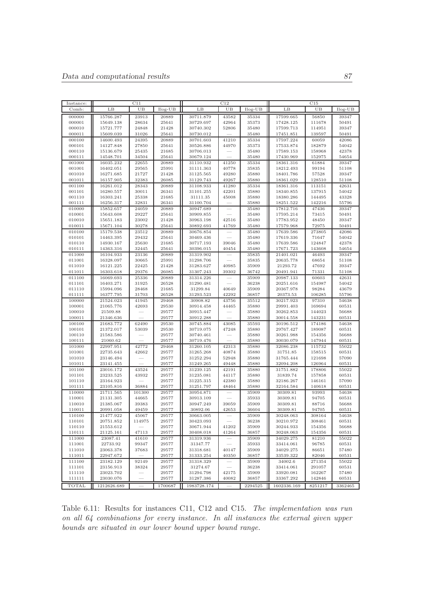| Instance:        |                        | C11            |                |                        | C12            |                |                        |                  |                |
|------------------|------------------------|----------------|----------------|------------------------|----------------|----------------|------------------------|------------------|----------------|
| Comb:            | LΒ                     | UB             | $Ilog-UB$      | LB                     | UB             | $Ilog-UB$      | LВ                     | UB               | $Ilog-UB$      |
| 000000           | 15766.287              | 23913          | 20889          | 30711.879              | 43582          | 35334          | 17599.665              | 56850            | 39347          |
| 000001           | 15649.138              | 28634          | 25641          | 30729.697              | 42964          | 35373          | 17428.125              | 111678           | 50491          |
| 000010           | 15721.777              | 24848          | 21428          | 30740.302              | 52806          | 35480          | 17599.713              | 114951           | 39347          |
| 000011           | 15609.039              | 31026          | 25641          | 30730.012              |                | 35480          | 17451.851              | 139597           | 50491          |
| 000100           | 14600.493              | 24395          | 20889          | 30701.603              | 41210          | 35334          | 17597.224              | 60059            | 42086          |
| 000101           | 14127.848              | 27850          | 25641          | 30526.886              | 44970          | 35373          | 17533.874              | 182879           | 54042          |
| 000110<br>000111 | 15136.679              | 25435<br>34504 | 21685<br>25641 | 30706.013              |                | 35480<br>35480 | 17589.153              | 158968           | 42378<br>54654 |
| 001000           | 14548.701<br>16035.232 | 22655          | 20889          | 30679.124<br>31110.932 | 41250          | 35334          | 17430.969<br>18361.316 | 152975<br>61884  | 39347          |
| 001001           | 16402.051              | 29565          | 25991          | 31111.363              | 40778          | 35835          | 18212.493              | 99194            | 51108          |
| 001010           | 16271.685              | 21727          | 21428          | 31125.565              | 49280          | 35880          | 18401.786              | 57528            | 39347          |
| 001011           | 16157.905              | 32383          | 26085          | 31129.743              | 49267          | 35880          | 18361.029              | 128510           | 51108          |
| 001100           | 16261.012              | 28343          | 20889          | 31108.933              | 41280          | 35334          | 18361.316              | 113151           | 42631          |
| 001101           | 16280.557              | 30011          | 26341          | 31101.255              | 42201          | 35880          | 18340.855              | 137915           | 54042          |
| 001110           | 16303.241              | 25338          | 21685          | 31111.35               | 45008          | 35880          | 18380.286              | 144495           | 43328          |
| 001111           | 16256.317              | 32831          | 26341          | 31100.704              |                | 35880          | 18251.522              | 142216           | 55796          |
| 010000           | 15852.657              | 24059          | 20889          | 30947.689              |                | 35480          | 17812.716              | 47436            | 39347          |
| 010001           | 15643.608              | 29227          | 25641          | 30909.855              |                | 35480          | 17595.214              | 73415            | 50491          |
| 010010           | 15651.183              | 23002          | 21428          | 30963.198              | 42516          | 35480          | 17783.952              | 48450            | 39347          |
| 010011<br>010100 | 15671.104<br>15179.538 | 30278<br>23512 | 25641<br>20889 | 30892.693<br>30676.854 | 41769          | 35480<br>35480 | 17579.968<br>17639.586 | 72975<br>273805  | 50491<br>42086 |
| 010101           | 14463.395              | 29432          | 25641          | 30469.436              |                | 35480          | 17619.336              | 71647            | 54042          |
| 010110           | 14930.167              | 25630          | 21685          | 30717.193              | 39046          | 35480          | 17639.586              | 124847           | 42378          |
| 010111           | 14363.316              | 32445          | 25641          | 30396.015              | 40454          | 35480          | 17671.723              | 143608           | 54654          |
| 011000           | 16104.933              | 23136          | 20889          | 31319.902              |                | 35835          | 21401.021              | 46493            | 39347          |
| 011001           | 16328.097              | 30665          | 25991          | 31298.706              |                | 35835          | 20635.778              | 68654            | 51108          |
| 011010           | 16121.225              | 22425          | 21428          | 31283.627              | 40985          | 35909          | 21293.72               | 47692            | 39347          |
| 011011           | 16303.618              | 29376          | 26085          | 31307.243              | 39302          | 36742          | 20491.941              | 71331            | 51108          |
| 011100           | 16069.693              | 25336          | 20889          | 31314.226              |                | 35909          | 20987.133              | 60603            | 42631          |
| 011101           | 16403.271              | 31925          | 26528          | 31290.481              |                | 36238          | 20251.616              | 154987           | 54042          |
| 011110<br>011111 | 15994.096<br>16377.795 | 28468<br>31703 | 21685<br>26528 | 31299.84               | 40649<br>42292 | 35909<br>36857 | 20367.978<br>20373.53  | 98284<br>106285  | 43679          |
| 100000           | 21524.023              | 41945          | 29468          | 31293.523<br>30908.82  | 43756          | 35512          | 30217.923              | 97310            | 55796<br>54638 |
| 100001           | 21065.776              | 42693          | 29530          | 30914.458              | 44465          | 35880          | 29991.403              | 169694           | 60531          |
| 100010           | 21509.88               |                | 29577          | 30915.447              |                | 35880          | 30262.853              | 144023           | 56688          |
| 100011           | 21346.636              |                | 29577          | 30912.288              |                | 35880          | 30014.558              | 143231           | 60531          |
| 100100           | 21683.772              | 62490          | 29530          | 30745.884              | 43085          | 35593          | 30196.512              | 174186           | 54638          |
| 100101           | 21372.017              | 53039          | 29530          | 30719.075              | 47248          | 35880          | 29767.427              | 189087           | 60531          |
| 100110           | 21583.586              |                | 29577          | 30740.461              |                | 35880          | 30261.988              | 154356           | 56688          |
| 100111           | 21060.62               |                | 29577          | 30719.476              |                | 35880          | 30030.079              | 147944           | 60531          |
| 101000           | 22997.951              | 42772          | 29468          | 31260.105              | 42313          | 35880          | 32086.238              | 115732           | 55022          |
| 101001           | 22735.643              | 42662          | 29577          | 31265.268              | 40874<br>52948 | 35880          | 31751.85<br>31765.444  | 158515<br>121698 | 60531<br>57090 |
| 101010<br>101011 | 23146.494<br>23141.455 |                | 29577<br>29577 | 31252.294<br>31249.265 | 49448          | 35880<br>35880 | 32094.208              | 126964           | 60531          |
| 101100           | 23016.172              | 43524          | 29577          | 31239.125              | 42191          | 35880          | 31751.882              | 178806           | 55022          |
| 101101           | 23233.525              | 43932          | 29577          | 31235.081              | 44117          | 35880          | 31839.74               | 157858           | 60531          |
| 101110           | 23164.923              |                | 29577          | 31225.315              | 42380          | 35880          | 32186.267              | 146161           | 57090          |
| 101111           | 23105.816              | 36884          | 29577          | 31251.797              | 48464          | 35880          | 32164.584              | 140618           | 60531          |
| 110000           | 21711.565              | 101300         | 29577          | 30954.871              |                | 35909          | 30309.81               | 93993            | 54638          |
| 110001           | 21131.305              | 44665          | 29577          | 30913.109              |                | 35933          | 30309.81               | 94705            | 60531          |
| 110010           | 21385.067              | 39383          | 29577          | 30947.249              | 39059          | 35909          | 30309.81               | 88716            | 56688          |
| 110011           | 20991.058              | 49459          | 29577          | 30892.06               | 42653          | 36604          | 30309.81               | 94705            | 60531          |
| 110100           | 21477.922              | 45067          | 29577          | 30663.005              |                | 35909          | 30248.063              | 308164<br>308461 | 54638          |
| 110101<br>110110 | 20751.852<br>21553.612 | 114975         | 29577<br>29577 | 30423.093<br>30671.944 | 41202          | 36238<br>35909 | 30210.972<br>30244.933 | 154356           | 60531<br>56688 |
| 110111           | 21125.161              | 47113          | 29577          | 30408.018              | 41264          | 36857          | 30248.063              | 154356           | 60531          |
| 111000           | 23087.41               | 41610          | 29577          | 31319.936              |                | 35909          | 34029.275              | 81210            | 55022          |
| 111001           | 22733.92               | 99347          | 29577          | 31347.77               |                | 35933          | 33414.061              | 96785            | 60531          |
| 111010           | 23063.378              | 37683          | 29577          | 31318.681              | 40147          | 35909          | 34029.275              | 86651            | 57480          |
| 111011           | 22947.672              |                | 29577          | 31333.254              | 40350          | 36857          | 33539.322              | 82046            | 60531          |
| 111100           | 23182.129              | 92149          | 29577          | 31318.329              |                | 35909          | 34002.6                | 271354           | 55022          |
| 111101           | 23156.913              | 38324          | 29577          | 31274.67               |                | 36238          | 33414.061              | 291057           | 60531          |
| 111110           | 23023.702              |                | 29577          | 31294.798              | 42175          | 35909          | 33920.081              | 162267           | 57480          |
| 111111           | 23030.076              |                | 29577          | $31287.386\,$          | 40082          | 36857          | 33367.292              | 142846           | 60531          |
| TOTAL            | 1212626.689            |                | 1700687        | 1983728.174            |                | 2294525        | 1602336.169            | 8251217          | 3362465        |

Table 6.11: Results for instances C11, C12 and C15. The implementation was run on all 64 combinations for every instance. In all instances the external given upper bounds are situated in our lower bound upper bound range.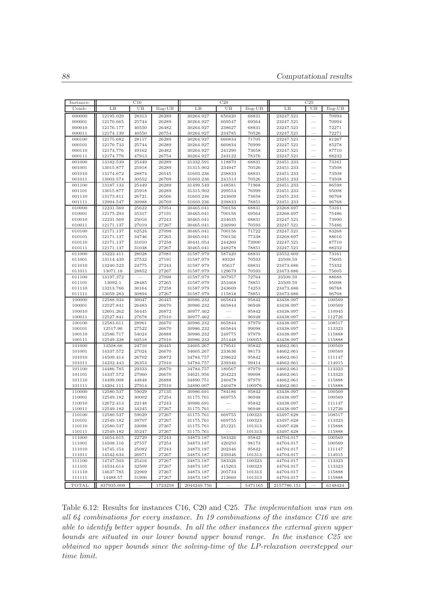| Instance:        |                        | C16            |                | C <sub>25</sub><br>C20 |                  |                 |                        |                          |                  |
|------------------|------------------------|----------------|----------------|------------------------|------------------|-----------------|------------------------|--------------------------|------------------|
| Comb:            | LВ                     | UB             | Ilog-UB        | LB                     | UB               | $Ilog-UB$       | LB                     | UB                       | $Ilog-UB$        |
| 000000           | 12195.029              | 28313          | 26289          | 30264.927              | 650420           | 68831           | 23247.521              |                          | 70994            |
| 000001           | 12170.665              | 25744          | 26289          | 30264.927              | 669547           | 69564           | 23247.521              |                          | 70994            |
| 000010           | 12176.177              | 40550          | 26482          | 30264.927              | 238627           | 68831           | 23247.521              |                          | 72271            |
| 000011           | 12174.139              | 40550          | 26754          | 30264.927              | 234785           | 70526           | 23247.521              |                          | 72271            |
| 000100           | 12175.682              | 28117          | 26289          | 30264.927              | 660834           | 71705           | 23247.521              |                          | 81267            |
| 000101           | 12170.733              | 25744          | 26289          | 30264.927              | 660834           | 76999           | 23247.521              |                          | 85278            |
| 000110           | 12174.776              | 49162          | 26482          | 30264.927              | 241290           | 73658           | 23247.521              |                          | 87710            |
| 000111           | 12174.776              | 47913          | 26754          | 30264.927              | 243122           | 78376           | 23247.521              |                          | 88232            |
| 001000           | 13182.539              | 25449          | 26289          | 31332.591              | 118870           | 68831           | 23451.233              | $\frac{1}{2}$            | 73161            |
| 001001<br>001010 | 13015.877<br>13174.672 | 25918<br>28874 | 26289<br>26545 | 31315.902<br>31603.236 | 234947<br>238833 | 70526<br>68831  | 23451.233<br>23451.233 |                          | 73508<br>73508   |
| 001011           | 13003.574              | 30552          | 26769          | 31603.236              | 241513           | 70526           | 23451.233              |                          | 73508            |
| 001100           | 13187.133              | 25449          | 26289          | 31499.549              | 148581           | 71968           | 23451.233              |                          | 86598            |
| 001101           | 13015.877              | 25918          | 26289          | 31315.902              | 299554           | 76999           | 23451.233              |                          | 95008            |
| 001110           | 13173.811              | 26721          | 26566          | 31603.236              | 243609           | 73658           | 23451.233              |                          | 96768            |
| 001111           | 12994.547              | 30988          | 26769          | 31603.236              | 238833           | 78851           | 23451.233              |                          | 96768            |
| 010000           | 12231.569              | 25622          | 27054          | 30465.041              | 700156           | 68831           | 23268.697              |                          | 73161            |
| 010001           | 12175.293              | 35317          | 27191          | 30465.041              | 700156           | 69564           | 23268.697              |                          | 75486            |
| 010010           | 12231.569              | 25016          | 27243          | 30465.041              | 234635           | 68831           | 23247.521              |                          | 73990            |
| 010011           | 12171.137              | 27019          | 27267          | 30465.041              | 236990           | 70593           | 23247.521              |                          | 75486            |
| 010100           | 12171.137              | 62524          | 27098          | 30465.041              | 700156           | 71722           | 23247.521              |                          | 83268            |
| 010101           | 12171.137              | 34746          | 27265          | 30465.041              | 700156           | 77338           | 23268.697              |                          | 88016            |
| 010110           | 12171.137              | 31010          | 27258          | 30441.054              | 244260           | 73900           | 23247.521              |                          | 87710            |
| 010111           | 12171.137              | 31038          | 27267          | 30465.041              | 248278           | 78851           | 23247.521              |                          | 88232            |
| 011000           | 13223.411              | 28028          | 27081          | 31587.979<br>31587.979 | 587420           | 68831           | 23552.609              |                          | 73161            |
| 011001<br>011010 | 13114.439<br>13240.523 | 27532<br>24775 | 27191<br>27243 | 31587.979              | 89320<br>95617   | 70593<br>68831  | 23509.59<br>23473.686  |                          | 75605<br>75332   |
| 011011           | 13071.18               | 28852          | 27267          | 31587.979              | 129679           | 70593           | 23473.686              |                          | 75605            |
| 011100           | 13197.372              |                | 27098          | 31587.979              | 307957           | 72764           | 23509.59               |                          | 88688            |
| 011101           | 13092.1                | 28485          | 27265          | 31587.979              | 253468           | 78851           | 23509.59               |                          | 95008            |
| 011110           | 13213.766              | 30164          | 27258          | 31587.979              | 243609           | 74253           | 23473.686              |                          | 96768            |
| 011111           | 13059.283              | 30894          | 27267          | 31587.979              | 115818           | 78851           | 23473.686              |                          | 96768            |
| 100000           | 12588.934              | 30047          | 26445          | 30986.232              | 665844           | 95842           | 43438.097              |                          | 100569           |
| 100001           | 12527.841              | 26483          | 26670          | 30986.232              | 665844           | 96948           | 43438.097              |                          | 100569           |
| 100010           | 12601.262              | 56445          | 26872          | 30977.462              |                  | 95842           | 43438.097              |                          | 110945           |
| 100011           | 12527.841              | 27678          | 27010          | 30977.462              |                  | 96948           | 43438.097              |                          | 112726           |
| 100100           | 12583.611              | 28961          | 26670          | 30986.232              | 665844           | 97979           | 43438.097              |                          | 108517           |
| 100101           | 12517.96               | 27522          | 26670          | 30986.232              | 665844           | 99098           | 43438.097              |                          | 113323           |
| 100110           | 12586.717              | 54024          | 26888          | 30986.232              | 249775           | 97979           | 43438.097              |                          | 115888           |
| 100111<br>101000 | 12549.338<br>14508.66  | 60518<br>24710 | 27010          | 30986.232<br>34605.267 | 251448<br>179541 | 100055<br>95842 | 43438.097<br>44662.061 | $\frac{1}{2}$            | 115888<br>100569 |
| 101001           | 14337.572              | 27024          | 26445<br>26670 | 34605.267              | 233636           | 98173           | 44662.061              |                          | 100569           |
| 101010           | 14509.414              | 26702          | 26872          | 34784.757              | 238622           | 95842           | 44662.061              |                          | 111147           |
| 101011           | 14232.443              | 26353          | 27010          | 34784.757              | 239346           | 99414           | 44662.061              |                          | 114915           |
| 101100           | 14486.785              | 29333          | 26670          | 34784.757              | 189567           | 97979           | 44662.061              |                          | 113323           |
| 101101           | 14337.572              | 27960          | 26670          | 34621.956              | 204223           | 99098           | 44662.061              |                          | 113323           |
| 101110           | 14499.008              | 44848          | 26888          | 34890.751              | 240478           | 97979           | 44662.061              | $\overline{\phantom{0}}$ | 115888           |
| 101111           | 14204.111              | 27914          | 27010          | 34890.007              | 240478           | 100976          | 44662.061              | $\frac{1}{2}$            | 115888           |
| 110000           | 12580.537              | 59029          | 27135          | 30986.691              | 784186           | 95842           | 43438.097              |                          | 100569           |
| 110001           | 12549.182              | 30002          | 27254          | 31175.761              | 669755           | 96948           | 43438.097              |                          | 100569           |
| 110010           | 12672.413              | 22148          | 27243          | 30986.691              |                  | 95842           | 43438.097              |                          | 111147           |
| 110011           | 12549.182              | 34245          | 27267          | 31175.761              |                  | 96948           | 43438.097              |                          | 112726           |
| 110100           | 12580.537              | 59029          | 27267          | 31175.761              | 669755           | 100323          | 43497.628              |                          | 108517           |
| 110101           | 12549.182              | 39707          | 27267          | 31175.761              | 669755           | 100323          | 43497.628              |                          | 113323           |
| 110110           | 12580.537              | 33098          | 27267          | 31175.761              | 251221           | 101313          | 43497.628              | $\qquad \qquad$          | 115888           |
| 110111           | 12549.182              | 35247          | 27267          | 31175.761              |                  | 101313          | 43497.628              |                          | 115888           |
| 111000           | 14654.615              | 22729          | 27243          | 34873.187              | 583326           | 95842           | 44704.017              |                          | 100569           |
| 111001<br>111010 | 14508.116<br>14745.154 | 27557          | 27254<br>27243 | 34873.187              | 420250<br>202346 | 98173<br>95842  | 44704.017<br>44704.017 | $\overline{\phantom{0}}$ | 100569           |
| 111011           | 14542.634              | 25082<br>26971 | 27267          | 34873.187<br>34873.187 | 239346           | 101313          | 44704.017              |                          | 111147<br>114915 |
| 111100           | 14747.503              | 25416          | 27267          | 34873.187              | 583326           | 100323          | 44704.017              | $\qquad \qquad$          | 113323           |
| 111101           | 14534.614              | 32509          | 27267          | 34873.187              | 415263           | 100323          | 44704.017              | $\overline{\phantom{0}}$ | 113323           |
| 111110           | 14637.785              | 22969          | 27267          | 34873.187              | 205734           | 101313          | 44704.017              |                          | 115888           |
| 111111           | 14488.57               | 31900          | 27267          | 34873.187              | 212660           | 101313          | 44704.017              |                          | 115888           |
| TOTAL            | 837935.009             |                | 1723258        | 2044249.756            |                  | 5471165         | 2157786.151            |                          | 6148424          |

Table 6.12: Results for instances C16, C20 and C25. The implementation was run on all 64 combinations for every instance. In 19 combinations of the instance C16 we are able to identify better upper bounds. In all the other instances the external given upper bounds are situated in our lower bound upper bound range. In the instance C25 we obtained no upper bounds since the solving-time of the LP-relaxation overstepped our time limit.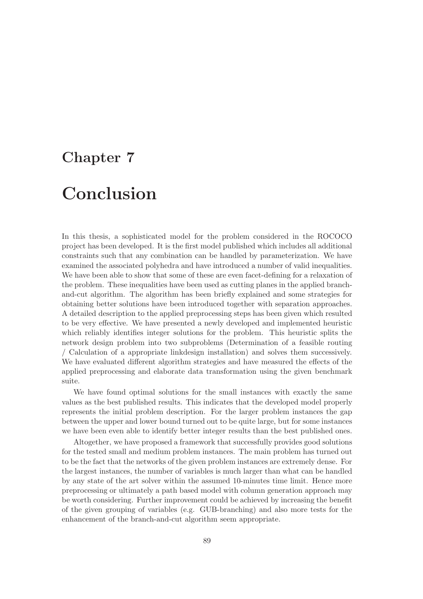### Chapter 7

### Conclusion

In this thesis, a sophisticated model for the problem considered in the ROCOCO project has been developed. It is the first model published which includes all additional constraints such that any combination can be handled by parameterization. We have examined the associated polyhedra and have introduced a number of valid inequalities. We have been able to show that some of these are even facet-defining for a relaxation of the problem. These inequalities have been used as cutting planes in the applied branchand-cut algorithm. The algorithm has been briefly explained and some strategies for obtaining better solutions have been introduced together with separation approaches. A detailed description to the applied preprocessing steps has been given which resulted to be very effective. We have presented a newly developed and implemented heuristic which reliably identifies integer solutions for the problem. This heuristic splits the network design problem into two subproblems (Determination of a feasible routing / Calculation of a appropriate linkdesign installation) and solves them successively. We have evaluated different algorithm strategies and have measured the effects of the applied preprocessing and elaborate data transformation using the given benchmark suite.

We have found optimal solutions for the small instances with exactly the same values as the best published results. This indicates that the developed model properly represents the initial problem description. For the larger problem instances the gap between the upper and lower bound turned out to be quite large, but for some instances we have been even able to identify better integer results than the best published ones.

Altogether, we have proposed a framework that successfully provides good solutions for the tested small and medium problem instances. The main problem has turned out to be the fact that the networks of the given problem instances are extremely dense. For the largest instances, the number of variables is much larger than what can be handled by any state of the art solver within the assumed 10-minutes time limit. Hence more preprocessing or ultimately a path based model with column generation approach may be worth considering. Further improvement could be achieved by increasing the benefit of the given grouping of variables (e.g. GUB-branching) and also more tests for the enhancement of the branch-and-cut algorithm seem appropriate.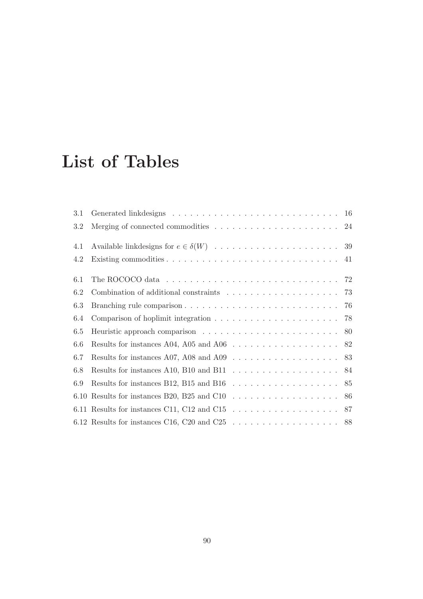### List of Tables

| 3.1 |                                                                                                   |  |
|-----|---------------------------------------------------------------------------------------------------|--|
| 3.2 | Merging of connected commodities $\ldots \ldots \ldots \ldots \ldots \ldots \ldots 24$            |  |
| 4.1 |                                                                                                   |  |
| 4.2 |                                                                                                   |  |
| 6.1 | The ROCOCO data $\ldots \ldots \ldots \ldots \ldots \ldots \ldots \ldots \ldots \ldots \ldots$ 72 |  |
| 6.2 |                                                                                                   |  |
| 6.3 |                                                                                                   |  |
| 6.4 |                                                                                                   |  |
| 6.5 |                                                                                                   |  |
| 6.6 | Results for instances A04, A05 and A06 $\dots \dots \dots \dots \dots \dots \dots \dots$ 82       |  |
| 6.7 | Results for instances A07, A08 and A09 $\dots \dots \dots \dots \dots \dots \dots \dots$ 83       |  |
| 6.8 | Results for instances A10, B10 and B11 $\ldots \ldots \ldots \ldots \ldots \ldots 84$             |  |
| 6.9 | Results for instances B12, B15 and B16 $\ldots \ldots \ldots \ldots \ldots \ldots \ldots$ 85      |  |
|     | 6.10 Results for instances B20, B25 and C10 $\ldots \ldots \ldots \ldots \ldots \ldots \ldots 86$ |  |
|     | 6.11 Results for instances C11, C12 and C15 $\ldots \ldots \ldots \ldots \ldots \ldots \ldots 87$ |  |
|     | 6.12 Results for instances C16, C20 and C25 $\ldots \ldots \ldots \ldots \ldots \ldots \ldots$ 88 |  |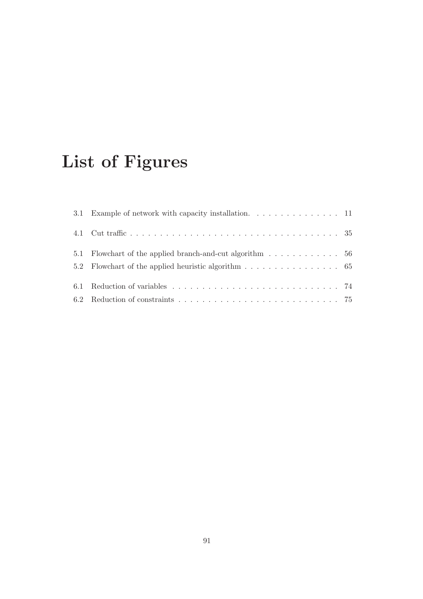# List of Figures

| 3.1 Example of network with capacity installation. 11    |  |
|----------------------------------------------------------|--|
|                                                          |  |
| 5.1 Flowchart of the applied branch-and-cut algorithm 56 |  |
| 5.2 Flowchart of the applied heuristic algorithm 65      |  |
|                                                          |  |
|                                                          |  |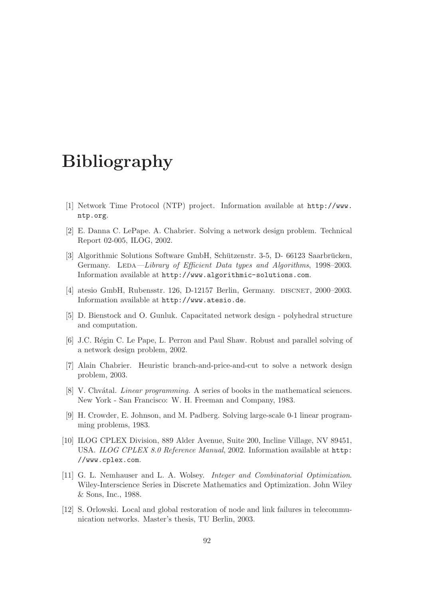### Bibliography

- [1] Network Time Protocol (NTP) project. Information available at http://www. ntp.org.
- [2] E. Danna C. LePape. A. Chabrier. Solving a network design problem. Technical Report 02-005, ILOG, 2002.
- [3] Algorithmic Solutions Software GmbH, Schützenstr. 3-5, D- 66123 Saarbrücken, Germany. LEDA—Library of Efficient Data types and Algorithms, 1998–2003. Information available at http://www.algorithmic-solutions.com.
- [4] atesio GmbH, Rubensstr. 126, D-12157 Berlin, Germany. DISCNET, 2000–2003. Information available at http://www.atesio.de.
- [5] D. Bienstock and O. Gunluk. Capacitated network design polyhedral structure and computation.
- [6] J.C. Régin C. Le Pape, L. Perron and Paul Shaw. Robust and parallel solving of a network design problem, 2002.
- [7] Alain Chabrier. Heuristic branch-and-price-and-cut to solve a network design problem, 2003.
- [8] V. Chvátal. *Linear programming*. A series of books in the mathematical sciences. New York - San Francisco: W. H. Freeman and Company, 1983.
- [9] H. Crowder, E. Johnson, and M. Padberg. Solving large-scale 0-1 linear programming problems, 1983.
- [10] ILOG CPLEX Division, 889 Alder Avenue, Suite 200, Incline Village, NV 89451, USA. ILOG CPLEX 8.0 Reference Manual, 2002. Information available at http: //www.cplex.com.
- [11] G. L. Nemhauser and L. A. Wolsey. Integer and Combinatorial Optimization. Wiley-Interscience Series in Discrete Mathematics and Optimization. John Wiley & Sons, Inc., 1988.
- [12] S. Orlowski. Local and global restoration of node and link failures in telecommunication networks. Master's thesis, TU Berlin, 2003.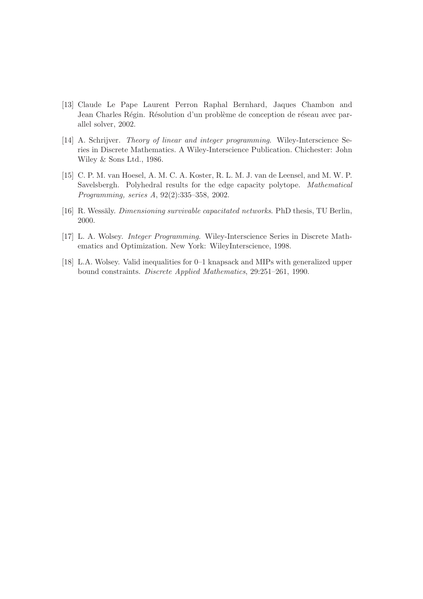- [13] Claude Le Pape Laurent Perron Raphal Bernhard, Jaques Chambon and Jean Charles Régin. Résolution d'un problème de conception de réseau avec parallel solver, 2002.
- [14] A. Schrijver. Theory of linear and integer programming. Wiley-Interscience Series in Discrete Mathematics. A Wiley-Interscience Publication. Chichester: John Wiley & Sons Ltd., 1986.
- [15] C. P. M. van Hoesel, A. M. C. A. Koster, R. L. M. J. van de Leensel, and M. W. P. Savelsbergh. Polyhedral results for the edge capacity polytope. Mathematical Programming, series A, 92(2):335–358, 2002.
- [16] R. Wessäly. *Dimensioning survivable capacitated networks*. PhD thesis, TU Berlin, 2000.
- [17] L. A. Wolsey. Integer Programming. Wiley-Interscience Series in Discrete Mathematics and Optimization. New York: WileyInterscience, 1998.
- [18] L.A. Wolsey. Valid inequalities for 0–1 knapsack and MIPs with generalized upper bound constraints. Discrete Applied Mathematics, 29:251–261, 1990.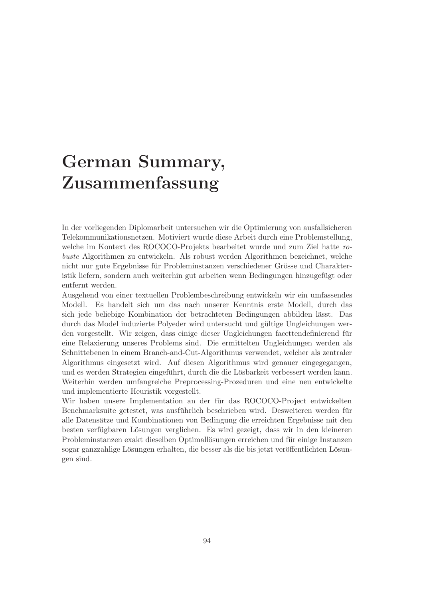### German Summary, Zusammenfassung

In der vorliegenden Diplomarbeit untersuchen wir die Optimierung von ausfallsicheren Telekommunikationsnetzen. Motiviert wurde diese Arbeit durch eine Problemstellung, welche im Kontext des ROCOCO-Projekts bearbeitet wurde und zum Ziel hatte robuste Algorithmen zu entwickeln. Als robust werden Algorithmen bezeichnet, welche nicht nur gute Ergebnisse für Probleminstanzen verschiedener Grösse und Charakteristik liefern, sondern auch weiterhin gut arbeiten wenn Bedingungen hinzugefügt oder entfernt werden.

Ausgehend von einer textuellen Problembeschreibung entwickeln wir ein umfassendes Modell. Es handelt sich um das nach unserer Kenntnis erste Modell, durch das sich jede beliebige Kombination der betrachteten Bedingungen abbilden lässt. Das durch das Model induzierte Polyeder wird untersucht und gultige Ungleichungen wer- ¨ den vorgestellt. Wir zeigen, dass einige dieser Ungleichungen facettendefinierend für eine Relaxierung unseres Problems sind. Die ermittelten Ungleichungen werden als Schnittebenen in einem Branch-and-Cut-Algorithmus verwendet, welcher als zentraler Algorithmus eingesetzt wird. Auf diesen Algorithmus wird genauer eingegegangen, und es werden Strategien eingeführt, durch die die Lösbarkeit verbessert werden kann. Weiterhin werden umfangreiche Preprocessing-Prozeduren und eine neu entwickelte und implementierte Heuristik vorgestellt.

Wir haben unsere Implementation an der für das ROCOCO-Project entwickelten Benchmarksuite getestet, was ausführlich beschrieben wird. Desweiteren werden für alle Datens¨atze und Kombinationen von Bedingung die erreichten Ergebnisse mit den besten verfügbaren Lösungen verglichen. Es wird gezeigt, dass wir in den kleineren Probleminstanzen exakt dieselben Optimallösungen erreichen und für einige Instanzen sogar ganzzahlige Lösungen erhalten, die besser als die bis jetzt veröffentlichten Lösungen sind.